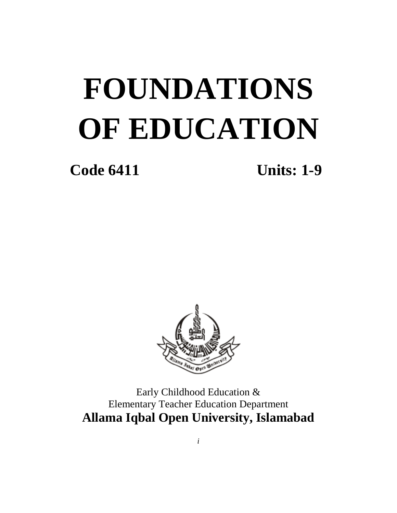# **FOUNDATIONS OF EDUCATION**

**Code 6411 Units: 1-9**



Early Childhood Education & Elementary Teacher Education Department **Allama Iqbal Open University, Islamabad**

*i*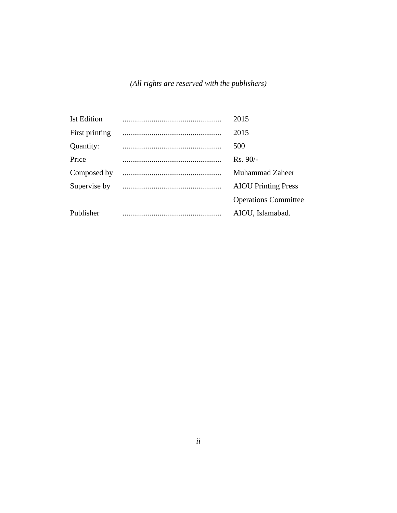*(All rights are reserved with the publishers)*

| <b>Ist Edition</b> | 2015                        |
|--------------------|-----------------------------|
| First printing     | 2015                        |
| Quantity:          | 500                         |
| Price              | $Rs. 90/-$                  |
| Composed by        | Muhammad Zaheer             |
| Supervise by       | <b>AIOU</b> Printing Press  |
|                    | <b>Operations Committee</b> |
| Publisher          | AIOU, Islamabad.            |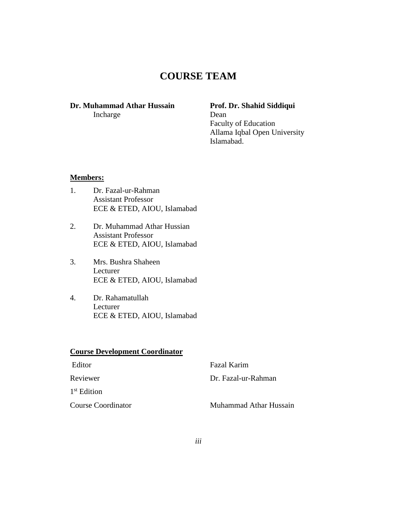## **COURSE TEAM**

#### **Dr. Muhammad Athar Hussain Prof. Dr. Shahid Siddiqui** Incharge Dean

Faculty of Education Allama Iqbal Open University Islamabad.

#### **Members:**

- 1. Dr. Fazal-ur-Rahman Assistant Professor ECE & ETED, AIOU, Islamabad
- 2. Dr. Muhammad Athar Hussian Assistant Professor ECE & ETED, AIOU, Islamabad
- 3. Mrs. Bushra Shaheen Lecturer ECE & ETED, AIOU, Islamabad
- 4. Dr. Rahamatullah Lecturer ECE & ETED, AIOU, Islamabad

## **Course Development Coordinator** Editor Fazal Karim

Reviewer Dr. Fazal-ur-Rahman 1 st Edition **Course Coordinator** Muhammad Athar Hussain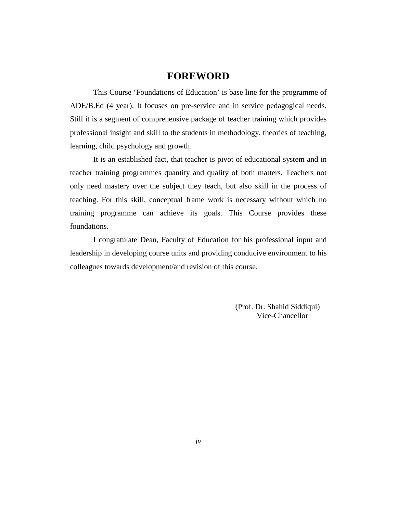#### **FOREWORD**

This Course 'Foundations of Education' is base line for the programme of ADE/B.Ed (4 year). It focuses on pre-service and in service pedagogical needs. Still it is a segment of comprehensive package of teacher training which provides professional insight and skill to the students in methodology, theories of teaching, learning, child psychology and growth.

It is an established fact, that teacher is pivot of educational system and in teacher training programmes quantity and quality of both matters. Teachers not only need mastery over the subject they teach, but also skill in the process of teaching. For this skill, conceptual frame work is necessary without which no training programme can achieve its goals. This Course provides these foundations.

I congratulate Dean, Faculty of Education for his professional input and leadership in developing course units and providing conducive environment to his colleagues towards development/and revision of this course.

> (Prof. Dr. Shahid Siddiqui) Vice-Chancellor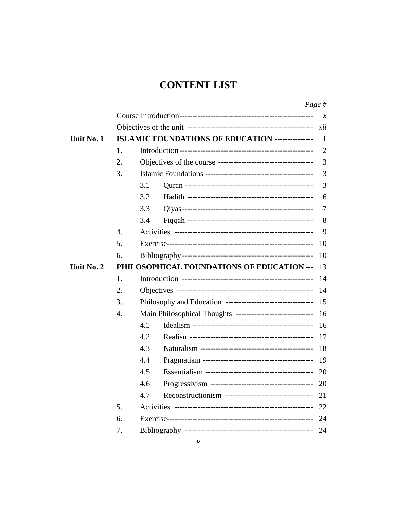## **CONTENT LIST**

|            |    |     |                                                            | Page $#$       |
|------------|----|-----|------------------------------------------------------------|----------------|
|            |    |     |                                                            | $\chi$         |
|            |    |     |                                                            | xii            |
| Unit No. 1 |    |     | ISLAMIC FOUNDATIONS OF EDUCATION ---------------           | 1              |
|            | 1. |     |                                                            | $\overline{2}$ |
|            | 2. |     |                                                            | 3              |
|            | 3. |     |                                                            | 3              |
|            |    | 3.1 |                                                            | 3              |
|            |    | 3.2 |                                                            | 6              |
|            |    | 3.3 |                                                            | 7              |
|            |    | 3.4 |                                                            | 8              |
|            | 4. |     |                                                            | 9              |
|            | 5. |     |                                                            | 10             |
|            | 6. |     |                                                            | 10             |
| Unit No. 2 |    |     | PHILOSOPHICAL FOUNDATIONS OF EDUCATION ---                 | 13             |
|            | 1. |     |                                                            | 14             |
|            | 2. |     |                                                            | 14             |
|            | 3. |     |                                                            | 15             |
|            | 4. |     | Main Philosophical Thoughts ------------------------------ | 16             |
|            |    | 4.1 |                                                            | 16             |
|            |    | 4.2 |                                                            | 17             |
|            |    | 4.3 |                                                            | 18             |
|            |    | 4.4 |                                                            | 19             |
|            |    | 4.5 |                                                            | 20             |
|            |    | 4.6 |                                                            | 20             |
|            |    | 4.7 | Reconstructionism -----------------------------------      | 21             |
|            | 5. |     |                                                            | 22             |
|            | 6. |     |                                                            | 24             |
|            | 7. |     |                                                            | 24             |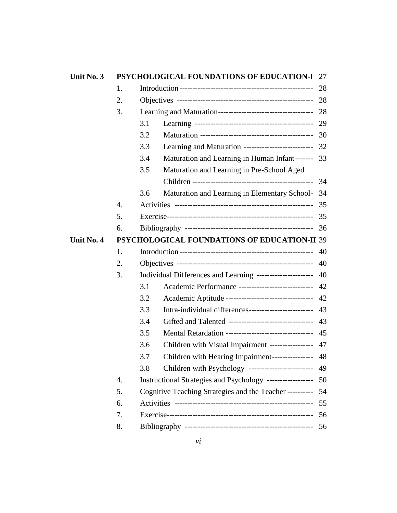| Unit No. 3 |    |     | <b>PSYCHOLOGICAL FOUNDATIONS OF EDUCATION-I 27</b>            |      |
|------------|----|-----|---------------------------------------------------------------|------|
|            | 1. |     |                                                               |      |
|            | 2. |     |                                                               |      |
|            | 3. |     |                                                               |      |
|            |    | 3.1 |                                                               |      |
|            |    | 3.2 |                                                               |      |
|            |    | 3.3 | Learning and Maturation -------------------------- 32         |      |
|            |    | 3.4 | Maturation and Learning in Human Infant------- 33             |      |
|            |    | 3.5 | Maturation and Learning in Pre-School Aged                    |      |
|            |    |     |                                                               | - 34 |
|            |    | 3.6 | Maturation and Learning in Elementary School-                 | - 34 |
|            | 4. |     |                                                               |      |
|            | 5. |     |                                                               |      |
|            | 6. |     |                                                               |      |
| Unit No. 4 |    |     | PSYCHOLOGICAL FOUNDATIONS OF EDUCATION-II 39                  |      |
|            | 1. |     |                                                               |      |
|            | 2. |     |                                                               |      |
|            | 3. |     | Individual Differences and Learning ---------------------- 40 |      |
|            |    | 3.1 | Academic Performance ----------------------------- 42         |      |
|            |    | 3.2 | Academic Aptitude --------------------------------- 42        |      |
|            |    | 3.3 | Intra-individual differences--------------------------- 43    |      |
|            |    | 3.4 | Gifted and Talented --------------------------------- 43      |      |
|            |    | 3.5 | Mental Retardation ---------------------------------- 45      |      |
|            |    | 3.6 | Children with Visual Impairment ---------------- 47           |      |
|            |    | 3.7 | Children with Hearing Impairment---------------- 48           |      |
|            |    | 3.8 | Children with Psychology -------------------------            | 49   |
|            | 4. |     | Instructional Strategies and Psychology ------------------    | 50   |
|            | 5. |     | Cognitive Teaching Strategies and the Teacher ----------      | 54   |
|            | 6. |     |                                                               | 55   |
|            | 7. |     |                                                               | - 56 |
|            | 8. |     |                                                               | 56   |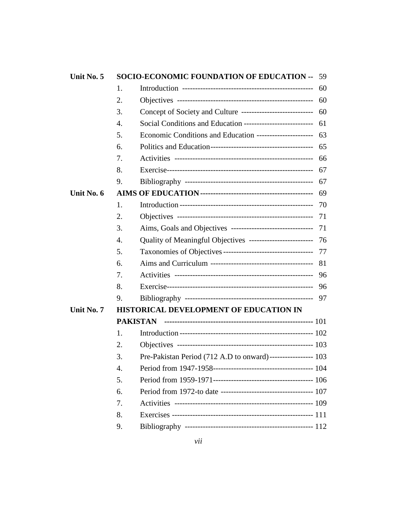| Unit No. 5 |    | <b>SOCIO-ECONOMIC FOUNDATION OF EDUCATION -- 59</b>              |      |
|------------|----|------------------------------------------------------------------|------|
|            | 1. |                                                                  |      |
|            | 2. |                                                                  |      |
|            | 3. | Concept of Society and Culture ----------------------------- 60  |      |
|            | 4. | Social Conditions and Education ----------------------------- 61 |      |
|            | 5. | Economic Conditions and Education ------------------------- 63   |      |
|            | 6. |                                                                  |      |
|            | 7. |                                                                  |      |
|            | 8. |                                                                  |      |
|            | 9. |                                                                  |      |
| Unit No. 6 |    |                                                                  | - 69 |
|            | 1. |                                                                  |      |
|            | 2. |                                                                  |      |
|            | 3. | Aims, Goals and Objectives --------------------------------- 71  |      |
|            | 4. | Quality of Meaningful Objectives ------------------------- 76    |      |
|            | 5. |                                                                  |      |
|            | 6. |                                                                  |      |
|            | 7. |                                                                  |      |
|            | 8. |                                                                  |      |
|            | 9. |                                                                  |      |
| Unit No. 7 |    | HISTORICAL DEVELOPMENT OF EDUCATION IN                           |      |
|            |    |                                                                  |      |
|            | 1. |                                                                  |      |
|            | 2. |                                                                  |      |
|            | 3. | Pre-Pakistan Period (712 A.D to onward)----------------- 103     |      |
|            | 4. |                                                                  |      |
|            | 5. |                                                                  |      |
|            | 6. |                                                                  |      |
|            | 7. |                                                                  |      |
|            | 8. |                                                                  |      |
|            | 9. |                                                                  |      |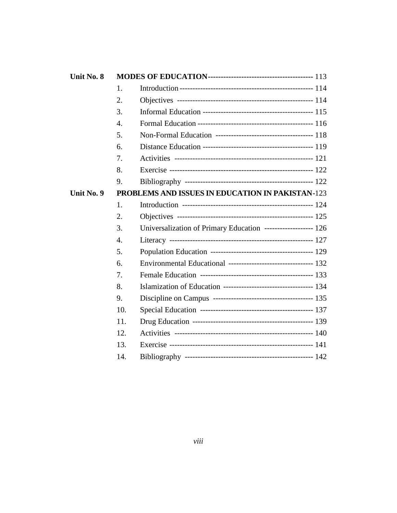| Unit No. 8 |                  |                                                                   |  |
|------------|------------------|-------------------------------------------------------------------|--|
|            | 1.               |                                                                   |  |
|            | 2.               |                                                                   |  |
|            | 3.               |                                                                   |  |
|            | $\overline{4}$ . |                                                                   |  |
|            | 5.               |                                                                   |  |
|            | 6.               |                                                                   |  |
|            | 7.               |                                                                   |  |
|            | 8.               |                                                                   |  |
|            | 9.               |                                                                   |  |
| Unit No. 9 |                  | PROBLEMS AND ISSUES IN EDUCATION IN PAKISTAN-123                  |  |
|            | 1.               |                                                                   |  |
|            | 2.               |                                                                   |  |
|            | 3.               | Universalization of Primary Education ------------------- 126     |  |
|            | 4.               |                                                                   |  |
|            | 5.               |                                                                   |  |
|            | 6.               | Environmental Educational --------------------------------- 132   |  |
|            | 7.               |                                                                   |  |
|            | 8.               | Islamization of Education ----------------------------------- 134 |  |
|            | 9.               |                                                                   |  |
|            | 10.              |                                                                   |  |
|            | 11.              |                                                                   |  |
|            | 12.              |                                                                   |  |
|            | 13.              |                                                                   |  |
|            | 14.              |                                                                   |  |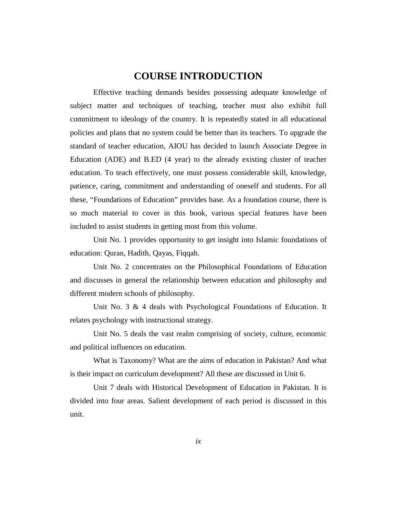#### **COURSE INTRODUCTION**

Effective teaching demands besides possessing adequate knowledge of subject matter and techniques of teaching, teacher must also exhibit full commitment to ideology of the country. It is repeatedly stated in all educational policies and plans that no system could be better than its teachers. To upgrade the standard of teacher education, AIOU has decided to launch Associate Degree in Education (ADE) and B.ED (4 year) to the already existing cluster of teacher education. To teach effectively, one must possess considerable skill, knowledge, patience, caring, commitment and understanding of oneself and students. For all these, "Foundations of Education" provides base. As a foundation course, there is so much material to cover in this book, various special features have been included to assist students in getting most from this volume.

Unit No. 1 provides opportunity to get insight into Islamic foundations of education: Quran, Hadith, Qayas, Fiqqah.

Unit No. 2 concentrates on the Philosophical Foundations of Education and discusses in general the relationship between education and philosophy and different modern schools of philosophy.

Unit No. 3 & 4 deals with Psychological Foundations of Education. It relates psychology with instructional strategy.

Unit No. 5 deals the vast realm comprising of society, culture, economic and political influences on education.

What is Taxonomy? What are the aims of education in Pakistan? And what is their impact on curriculum development? All these are discussed in Unit 6.

Unit 7 deals with Historical Development of Education in Pakistan. It is divided into four areas. Salient development of each period is discussed in this unit.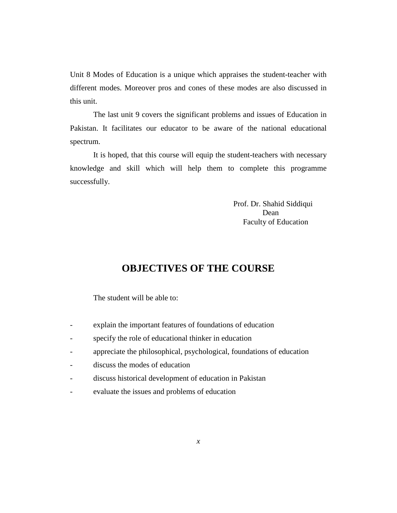Unit 8 Modes of Education is a unique which appraises the student-teacher with different modes. Moreover pros and cones of these modes are also discussed in this unit.

The last unit 9 covers the significant problems and issues of Education in Pakistan. It facilitates our educator to be aware of the national educational spectrum.

It is hoped, that this course will equip the student-teachers with necessary knowledge and skill which will help them to complete this programme successfully.

> Prof. Dr. Shahid Siddiqui Dean Faculty of Education

### **OBJECTIVES OF THE COURSE**

The student will be able to:

- explain the important features of foundations of education
- specify the role of educational thinker in education
- appreciate the philosophical, psychological, foundations of education
- discuss the modes of education
- discuss historical development of education in Pakistan
- evaluate the issues and problems of education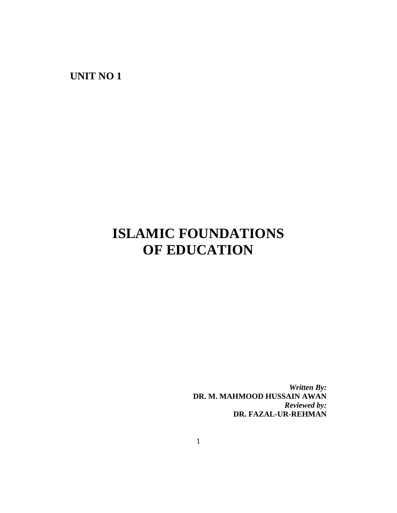**UNIT NO 1**

# **ISLAMIC FOUNDATIONS OF EDUCATION**

*Written By:* **DR. M. MAHMOOD HUSSAIN AWAN** *Reviewed by:* **DR. FAZAL-UR-REHMAN**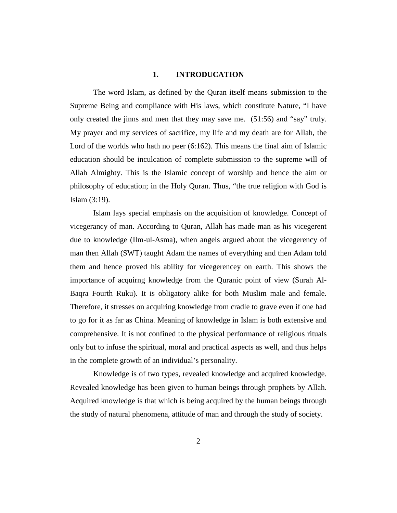#### **1. INTRODUCATION**

The word Islam, as defined by the Quran itself means submission to the Supreme Being and compliance with His laws, which constitute Nature, "I have only created the jinns and men that they may save me. (51:56) and "say" truly. My prayer and my services of sacrifice, my life and my death are for Allah, the Lord of the worlds who hath no peer (6:162). This means the final aim of Islamic education should be inculcation of complete submission to the supreme will of Allah Almighty. This is the Islamic concept of worship and hence the aim or philosophy of education; in the Holy Quran. Thus, "the true religion with God is Islam (3:19).

Islam lays special emphasis on the acquisition of knowledge. Concept of vicegerancy of man. According to Quran, Allah has made man as his vicegerent due to knowledge (Ilm-ul-Asma), when angels argued about the vicegerency of man then Allah (SWT) taught Adam the names of everything and then Adam told them and hence proved his ability for vicegerencey on earth. This shows the importance of acquirng knowledge from the Quranic point of view (Surah Al-Baqra Fourth Ruku). It is obligatory alike for both Muslim male and female. Therefore, it stresses on acquiring knowledge from cradle to grave even if one had to go for it as far as China. Meaning of knowledge in Islam is both extensive and comprehensive. It is not confined to the physical performance of religious rituals only but to infuse the spiritual, moral and practical aspects as well, and thus helps in the complete growth of an individual's personality.

Knowledge is of two types, revealed knowledge and acquired knowledge. Revealed knowledge has been given to human beings through prophets by Allah. Acquired knowledge is that which is being acquired by the human beings through the study of natural phenomena, attitude of man and through the study of society.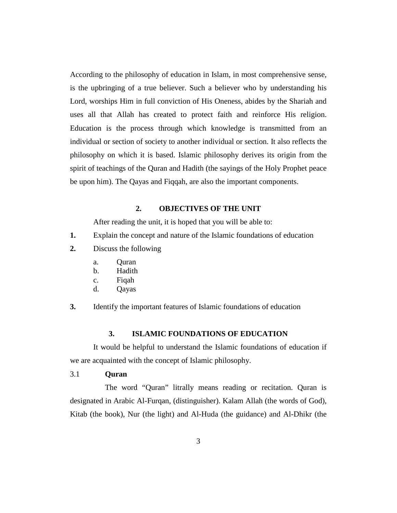According to the philosophy of education in Islam, in most comprehensive sense, is the upbringing of a true believer. Such a believer who by understanding his Lord, worships Him in full conviction of His Oneness, abides by the Shariah and uses all that Allah has created to protect faith and reinforce His religion. Education is the process through which knowledge is transmitted from an individual or section of society to another individual or section. It also reflects the philosophy on which it is based. Islamic philosophy derives its origin from the spirit of teachings of the Quran and Hadith (the sayings of the Holy Prophet peace be upon him). The Qayas and Fiqqah, are also the important components.

#### **2. OBJECTIVES OF THE UNIT**

After reading the unit, it is hoped that you will be able to:

- **1.** Explain the concept and nature of the Islamic foundations of education
- **2.** Discuss the following
	- a. Quran
	- b. Hadith
	- c. Fiqah
	- d. Qayas
- **3.** Identify the important features of Islamic foundations of education

#### **3. ISLAMIC FOUNDATIONS OF EDUCATION**

It would be helpful to understand the Islamic foundations of education if we are acquainted with the concept of Islamic philosophy.

#### 3.1 **Quran**

The word "Quran" litrally means reading or recitation. Quran is designated in Arabic Al-Furqan, (distinguisher). Kalam Allah (the words of God), Kitab (the book), Nur (the light) and Al-Huda (the guidance) and Al-Dhikr (the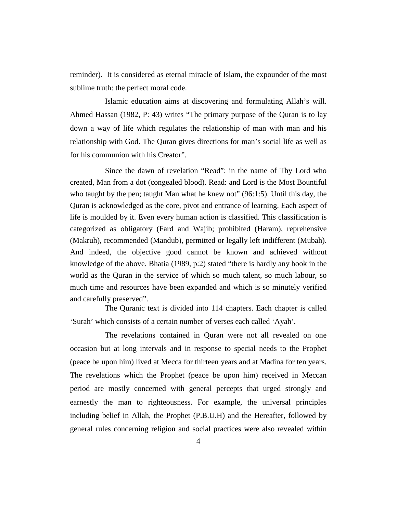reminder). It is considered as eternal miracle of Islam, the expounder of the most sublime truth: the perfect moral code.

Islamic education aims at discovering and formulating Allah's will. Ahmed Hassan (1982, P: 43) writes "The primary purpose of the Quran is to lay down a way of life which regulates the relationship of man with man and his relationship with God. The Quran gives directions for man's social life as well as for his communion with his Creator".

Since the dawn of revelation "Read": in the name of Thy Lord who created, Man from a dot (congealed blood). Read: and Lord is the Most Bountiful who taught by the pen; taught Man what he knew not" (96:1:5). Until this day, the Quran is acknowledged as the core, pivot and entrance of learning. Each aspect of life is moulded by it. Even every human action is classified. This classification is categorized as obligatory (Fard and Wajib; prohibited (Haram), reprehensive (Makruh), recommended (Mandub), permitted or legally left indifferent (Mubah). And indeed, the objective good cannot be known and achieved without knowledge of the above. Bhatia (1989, p:2) stated "there is hardly any book in the world as the Quran in the service of which so much talent, so much labour, so much time and resources have been expanded and which is so minutely verified and carefully preserved".

The Quranic text is divided into 114 chapters. Each chapter is called 'Surah' which consists of a certain number of verses each called 'Ayah'.

The revelations contained in Quran were not all revealed on one occasion but at long intervals and in response to special needs to the Prophet (peace be upon him) lived at Mecca for thirteen years and at Madina for ten years. The revelations which the Prophet (peace be upon him) received in Meccan period are mostly concerned with general percepts that urged strongly and earnestly the man to righteousness. For example, the universal principles including belief in Allah, the Prophet (P.B.U.H) and the Hereafter, followed by general rules concerning religion and social practices were also revealed within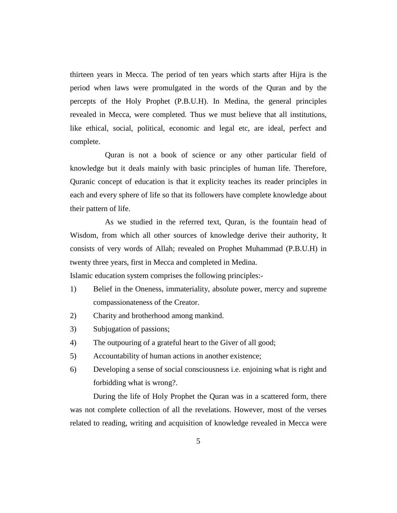thirteen years in Mecca. The period of ten years which starts after Hijra is the period when laws were promulgated in the words of the Quran and by the percepts of the Holy Prophet (P.B.U.H). In Medina, the general principles revealed in Mecca, were completed. Thus we must believe that all institutions, like ethical, social, political, economic and legal etc, are ideal, perfect and complete.

Quran is not a book of science or any other particular field of knowledge but it deals mainly with basic principles of human life. Therefore, Quranic concept of education is that it explicity teaches its reader principles in each and every sphere of life so that its followers have complete knowledge about their pattern of life.

As we studied in the referred text, Quran, is the fountain head of Wisdom, from which all other sources of knowledge derive their authority, It consists of very words of Allah; revealed on Prophet Muhammad (P.B.U.H) in twenty three years, first in Mecca and completed in Medina.

Islamic education system comprises the following principles:-

- 1) Belief in the Oneness, immateriality, absolute power, mercy and supreme compassionateness of the Creator.
- 2) Charity and brotherhood among mankind.
- 3) Subjugation of passions;
- 4) The outpouring of a grateful heart to the Giver of all good;
- 5) Accountability of human actions in another existence;
- 6) Developing a sense of social consciousness i.e. enjoining what is right and forbidding what is wrong?.

During the life of Holy Prophet the Quran was in a scattered form, there was not complete collection of all the revelations. However, most of the verses related to reading, writing and acquisition of knowledge revealed in Mecca were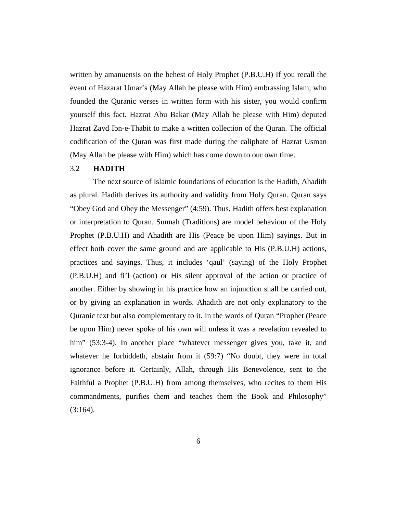written by amanuensis on the behest of Holy Prophet (P.B.U.H) If you recall the event of Hazarat Umar's (May Allah be please with Him) embrassing Islam, who founded the Quranic verses in written form with his sister, you would confirm yourself this fact. Hazrat Abu Bakar (May Allah be please with Him) deputed Hazrat Zayd Ibn-e-Thabit to make a written collection of the Quran. The official codification of the Quran was first made during the caliphate of Hazrat Usman (May Allah be please with Him) which has come down to our own time.

#### 3.2 **HADITH**

The next source of Islamic foundations of education is the Hadith, Ahadith as plural. Hadith derives its authority and validity from Holy Quran. Quran says "Obey God and Obey the Messenger" (4:59). Thus, Hadith offers best explanation or interpretation to Quran. Sunnah (Traditions) are model behaviour of the Holy Prophet (P.B.U.H) and Ahadith are His (Peace be upon Him) sayings. But in effect both cover the same ground and are applicable to His (P.B.U.H) actions, practices and sayings. Thus, it includes 'qaul' (saying) of the Holy Prophet (P.B.U.H) and fi'l (action) or His silent approval of the action or practice of another. Either by showing in his practice how an injunction shall be carried out, or by giving an explanation in words. Ahadith are not only explanatory to the Quranic text but also complementary to it. In the words of Quran "Prophet (Peace be upon Him) never spoke of his own will unless it was a revelation revealed to him" (53:3-4). In another place "whatever messenger gives you, take it, and whatever he forbiddeth, abstain from it (59:7) "No doubt, they were in total ignorance before it. Certainly, Allah, through His Benevolence, sent to the Faithful a Prophet (P.B.U.H) from among themselves, who recites to them His commandments, purifies them and teaches them the Book and Philosophy"  $(3:164)$ .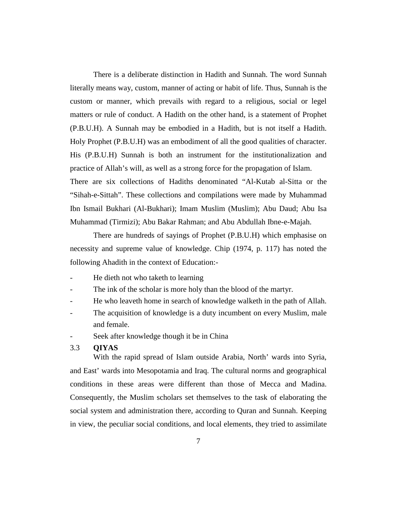There is a deliberate distinction in Hadith and Sunnah. The word Sunnah literally means way, custom, manner of acting or habit of life. Thus, Sunnah is the custom or manner, which prevails with regard to a religious, social or legel matters or rule of conduct. A Hadith on the other hand, is a statement of Prophet (P.B.U.H). A Sunnah may be embodied in a Hadith, but is not itself a Hadith. Holy Prophet (P.B.U.H) was an embodiment of all the good qualities of character. His (P.B.U.H) Sunnah is both an instrument for the institutionalization and practice of Allah's will, as well as a strong force for the propagation of Islam. There are six collections of Hadiths denominated "Al-Kutab al-Sitta or the "Sihah-e-Sittah". These collections and compilations were made by Muhammad Ibn Ismail Bukhari (Al-Bukhari); Imam Muslim (Muslim); Abu Daud; Abu Isa Muhammad (Tirmizi); Abu Bakar Rahman; and Abu Abdullah Ibne-e-Majah.

There are hundreds of sayings of Prophet (P.B.U.H) which emphasise on necessity and supreme value of knowledge. Chip (1974, p. 117) has noted the following Ahadith in the context of Education:-

- He dieth not who taketh to learning
- The ink of the scholar is more holy than the blood of the martyr.
- He who leaveth home in search of knowledge walketh in the path of Allah.
- The acquisition of knowledge is a duty incumbent on every Muslim, male and female.
- Seek after knowledge though it be in China

#### 3.3 **QIYAS**

With the rapid spread of Islam outside Arabia, North' wards into Syria, and East' wards into Mesopotamia and Iraq. The cultural norms and geographical conditions in these areas were different than those of Mecca and Madina. Consequently, the Muslim scholars set themselves to the task of elaborating the social system and administration there, according to Quran and Sunnah. Keeping in view, the peculiar social conditions, and local elements, they tried to assimilate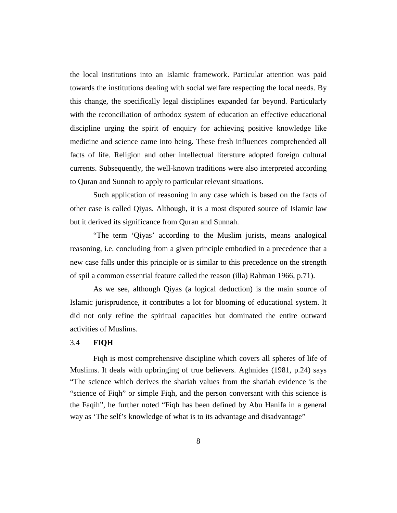the local institutions into an Islamic framework. Particular attention was paid towards the institutions dealing with social welfare respecting the local needs. By this change, the specifically legal disciplines expanded far beyond. Particularly with the reconciliation of orthodox system of education an effective educational discipline urging the spirit of enquiry for achieving positive knowledge like medicine and science came into being. These fresh influences comprehended all facts of life. Religion and other intellectual literature adopted foreign cultural currents. Subsequently, the well-known traditions were also interpreted according to Quran and Sunnah to apply to particular relevant situations.

Such application of reasoning in any case which is based on the facts of other case is called Qiyas. Although, it is a most disputed source of Islamic law but it derived its significance from Quran and Sunnah.

"The term 'Qiyas' according to the Muslim jurists, means analogical reasoning, i.e. concluding from a given principle embodied in a precedence that a new case falls under this principle or is similar to this precedence on the strength of spil a common essential feature called the reason (illa) Rahman 1966, p.71).

As we see, although Qiyas (a logical deduction) is the main source of Islamic jurisprudence, it contributes a lot for blooming of educational system. It did not only refine the spiritual capacities but dominated the entire outward activities of Muslims.

#### 3.4 **FIQH**

Fiqh is most comprehensive discipline which covers all spheres of life of Muslims. It deals with upbringing of true believers. Aghnides (1981, p.24) says "The science which derives the shariah values from the shariah evidence is the "science of Fiqh" or simple Fiqh, and the person conversant with this science is the Faqih", he further noted "Fiqh has been defined by Abu Hanifa in a general way as 'The self's knowledge of what is to its advantage and disadvantage"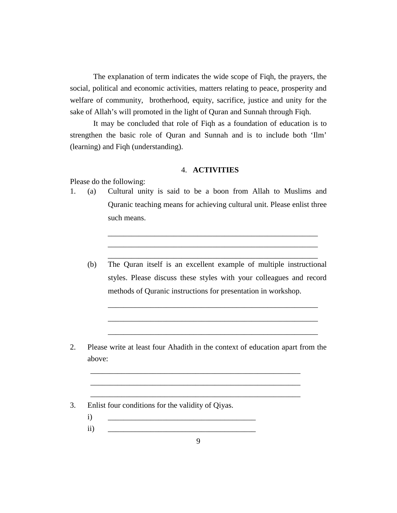The explanation of term indicates the wide scope of Fiqh, the prayers, the social, political and economic activities, matters relating to peace, prosperity and welfare of community, brotherhood, equity, sacrifice, justice and unity for the sake of Allah's will promoted in the light of Quran and Sunnah through Fiqh.

It may be concluded that role of Fiqh as a foundation of education is to strengthen the basic role of Quran and Sunnah and is to include both 'Ilm' (learning) and Fiqh (understanding).

#### 4. **ACTIVITIES**

Please do the following:

- 1. (a) Cultural unity is said to be a boon from Allah to Muslims and Quranic teaching means for achieving cultural unit. Please enlist three such means.
	- (b) The Quran itself is an excellent example of multiple instructional styles. Please discuss these styles with your colleagues and record methods of Quranic instructions for presentation in workshop.

\_\_\_\_\_\_\_\_\_\_\_\_\_\_\_\_\_\_\_\_\_\_\_\_\_\_\_\_\_\_\_\_\_\_\_\_\_\_\_\_\_\_\_\_\_\_\_\_\_\_\_\_\_\_

\_\_\_\_\_\_\_\_\_\_\_\_\_\_\_\_\_\_\_\_\_\_\_\_\_\_\_\_\_\_\_\_\_\_\_\_\_\_\_\_\_\_\_\_\_\_\_\_\_\_\_\_\_\_

\_\_\_\_\_\_\_\_\_\_\_\_\_\_\_\_\_\_\_\_\_\_\_\_\_\_\_\_\_\_\_\_\_\_\_\_\_\_\_\_\_\_\_\_\_\_\_\_\_\_\_\_\_\_

\_\_\_\_\_\_\_\_\_\_\_\_\_\_\_\_\_\_\_\_\_\_\_\_\_\_\_\_\_\_\_\_\_\_\_\_\_\_\_\_\_\_\_\_\_\_\_\_\_\_\_\_\_\_ \_\_\_\_\_\_\_\_\_\_\_\_\_\_\_\_\_\_\_\_\_\_\_\_\_\_\_\_\_\_\_\_\_\_\_\_\_\_\_\_\_\_\_\_\_\_\_\_\_\_\_\_\_\_ \_\_\_\_\_\_\_\_\_\_\_\_\_\_\_\_\_\_\_\_\_\_\_\_\_\_\_\_\_\_\_\_\_\_\_\_\_\_\_\_\_\_\_\_\_\_\_\_\_\_\_\_\_\_

2. Please write at least four Ahadith in the context of education apart from the above:

\_\_\_\_\_\_\_\_\_\_\_\_\_\_\_\_\_\_\_\_\_\_\_\_\_\_\_\_\_\_\_\_\_\_\_\_\_\_\_\_\_\_\_\_\_\_\_\_\_\_\_\_\_\_ \_\_\_\_\_\_\_\_\_\_\_\_\_\_\_\_\_\_\_\_\_\_\_\_\_\_\_\_\_\_\_\_\_\_\_\_\_\_\_\_\_\_\_\_\_\_\_\_\_\_\_\_\_\_ \_\_\_\_\_\_\_\_\_\_\_\_\_\_\_\_\_\_\_\_\_\_\_\_\_\_\_\_\_\_\_\_\_\_\_\_\_\_\_\_\_\_\_\_\_\_\_\_\_\_\_\_\_\_

- 3. Enlist four conditions for the validity of Qiyas.
	- i) \_\_\_\_\_\_\_\_\_\_\_\_\_\_\_\_\_\_\_\_\_\_\_\_\_\_\_\_\_\_\_\_\_\_\_\_\_\_
	- ii) \_\_\_\_\_\_\_\_\_\_\_\_\_\_\_\_\_\_\_\_\_\_\_\_\_\_\_\_\_\_\_\_\_\_\_\_\_\_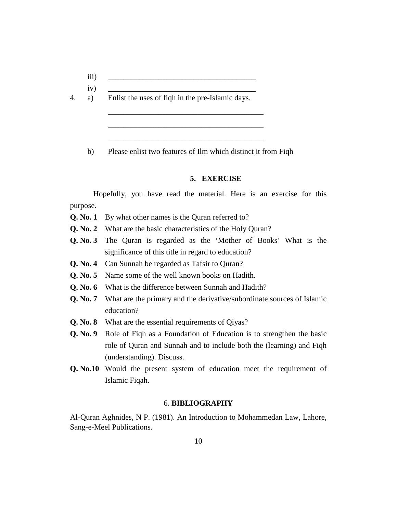- $\overline{\text{iii)}}$   $\overline{\phantom{...}}$
- iv) \_\_\_\_\_\_\_\_\_\_\_\_\_\_\_\_\_\_\_\_\_\_\_\_\_\_\_\_\_\_\_\_\_\_\_\_\_\_
- 4. a) Enlist the uses of fiqh in the pre-Islamic days.

b) Please enlist two features of Ilm which distinct it from Fiqh

\_\_\_\_\_\_\_\_\_\_\_\_\_\_\_\_\_\_\_\_\_\_\_\_\_\_\_\_\_\_\_\_\_\_\_\_\_\_\_\_

\_\_\_\_\_\_\_\_\_\_\_\_\_\_\_\_\_\_\_\_\_\_\_\_\_\_\_\_\_\_\_\_\_\_\_\_\_\_\_\_

\_\_\_\_\_\_\_\_\_\_\_\_\_\_\_\_\_\_\_\_\_\_\_\_\_\_\_\_\_\_\_\_\_\_\_\_\_\_\_\_

#### **5. EXERCISE**

Hopefully, you have read the material. Here is an exercise for this purpose.

- **Q. No. 1** By what other names is the Quran referred to?
- **Q. No. 2** What are the basic characteristics of the Holy Quran?
- **Q. No. 3** The Quran is regarded as the 'Mother of Books' What is the significance of this title in regard to education?
- **Q. No. 4** Can Sunnah be regarded as Tafsir to Quran?
- **Q. No. 5** Name some of the well known books on Hadith.
- **Q. No. 6** What is the difference between Sunnah and Hadith?
- **Q. No. 7** What are the primary and the derivative/subordinate sources of Islamic education?
- **Q. No. 8** What are the essential requirements of Qiyas?
- **Q. No. 9** Role of Fiqh as a Foundation of Education is to strengthen the basic role of Quran and Sunnah and to include both the (learning) and Fiqh (understanding). Discuss.
- **Q. No.10** Would the present system of education meet the requirement of Islamic Fiqah.

#### 6. **BIBLIOGRAPHY**

Al-Quran Aghnides, N P. (1981). An Introduction to Mohammedan Law, Lahore, Sang-e-Meel Publications.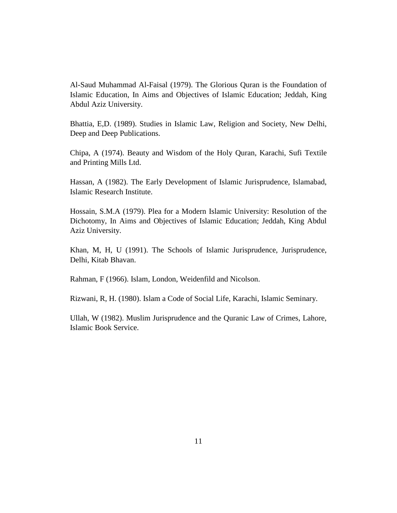Al-Saud Muhammad Al-Faisal (1979). The Glorious Quran is the Foundation of Islamic Education, In Aims and Objectives of Islamic Education; Jeddah, King Abdul Aziz University.

Bhattia, E,D. (1989). Studies in Islamic Law, Religion and Society, New Delhi, Deep and Deep Publications.

Chipa, A (1974). Beauty and Wisdom of the Holy Quran, Karachi, Sufi Textile and Printing Mills Ltd.

Hassan, A (1982). The Early Development of Islamic Jurisprudence, Islamabad, Islamic Research Institute.

Hossain, S.M.A (1979). Plea for a Modern Islamic University: Resolution of the Dichotomy, In Aims and Objectives of Islamic Education; Jeddah, King Abdul Aziz University.

Khan, M, H, U (1991). The Schools of Islamic Jurisprudence, Jurisprudence, Delhi, Kitab Bhavan.

Rahman, F (1966). Islam, London, Weidenfild and Nicolson.

Rizwani, R, H. (1980). Islam a Code of Social Life, Karachi, Islamic Seminary.

Ullah, W (1982). Muslim Jurisprudence and the Quranic Law of Crimes, Lahore, Islamic Book Service.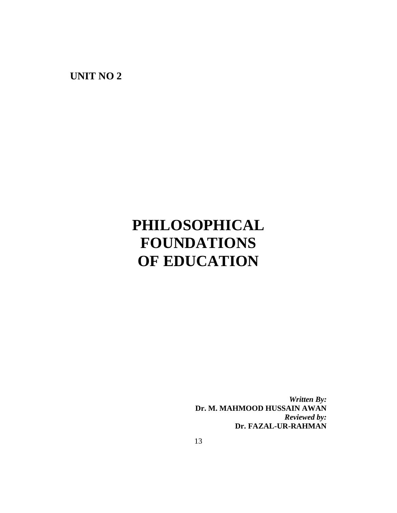**UNIT NO 2**

# **PHILOSOPHICAL FOUNDATIONS OF EDUCATION**

*Written By:* **Dr. M. MAHMOOD HUSSAIN AWAN** *Reviewed by:* **Dr. FAZAL-UR-RAHMAN**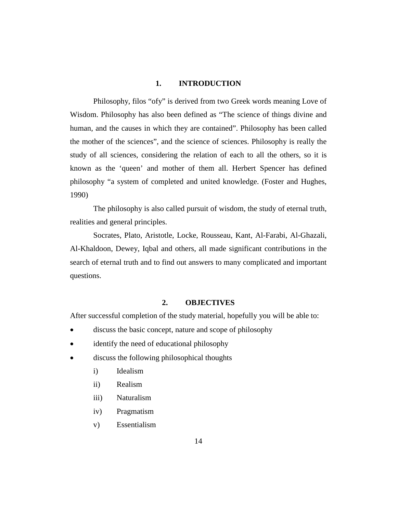#### **1. INTRODUCTION**

Philosophy, filos "ofy" is derived from two Greek words meaning Love of Wisdom. Philosophy has also been defined as "The science of things divine and human, and the causes in which they are contained". Philosophy has been called the mother of the sciences", and the science of sciences. Philosophy is really the study of all sciences, considering the relation of each to all the others, so it is known as the 'queen' and mother of them all. Herbert Spencer has defined philosophy "a system of completed and united knowledge. (Foster and Hughes, 1990)

The philosophy is also called pursuit of wisdom, the study of eternal truth, realities and general principles.

Socrates, Plato, Aristotle, Locke, Rousseau, Kant, Al-Farabi, Al-Ghazali, Al-Khaldoon, Dewey, Iqbal and others, all made significant contributions in the search of eternal truth and to find out answers to many complicated and important questions.

#### **2. OBJECTIVES**

After successful completion of the study material, hopefully you will be able to:

- discuss the basic concept, nature and scope of philosophy
- identify the need of educational philosophy
- discuss the following philosophical thoughts
	- i) Idealism
	- ii) Realism
	- iii) Naturalism
	- iv) Pragmatism
	- v) Essentialism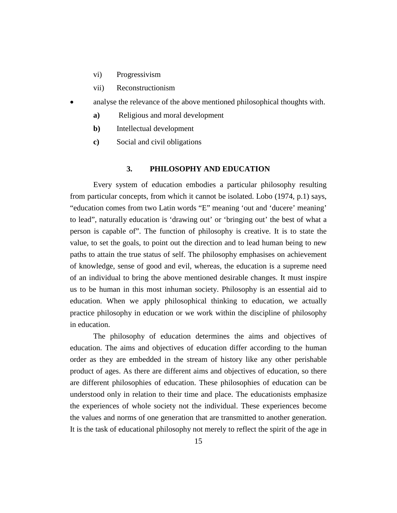- vi) Progressivism
- vii) Reconstructionism
- analyse the relevance of the above mentioned philosophical thoughts with.
	- **a)** Religious and moral development
	- **b)** Intellectual development
	- **c)** Social and civil obligations

#### **3. PHILOSOPHY AND EDUCATION**

Every system of education embodies a particular philosophy resulting from particular concepts, from which it cannot be isolated. Lobo (1974, p.1) says, "education comes from two Latin words "E" meaning 'out and 'ducere' meaning' to lead", naturally education is 'drawing out' or 'bringing out' the best of what a person is capable of". The function of philosophy is creative. It is to state the value, to set the goals, to point out the direction and to lead human being to new paths to attain the true status of self. The philosophy emphasises on achievement of knowledge, sense of good and evil, whereas, the education is a supreme need of an individual to bring the above mentioned desirable changes. It must inspire us to be human in this most inhuman society. Philosophy is an essential aid to education. When we apply philosophical thinking to education, we actually practice philosophy in education or we work within the discipline of philosophy in education.

The philosophy of education determines the aims and objectives of education. The aims and objectives of education differ according to the human order as they are embedded in the stream of history like any other perishable product of ages. As there are different aims and objectives of education, so there are different philosophies of education. These philosophies of education can be understood only in relation to their time and place. The educationists emphasize the experiences of whole society not the individual. These experiences become the values and norms of one generation that are transmitted to another generation. It is the task of educational philosophy not merely to reflect the spirit of the age in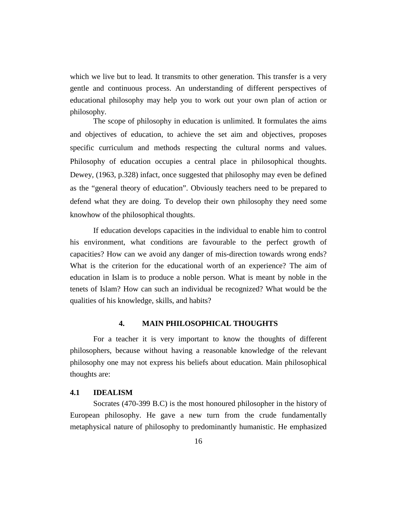which we live but to lead. It transmits to other generation. This transfer is a very gentle and continuous process. An understanding of different perspectives of educational philosophy may help you to work out your own plan of action or philosophy.

The scope of philosophy in education is unlimited. It formulates the aims and objectives of education, to achieve the set aim and objectives, proposes specific curriculum and methods respecting the cultural norms and values. Philosophy of education occupies a central place in philosophical thoughts. Dewey, (1963, p.328) infact, once suggested that philosophy may even be defined as the "general theory of education". Obviously teachers need to be prepared to defend what they are doing. To develop their own philosophy they need some knowhow of the philosophical thoughts.

If education develops capacities in the individual to enable him to control his environment, what conditions are favourable to the perfect growth of capacities? How can we avoid any danger of mis-direction towards wrong ends? What is the criterion for the educational worth of an experience? The aim of education in Islam is to produce a noble person. What is meant by noble in the tenets of Islam? How can such an individual be recognized? What would be the qualities of his knowledge, skills, and habits?

#### **4. MAIN PHILOSOPHICAL THOUGHTS**

For a teacher it is very important to know the thoughts of different philosophers, because without having a reasonable knowledge of the relevant philosophy one may not express his beliefs about education. Main philosophical thoughts are:

#### **4.1 IDEALISM**

Socrates (470-399 B.C) is the most honoured philosopher in the history of European philosophy. He gave a new turn from the crude fundamentally metaphysical nature of philosophy to predominantly humanistic. He emphasized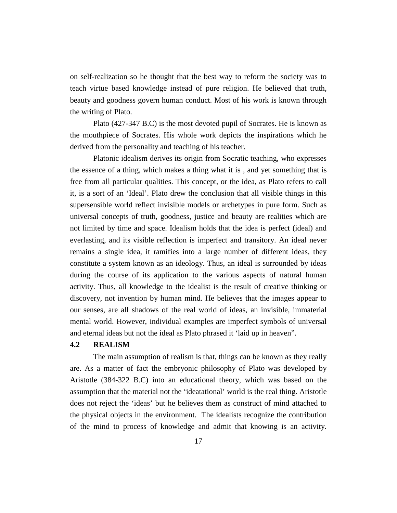on self-realization so he thought that the best way to reform the society was to teach virtue based knowledge instead of pure religion. He believed that truth, beauty and goodness govern human conduct. Most of his work is known through the writing of Plato.

Plato (427-347 B.C) is the most devoted pupil of Socrates. He is known as the mouthpiece of Socrates. His whole work depicts the inspirations which he derived from the personality and teaching of his teacher.

Platonic idealism derives its origin from Socratic teaching, who expresses the essence of a thing, which makes a thing what it is , and yet something that is free from all particular qualities. This concept, or the idea, as Plato refers to call it, is a sort of an 'Ideal'. Plato drew the conclusion that all visible things in this supersensible world reflect invisible models or archetypes in pure form. Such as universal concepts of truth, goodness, justice and beauty are realities which are not limited by time and space. Idealism holds that the idea is perfect (ideal) and everlasting, and its visible reflection is imperfect and transitory. An ideal never remains a single idea, it ramifies into a large number of different ideas, they constitute a system known as an ideology. Thus, an ideal is surrounded by ideas during the course of its application to the various aspects of natural human activity. Thus, all knowledge to the idealist is the result of creative thinking or discovery, not invention by human mind. He believes that the images appear to our senses, are all shadows of the real world of ideas, an invisible, immaterial mental world. However, individual examples are imperfect symbols of universal and eternal ideas but not the ideal as Plato phrased it 'laid up in heaven".

#### **4.2 REALISM**

The main assumption of realism is that, things can be known as they really are. As a matter of fact the embryonic philosophy of Plato was developed by Aristotle (384-322 B.C) into an educational theory, which was based on the assumption that the material not the 'ideatational' world is the real thing. Aristotle does not reject the 'ideas' but he believes them as construct of mind attached to the physical objects in the environment. The idealists recognize the contribution of the mind to process of knowledge and admit that knowing is an activity.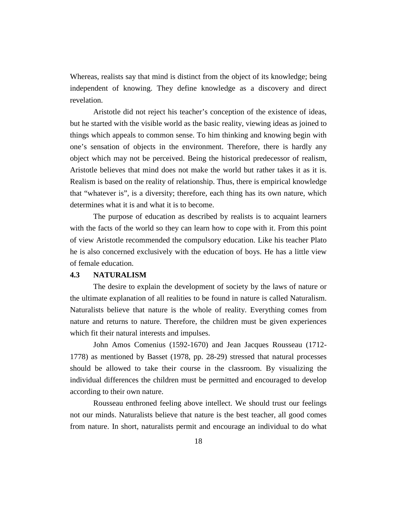Whereas, realists say that mind is distinct from the object of its knowledge; being independent of knowing. They define knowledge as a discovery and direct revelation.

Aristotle did not reject his teacher's conception of the existence of ideas, but he started with the visible world as the basic reality, viewing ideas as joined to things which appeals to common sense. To him thinking and knowing begin with one's sensation of objects in the environment. Therefore, there is hardly any object which may not be perceived. Being the historical predecessor of realism, Aristotle believes that mind does not make the world but rather takes it as it is. Realism is based on the reality of relationship. Thus, there is empirical knowledge that "whatever is", is a diversity; therefore, each thing has its own nature, which determines what it is and what it is to become.

The purpose of education as described by realists is to acquaint learners with the facts of the world so they can learn how to cope with it. From this point of view Aristotle recommended the compulsory education. Like his teacher Plato he is also concerned exclusively with the education of boys. He has a little view of female education.

#### **4.3 NATURALISM**

The desire to explain the development of society by the laws of nature or the ultimate explanation of all realities to be found in nature is called Naturalism. Naturalists believe that nature is the whole of reality. Everything comes from nature and returns to nature. Therefore, the children must be given experiences which fit their natural interests and impulses.

John Amos Comenius (1592-1670) and Jean Jacques Rousseau (1712- 1778) as mentioned by Basset (1978, pp. 28-29) stressed that natural processes should be allowed to take their course in the classroom. By visualizing the individual differences the children must be permitted and encouraged to develop according to their own nature.

Rousseau enthroned feeling above intellect. We should trust our feelings not our minds. Naturalists believe that nature is the best teacher, all good comes from nature. In short, naturalists permit and encourage an individual to do what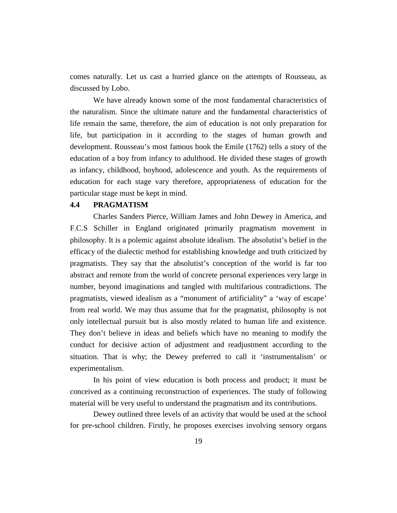comes naturally. Let us cast a hurried glance on the attempts of Rousseau, as discussed by Lobo.

We have already known some of the most fundamental characteristics of the naturalism. Since the ultimate nature and the fundamental characteristics of life remain the same, therefore, the aim of education is not only preparation for life, but participation in it according to the stages of human growth and development. Rousseau's most famous book the Emile (1762) tells a story of the education of a boy from infancy to adulthood. He divided these stages of growth as infancy, childhood, boyhood, adolescence and youth. As the requirements of education for each stage vary therefore, appropriateness of education for the particular stage must be kept in mind.

#### **4.4 PRAGMATISM**

Charles Sanders Pierce, William James and John Dewey in America, and F.C.S Schiller in England originated primarily pragmatism movement in philosophy. It is a polemic against absolute idealism. The absolutist's belief in the efficacy of the dialectic method for establishing knowledge and truth criticized by pragmatists. They say that the absolutist's conception of the world is far too abstract and remote from the world of concrete personal experiences very large in number, beyond imaginations and tangled with multifarious contradictions. The pragmatists, viewed idealism as a "monument of artificiality" a 'way of escape' from real world. We may thus assume that for the pragmatist, philosophy is not only intellectual pursuit but is also mostly related to human life and existence. They don't believe in ideas and beliefs which have no meaning to modify the conduct for decisive action of adjustment and readjustment according to the situation. That is why; the Dewey preferred to call it 'instrumentalism' or experimentalism.

In his point of view education is both process and product; it must be conceived as a continuing reconstruction of experiences. The study of following material will be very useful to understand the pragmatism and its contributions.

Dewey outlined three levels of an activity that would be used at the school for pre-school children. Firstly, he proposes exercises involving sensory organs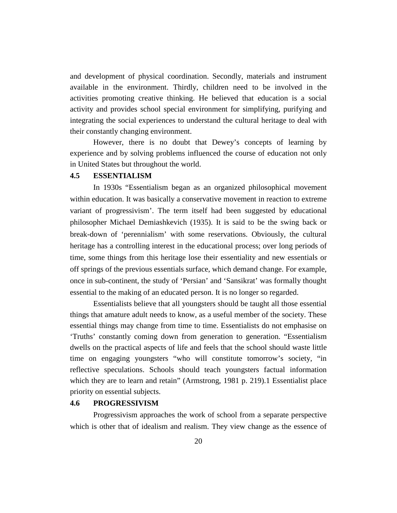and development of physical coordination. Secondly, materials and instrument available in the environment. Thirdly, children need to be involved in the activities promoting creative thinking. He believed that education is a social activity and provides school special environment for simplifying, purifying and integrating the social experiences to understand the cultural heritage to deal with their constantly changing environment.

However, there is no doubt that Dewey's concepts of learning by experience and by solving problems influenced the course of education not only in United States but throughout the world.

#### **4.5 ESSENTIALISM**

In 1930s "Essentialism began as an organized philosophical movement within education. It was basically a conservative movement in reaction to extreme variant of progressivism'. The term itself had been suggested by educational philosopher Michael Demiashkevich (1935). It is said to be the swing back or break-down of 'perennialism' with some reservations. Obviously, the cultural heritage has a controlling interest in the educational process; over long periods of time, some things from this heritage lose their essentiality and new essentials or off springs of the previous essentials surface, which demand change. For example, once in sub-continent, the study of 'Persian' and 'Sansikrat' was formally thought essential to the making of an educated person. It is no longer so regarded.

Essentialists believe that all youngsters should be taught all those essential things that amature adult needs to know, as a useful member of the society. These essential things may change from time to time. Essentialists do not emphasise on 'Truths' constantly coming down from generation to generation. "Essentialism dwells on the practical aspects of life and feels that the school should waste little time on engaging youngsters "who will constitute tomorrow's society, "in reflective speculations. Schools should teach youngsters factual information which they are to learn and retain" (Armstrong, 1981 p. 219).1 Essentialist place priority on essential subjects.

#### **4.6 PROGRESSIVISM**

Progressivism approaches the work of school from a separate perspective which is other that of idealism and realism. They view change as the essence of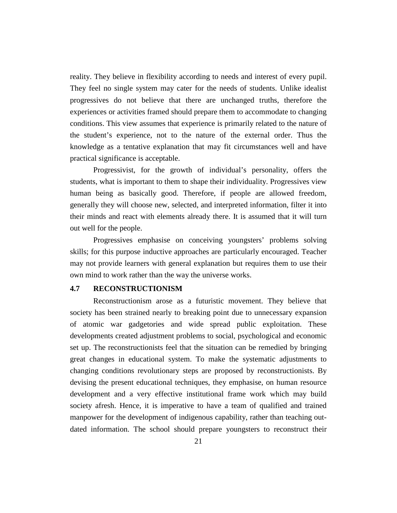reality. They believe in flexibility according to needs and interest of every pupil. They feel no single system may cater for the needs of students. Unlike idealist progressives do not believe that there are unchanged truths, therefore the experiences or activities framed should prepare them to accommodate to changing conditions. This view assumes that experience is primarily related to the nature of the student's experience, not to the nature of the external order. Thus the knowledge as a tentative explanation that may fit circumstances well and have practical significance is acceptable.

Progressivist, for the growth of individual's personality, offers the students, what is important to them to shape their individuality. Progressives view human being as basically good. Therefore, if people are allowed freedom, generally they will choose new, selected, and interpreted information, filter it into their minds and react with elements already there. It is assumed that it will turn out well for the people.

Progressives emphasise on conceiving youngsters' problems solving skills; for this purpose inductive approaches are particularly encouraged. Teacher may not provide learners with general explanation but requires them to use their own mind to work rather than the way the universe works.

#### **4.7 RECONSTRUCTIONISM**

Reconstructionism arose as a futuristic movement. They believe that society has been strained nearly to breaking point due to unnecessary expansion of atomic war gadgetories and wide spread public exploitation. These developments created adjustment problems to social, psychological and economic set up. The reconstructionists feel that the situation can be remedied by bringing great changes in educational system. To make the systematic adjustments to changing conditions revolutionary steps are proposed by reconstructionists. By devising the present educational techniques, they emphasise, on human resource development and a very effective institutional frame work which may build society afresh. Hence, it is imperative to have a team of qualified and trained manpower for the development of indigenous capability, rather than teaching outdated information. The school should prepare youngsters to reconstruct their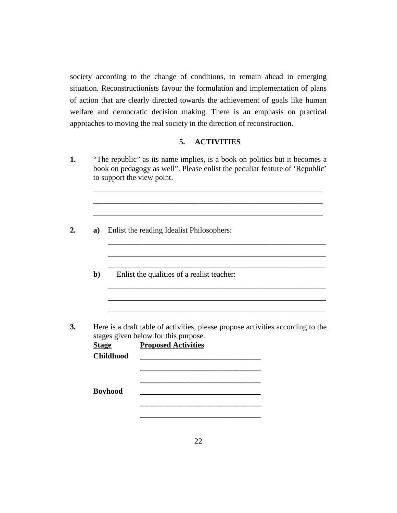society according to the change of conditions, to remain ahead in emerging situation. Reconstructionists favour the formulation and implementation of plans of action that are clearly directed towards the achievement of goals like human welfare and democratic decision making. There is an emphasis on practical approaches to moving the real society in the direction of reconstruction.

#### **5. ACTIVITIES**

\_\_\_\_\_\_\_\_\_\_\_\_\_\_\_\_\_\_\_\_\_\_\_\_\_\_\_\_\_\_\_\_\_\_\_\_\_\_\_\_\_\_\_\_\_\_\_\_\_\_\_\_\_\_\_\_\_\_\_ \_\_\_\_\_\_\_\_\_\_\_\_\_\_\_\_\_\_\_\_\_\_\_\_\_\_\_\_\_\_\_\_\_\_\_\_\_\_\_\_\_\_\_\_\_\_\_\_\_\_\_\_\_\_\_\_\_\_\_ \_\_\_\_\_\_\_\_\_\_\_\_\_\_\_\_\_\_\_\_\_\_\_\_\_\_\_\_\_\_\_\_\_\_\_\_\_\_\_\_\_\_\_\_\_\_\_\_\_\_\_\_\_\_\_\_\_\_\_

\_\_\_\_\_\_\_\_\_\_\_\_\_\_\_\_\_\_\_\_\_\_\_\_\_\_\_\_\_\_\_\_\_\_\_\_\_\_\_\_\_\_\_\_\_\_\_\_\_\_\_\_\_\_\_\_ \_\_\_\_\_\_\_\_\_\_\_\_\_\_\_\_\_\_\_\_\_\_\_\_\_\_\_\_\_\_\_\_\_\_\_\_\_\_\_\_\_\_\_\_\_\_\_\_\_\_\_\_\_\_\_\_ \_\_\_\_\_\_\_\_\_\_\_\_\_\_\_\_\_\_\_\_\_\_\_\_\_\_\_\_\_\_\_\_\_\_\_\_\_\_\_\_\_\_\_\_\_\_\_\_\_\_\_\_\_\_\_\_

\_\_\_\_\_\_\_\_\_\_\_\_\_\_\_\_\_\_\_\_\_\_\_\_\_\_\_\_\_\_\_\_\_\_\_\_\_\_\_\_\_\_\_\_\_\_\_\_\_\_\_\_\_\_\_\_ \_\_\_\_\_\_\_\_\_\_\_\_\_\_\_\_\_\_\_\_\_\_\_\_\_\_\_\_\_\_\_\_\_\_\_\_\_\_\_\_\_\_\_\_\_\_\_\_\_\_\_\_\_\_\_\_ \_\_\_\_\_\_\_\_\_\_\_\_\_\_\_\_\_\_\_\_\_\_\_\_\_\_\_\_\_\_\_\_\_\_\_\_\_\_\_\_\_\_\_\_\_\_\_\_\_\_\_\_\_\_\_\_

- **1.** "The republic" as its name implies, is a book on politics but it becomes a book on pedagogy as well". Please enlist the peculiar feature of 'Republic' to support the view point.
- **2. a)** Enlist the reading Idealist Philosophers:
	- **b**) Enlist the qualities of a realist teacher:
- **3.** Here is a draft table of activities, please propose activities according to the stages given below for this purpose.

| <b>Stage</b>     | <b>Proposed Activities</b> |
|------------------|----------------------------|
| <b>Childhood</b> |                            |
|                  |                            |
|                  |                            |
|                  |                            |
| <b>Boyhood</b>   |                            |
|                  |                            |
|                  |                            |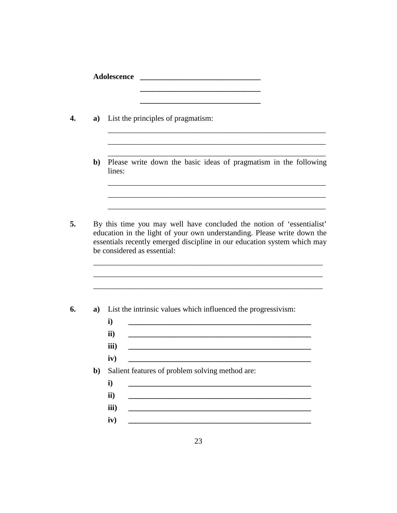| a)           | the control of the control of the control of the control of the control of the control of<br>List the principles of pragmatism:                                                                                                                             |
|--------------|-------------------------------------------------------------------------------------------------------------------------------------------------------------------------------------------------------------------------------------------------------------|
| $\mathbf{b}$ | Please write down the basic ideas of pragmatism in the following<br>lines:                                                                                                                                                                                  |
|              | By this time you may well have concluded the notion of 'essentialist'<br>education in the light of your own understanding. Please write down the<br>essentials recently emerged discipline in our education system which may<br>be considered as essential: |
| a)           | List the intrinsic values which influenced the progressivism:<br>$\mathbf{i}$<br><u> 1989 - Johann Barn, mars eta bat erroman erroman erroman erroman erroman erroman erroman erroman erroman err</u>                                                       |
|              | $\mathbf{ii}$<br>iii)<br>iv)                                                                                                                                                                                                                                |
| $b$          | Salient features of problem solving method are:<br>i)                                                                                                                                                                                                       |
|              | ii)                                                                                                                                                                                                                                                         |
|              |                                                                                                                                                                                                                                                             |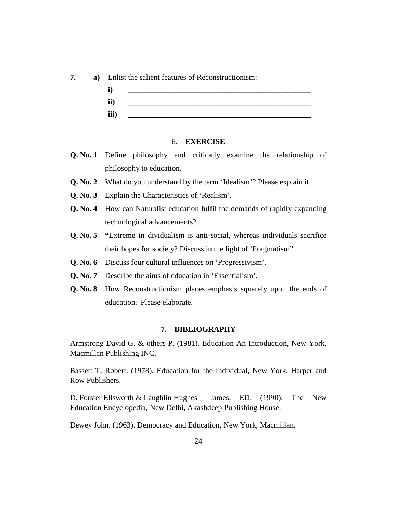



#### 6. **EXERCISE**

- **Q. No. 1** Define philosophy and critically examine the relationship of philosophy to education.
- **Q. No. 2** What do you understand by the term 'Idealism'? Please explain it.
- **Q. No. 3** Explain the Characteristics of 'Realism'.
- **Q. No. 4** How can Naturalist education fulfil the demands of rapidly expanding technological advancements?
- **Q. No. 5 "**Extreme in dividualism is anti-social, whereas individuals sacrifice their hopes for society? Discuss in the light of 'Pragmatism".
- **Q. No. 6** Discuss four cultural influences on 'Progressivism'.
- **Q. No. 7** Describe the aims of education in 'Essentialism'.
- **Q. No. 8** How Reconstructionism places emphasis squarely upon the ends of education? Please elaborate.

#### **7. BIBLIOGRAPHY**

Armstrong David G. & others P. (1981). Education An Introduction, New York, Macmillan Publishing INC.

Bassett T. Robert. (1978). Education for the Individual, New York, Harper and Row Publishers.

D. Forster Ellsworth & Laughlin Hughes James, ED. (1990). The New Education Encyclopedia, New Delhi, Akashdeep Publishing House.

Dewey John. (1963). Democracy and Education, New York, Macmillan.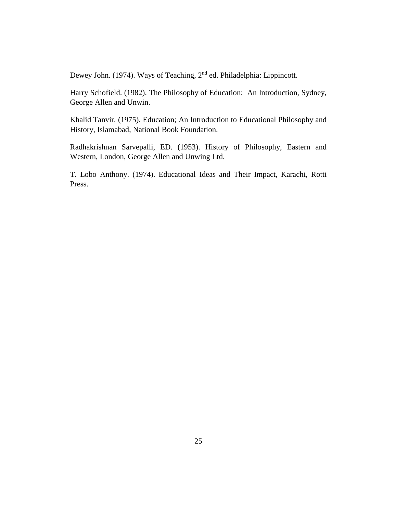Dewey John. (1974). Ways of Teaching, 2nd ed. Philadelphia: Lippincott.

Harry Schofield. (1982). The Philosophy of Education: An Introduction, Sydney, George Allen and Unwin.

Khalid Tanvir. (1975). Education; An Introduction to Educational Philosophy and History, Islamabad, National Book Foundation.

Radhakrishnan Sarvepalli, ED. (1953). History of Philosophy, Eastern and Western, London, George Allen and Unwing Ltd.

T. Lobo Anthony. (1974). Educational Ideas and Their Impact, Karachi, Rotti Press.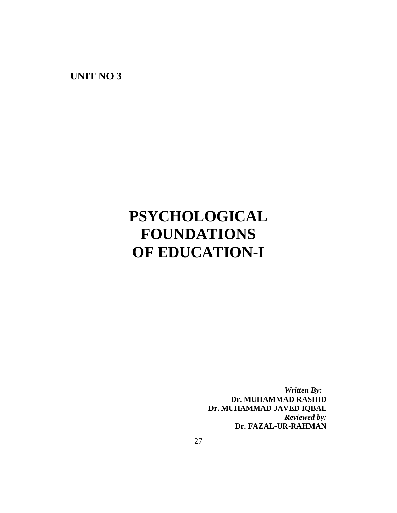**UNIT NO 3**

# **PSYCHOLOGICAL FOUNDATIONS OF EDUCATION-I**

*Written By:* **Dr. MUHAMMAD RASHID Dr. MUHAMMAD JAVED IQBAL** *Reviewed by:* **Dr. FAZAL-UR-RAHMAN**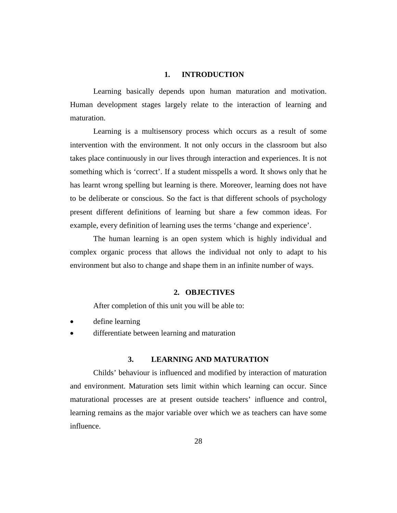## **1. INTRODUCTION**

Learning basically depends upon human maturation and motivation. Human development stages largely relate to the interaction of learning and maturation.

Learning is a multisensory process which occurs as a result of some intervention with the environment. It not only occurs in the classroom but also takes place continuously in our lives through interaction and experiences. It is not something which is 'correct'. If a student misspells a word. It shows only that he has learnt wrong spelling but learning is there. Moreover, learning does not have to be deliberate or conscious. So the fact is that different schools of psychology present different definitions of learning but share a few common ideas. For example, every definition of learning uses the terms 'change and experience'.

The human learning is an open system which is highly individual and complex organic process that allows the individual not only to adapt to his environment but also to change and shape them in an infinite number of ways.

## **2. OBJECTIVES**

After completion of this unit you will be able to:

- define learning
- differentiate between learning and maturation

# **3. LEARNING AND MATURATION**

Childs' behaviour is influenced and modified by interaction of maturation and environment. Maturation sets limit within which learning can occur. Since maturational processes are at present outside teachers' influence and control, learning remains as the major variable over which we as teachers can have some influence.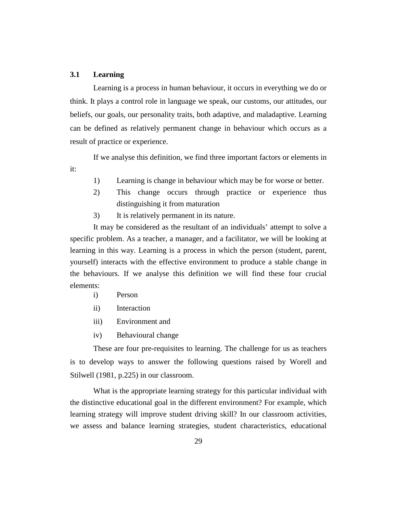# **3.1 Learning**

Learning is a process in human behaviour, it occurs in everything we do or think. It plays a control role in language we speak, our customs, our attitudes, our beliefs, our goals, our personality traits, both adaptive, and maladaptive. Learning can be defined as relatively permanent change in behaviour which occurs as a result of practice or experience.

If we analyse this definition, we find three important factors or elements in it:

- 1) Learning is change in behaviour which may be for worse or better.
- 2) This change occurs through practice or experience thus distinguishing it from maturation
- 3) It is relatively permanent in its nature.

It may be considered as the resultant of an individuals' attempt to solve a specific problem. As a teacher, a manager, and a facilitator, we will be looking at learning in this way. Learning is a process in which the person (student, parent, yourself) interacts with the effective environment to produce a stable change in the behaviours. If we analyse this definition we will find these four crucial elements:

- i) Person
- ii) Interaction
- iii) Environment and
- iv) Behavioural change

These are four pre-requisites to learning. The challenge for us as teachers is to develop ways to answer the following questions raised by Worell and Stilwell (1981, p.225) in our classroom.

What is the appropriate learning strategy for this particular individual with the distinctive educational goal in the different environment? For example, which learning strategy will improve student driving skill? In our classroom activities, we assess and balance learning strategies, student characteristics, educational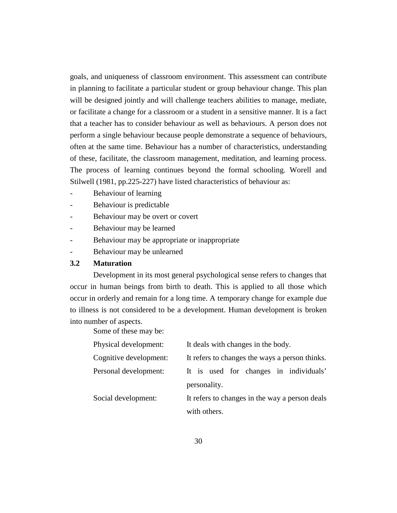goals, and uniqueness of classroom environment. This assessment can contribute in planning to facilitate a particular student or group behaviour change. This plan will be designed jointly and will challenge teachers abilities to manage, mediate, or facilitate a change for a classroom or a student in a sensitive manner. It is a fact that a teacher has to consider behaviour as well as behaviours. A person does not perform a single behaviour because people demonstrate a sequence of behaviours, often at the same time. Behaviour has a number of characteristics, understanding of these, facilitate, the classroom management, meditation, and learning process. The process of learning continues beyond the formal schooling. Worell and Stilwell (1981, pp.225-227) have listed characteristics of behaviour as:

- Behaviour of learning
- Behaviour is predictable
- Behaviour may be overt or covert
- Behaviour may be learned
- Behaviour may be appropriate or inappropriate
- Behaviour may be unlearned

# **3.2 Maturation**

Development in its most general psychological sense refers to changes that occur in human beings from birth to death. This is applied to all those which occur in orderly and remain for a long time. A temporary change for example due to illness is not considered to be a development. Human development is broken into number of aspects.

Some of these may be:

| Physical development:  | It deals with changes in the body.             |
|------------------------|------------------------------------------------|
| Cognitive development: | It refers to changes the ways a person thinks. |
| Personal development:  | It is used for changes in individuals'         |
|                        | personality.                                   |
| Social development:    | It refers to changes in the way a person deals |
|                        | with others.                                   |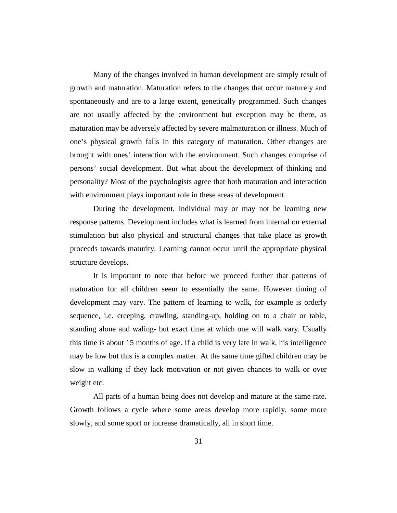Many of the changes involved in human development are simply result of growth and maturation. Maturation refers to the changes that occur maturely and spontaneously and are to a large extent, genetically programmed. Such changes are not usually affected by the environment but exception may be there, as maturation may be adversely affected by severe malmaturation or illness. Much of one's physical growth falls in this category of maturation. Other changes are brought with ones' interaction with the environment. Such changes comprise of persons' social development. But what about the development of thinking and personality? Most of the psychologists agree that both maturation and interaction with environment plays important role in these areas of development.

During the development, individual may or may not be learning new response patterns. Development includes what is learned from internal on external stimulation but also physical and structural changes that take place as growth proceeds towards maturity. Learning cannot occur until the appropriate physical structure develops.

It is important to note that before we proceed further that patterns of maturation for all children seem to essentially the same. However timing of development may vary. The pattern of learning to walk, for example is orderly sequence, i.e. creeping, crawling, standing-up, holding on to a chair or table, standing alone and waling- but exact time at which one will walk vary. Usually this time is about 15 months of age. If a child is very late in walk, his intelligence may be low but this is a complex matter. At the same time gifted children may be slow in walking if they lack motivation or not given chances to walk or over weight etc.

All parts of a human being does not develop and mature at the same rate. Growth follows a cycle where some areas develop more rapidly, some more slowly, and some sport or increase dramatically, all in short time.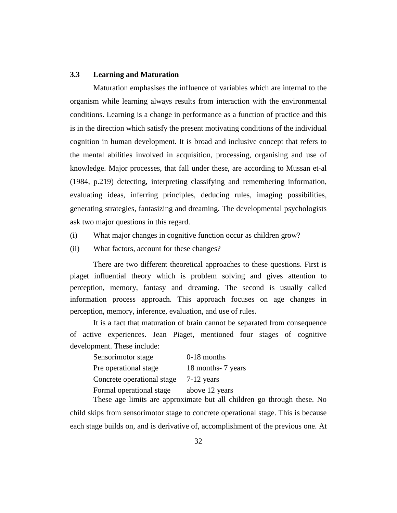# **3.3 Learning and Maturation**

Maturation emphasises the influence of variables which are internal to the organism while learning always results from interaction with the environmental conditions. Learning is a change in performance as a function of practice and this is in the direction which satisfy the present motivating conditions of the individual cognition in human development. It is broad and inclusive concept that refers to the mental abilities involved in acquisition, processing, organising and use of knowledge. Major processes, that fall under these, are according to Mussan et-al (1984, p.219) detecting, interpreting classifying and remembering information, evaluating ideas, inferring principles, deducing rules, imaging possibilities, generating strategies, fantasizing and dreaming. The developmental psychologists ask two major questions in this regard.

- (i) What major changes in cognitive function occur as children grow?
- (ii) What factors, account for these changes?

There are two different theoretical approaches to these questions. First is piaget influential theory which is problem solving and gives attention to perception, memory, fantasy and dreaming. The second is usually called information process approach. This approach focuses on age changes in perception, memory, inference, evaluation, and use of rules.

It is a fact that maturation of brain cannot be separated from consequence of active experiences. Jean Piaget, mentioned four stages of cognitive development. These include:

| Sensorimotor stage         | 0-18 months                |
|----------------------------|----------------------------|
| Pre operational stage      | 18 months - 7 years        |
| Concrete operational stage | $7-12$ years               |
| Formal operational stage   | above 12 years             |
| T <sub>1</sub>             | $\ddotsc$ , 1, 11, 1, 1, 1 |

These age limits are approximate but all children go through these. No child skips from sensorimotor stage to concrete operational stage. This is because each stage builds on, and is derivative of, accomplishment of the previous one. At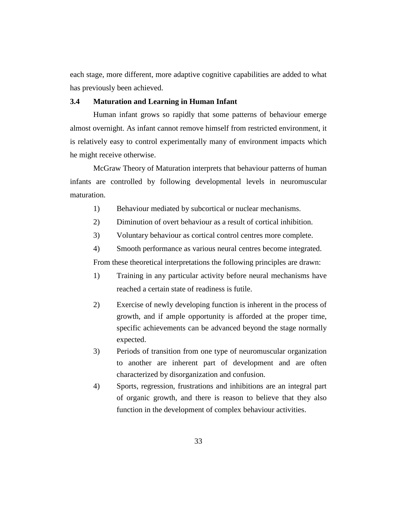each stage, more different, more adaptive cognitive capabilities are added to what has previously been achieved.

## **3.4 Maturation and Learning in Human Infant**

Human infant grows so rapidly that some patterns of behaviour emerge almost overnight. As infant cannot remove himself from restricted environment, it is relatively easy to control experimentally many of environment impacts which he might receive otherwise.

McGraw Theory of Maturation interprets that behaviour patterns of human infants are controlled by following developmental levels in neuromuscular maturation.

- 1) Behaviour mediated by subcortical or nuclear mechanisms.
- 2) Diminution of overt behaviour as a result of cortical inhibition.
- 3) Voluntary behaviour as cortical control centres more complete.
- 4) Smooth performance as various neural centres become integrated.

From these theoretical interpretations the following principles are drawn:

- 1) Training in any particular activity before neural mechanisms have reached a certain state of readiness is futile.
- 2) Exercise of newly developing function is inherent in the process of growth, and if ample opportunity is afforded at the proper time, specific achievements can be advanced beyond the stage normally expected.
- 3) Periods of transition from one type of neuromuscular organization to another are inherent part of development and are often characterized by disorganization and confusion.
- 4) Sports, regression, frustrations and inhibitions are an integral part of organic growth, and there is reason to believe that they also function in the development of complex behaviour activities.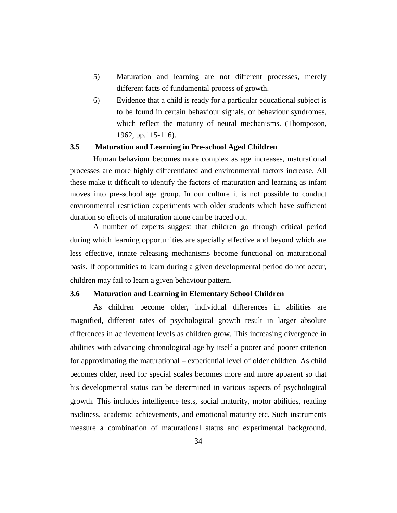- 5) Maturation and learning are not different processes, merely different facts of fundamental process of growth.
- 6) Evidence that a child is ready for a particular educational subject is to be found in certain behaviour signals, or behaviour syndromes, which reflect the maturity of neural mechanisms. (Thomposon, 1962, pp.115-116).

## **3.5 Maturation and Learning in Pre-school Aged Children**

Human behaviour becomes more complex as age increases, maturational processes are more highly differentiated and environmental factors increase. All these make it difficult to identify the factors of maturation and learning as infant moves into pre-school age group. In our culture it is not possible to conduct environmental restriction experiments with older students which have sufficient duration so effects of maturation alone can be traced out.

A number of experts suggest that children go through critical period during which learning opportunities are specially effective and beyond which are less effective, innate releasing mechanisms become functional on maturational basis. If opportunities to learn during a given developmental period do not occur, children may fail to learn a given behaviour pattern.

#### **3.6 Maturation and Learning in Elementary School Children**

As children become older, individual differences in abilities are magnified, different rates of psychological growth result in larger absolute differences in achievement levels as children grow. This increasing divergence in abilities with advancing chronological age by itself a poorer and poorer criterion for approximating the maturational – experiential level of older children. As child becomes older, need for special scales becomes more and more apparent so that his developmental status can be determined in various aspects of psychological growth. This includes intelligence tests, social maturity, motor abilities, reading readiness, academic achievements, and emotional maturity etc. Such instruments measure a combination of maturational status and experimental background.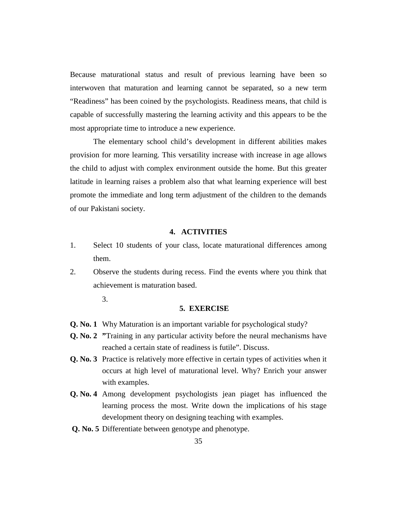Because maturational status and result of previous learning have been so interwoven that maturation and learning cannot be separated, so a new term "Readiness" has been coined by the psychologists. Readiness means, that child is capable of successfully mastering the learning activity and this appears to be the most appropriate time to introduce a new experience.

The elementary school child's development in different abilities makes provision for more learning. This versatility increase with increase in age allows the child to adjust with complex environment outside the home. But this greater latitude in learning raises a problem also that what learning experience will best promote the immediate and long term adjustment of the children to the demands of our Pakistani society.

# **4. ACTIVITIES**

- 1. Select 10 students of your class, locate maturational differences among them.
- 2. Observe the students during recess. Find the events where you think that achievement is maturation based.
	- 3.

#### **5. EXERCISE**

- **Q. No. 1** Why Maturation is an important variable for psychological study?
- **Q. No. 2 "**Training in any particular activity before the neural mechanisms have reached a certain state of readiness is futile". Discuss.
- **Q. No. 3** Practice is relatively more effective in certain types of activities when it occurs at high level of maturational level. Why? Enrich your answer with examples.
- **Q. No. 4** Among development psychologists jean piaget has influenced the learning process the most. Write down the implications of his stage development theory on designing teaching with examples.
- **Q. No. 5** Differentiate between genotype and phenotype.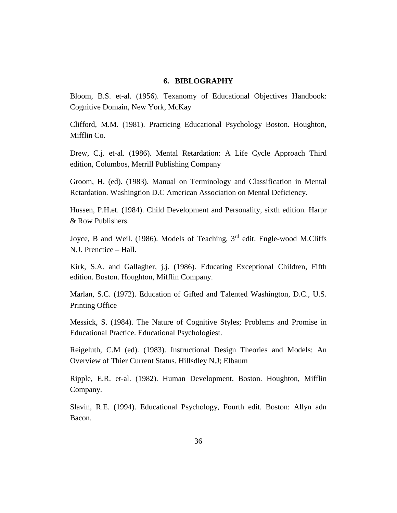# **6. BIBLOGRAPHY**

Bloom, B.S. et-al. (1956). Texanomy of Educational Objectives Handbook: Cognitive Domain, New York, McKay

Clifford, M.M. (1981). Practicing Educational Psychology Boston. Houghton, Mifflin Co.

Drew, C.j. et-al. (1986). Mental Retardation: A Life Cycle Approach Third edition, Columbos, Merrill Publishing Company

Groom, H. (ed). (1983). Manual on Terminology and Classification in Mental Retardation. Washingtion D.C American Association on Mental Deficiency.

Hussen, P.H.et. (1984). Child Development and Personality, sixth edition. Harpr & Row Publishers.

Joyce, B and Weil. (1986). Models of Teaching, 3<sup>rd</sup> edit. Engle-wood M.Cliffs N.J. Prenctice – Hall.

Kirk, S.A. and Gallagher, j.j. (1986). Educating Exceptional Children, Fifth edition. Boston. Houghton, Mifflin Company.

Marlan, S.C. (1972). Education of Gifted and Talented Washington, D.C., U.S. Printing Office

Messick, S. (1984). The Nature of Cognitive Styles; Problems and Promise in Educational Practice. Educational Psychologiest.

Reigeluth, C.M (ed). (1983). Instructional Design Theories and Models: An Overview of Thier Current Status. Hillsdley N.J; Elbaum

Ripple, E.R. et-al. (1982). Human Development. Boston. Houghton, Mifflin Company.

Slavin, R.E. (1994). Educational Psychology, Fourth edit. Boston: Allyn adn Bacon.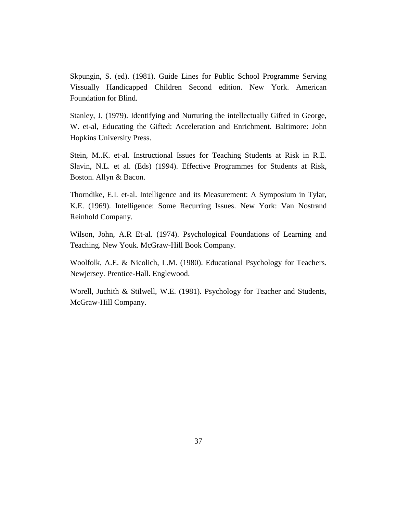Skpungin, S. (ed). (1981). Guide Lines for Public School Programme Serving Vissually Handicapped Children Second edition. New York. American Foundation for Blind.

Stanley, J, (1979). Identifying and Nurturing the intellectually Gifted in George, W. et-al, Educating the Gifted: Acceleration and Enrichment. Baltimore: John Hopkins University Press.

Stein, M..K. et-al. Instructional Issues for Teaching Students at Risk in R.E. Slavin, N.L. et al. (Eds) (1994). Effective Programmes for Students at Risk, Boston. Allyn & Bacon.

Thorndike, E.L et-al. Intelligence and its Measurement: A Symposium in Tylar, K.E. (1969). Intelligence: Some Recurring Issues. New York: Van Nostrand Reinhold Company.

Wilson, John, A.R Et-al. (1974). Psychological Foundations of Learning and Teaching. New Youk. McGraw-Hill Book Company.

Woolfolk, A.E. & Nicolich, L.M. (1980). Educational Psychology for Teachers. Newjersey. Prentice-Hall. Englewood.

Worell, Juchith & Stilwell, W.E. (1981). Psychology for Teacher and Students, McGraw-Hill Company.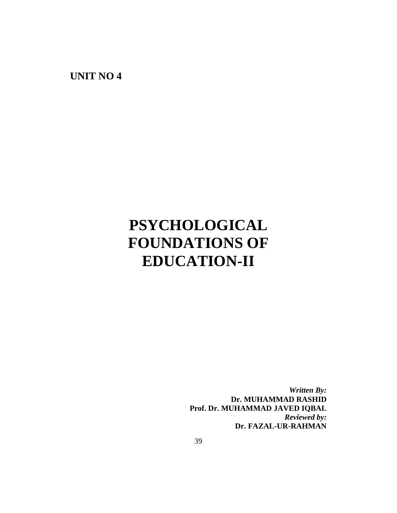**UNIT NO 4**

# **PSYCHOLOGICAL FOUNDATIONS OF EDUCATION-II**

*Written By:* **Dr. MUHAMMAD RASHID Prof. Dr. MUHAMMAD JAVED IQBAL** *Reviewed by:* **Dr. FAZAL-UR-RAHMAN**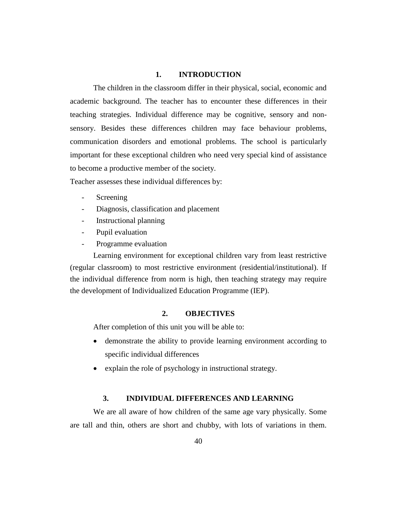# **1. INTRODUCTION**

The children in the classroom differ in their physical, social, economic and academic background. The teacher has to encounter these differences in their teaching strategies. Individual difference may be cognitive, sensory and nonsensory. Besides these differences children may face behaviour problems, communication disorders and emotional problems. The school is particularly important for these exceptional children who need very special kind of assistance to become a productive member of the society.

Teacher assesses these individual differences by:

- **Screening**
- Diagnosis, classification and placement
- Instructional planning
- Pupil evaluation
- Programme evaluation

Learning environment for exceptional children vary from least restrictive (regular classroom) to most restrictive environment (residential/institutional). If the individual difference from norm is high, then teaching strategy may require the development of Individualized Education Programme (IEP).

# **2. OBJECTIVES**

After completion of this unit you will be able to:

- demonstrate the ability to provide learning environment according to specific individual differences
- explain the role of psychology in instructional strategy.

## **3. INDIVIDUAL DIFFERENCES AND LEARNING**

We are all aware of how children of the same age vary physically. Some are tall and thin, others are short and chubby, with lots of variations in them.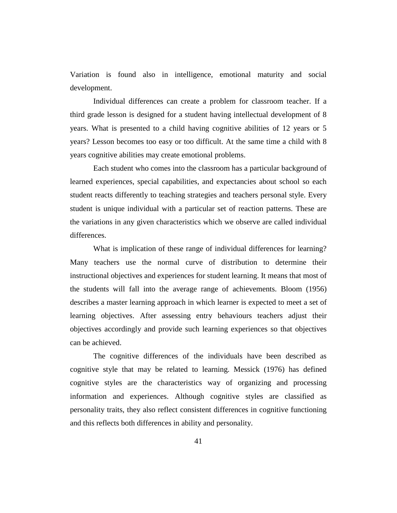Variation is found also in intelligence, emotional maturity and social development.

Individual differences can create a problem for classroom teacher. If a third grade lesson is designed for a student having intellectual development of 8 years. What is presented to a child having cognitive abilities of 12 years or 5 years? Lesson becomes too easy or too difficult. At the same time a child with 8 years cognitive abilities may create emotional problems.

Each student who comes into the classroom has a particular background of learned experiences, special capabilities, and expectancies about school so each student reacts differently to teaching strategies and teachers personal style. Every student is unique individual with a particular set of reaction patterns. These are the variations in any given characteristics which we observe are called individual differences.

What is implication of these range of individual differences for learning? Many teachers use the normal curve of distribution to determine their instructional objectives and experiences for student learning. It means that most of the students will fall into the average range of achievements. Bloom (1956) describes a master learning approach in which learner is expected to meet a set of learning objectives. After assessing entry behaviours teachers adjust their objectives accordingly and provide such learning experiences so that objectives can be achieved.

The cognitive differences of the individuals have been described as cognitive style that may be related to learning. Messick (1976) has defined cognitive styles are the characteristics way of organizing and processing information and experiences. Although cognitive styles are classified as personality traits, they also reflect consistent differences in cognitive functioning and this reflects both differences in ability and personality.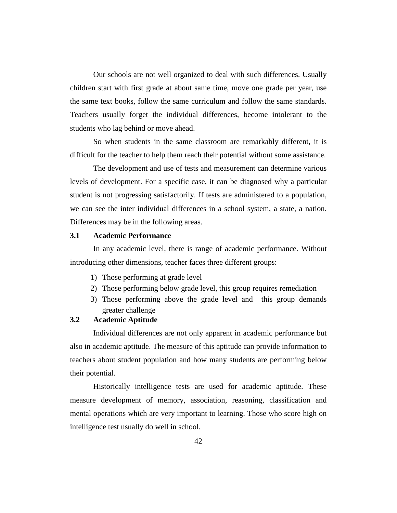Our schools are not well organized to deal with such differences. Usually children start with first grade at about same time, move one grade per year, use the same text books, follow the same curriculum and follow the same standards. Teachers usually forget the individual differences, become intolerant to the students who lag behind or move ahead.

So when students in the same classroom are remarkably different, it is difficult for the teacher to help them reach their potential without some assistance.

The development and use of tests and measurement can determine various levels of development. For a specific case, it can be diagnosed why a particular student is not progressing satisfactorily. If tests are administered to a population, we can see the inter individual differences in a school system, a state, a nation. Differences may be in the following areas.

## **3.1 Academic Performance**

In any academic level, there is range of academic performance. Without introducing other dimensions, teacher faces three different groups:

- 1) Those performing at grade level
- 2) Those performing below grade level, this group requires remediation
- 3) Those performing above the grade level and this group demands greater challenge

## **3.2 Academic Aptitude**

Individual differences are not only apparent in academic performance but also in academic aptitude. The measure of this aptitude can provide information to teachers about student population and how many students are performing below their potential.

Historically intelligence tests are used for academic aptitude. These measure development of memory, association, reasoning, classification and mental operations which are very important to learning. Those who score high on intelligence test usually do well in school.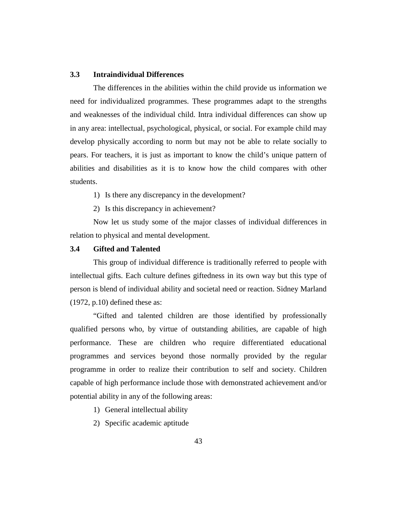## **3.3 Intraindividual Differences**

The differences in the abilities within the child provide us information we need for individualized programmes. These programmes adapt to the strengths and weaknesses of the individual child. Intra individual differences can show up in any area: intellectual, psychological, physical, or social. For example child may develop physically according to norm but may not be able to relate socially to pears. For teachers, it is just as important to know the child's unique pattern of abilities and disabilities as it is to know how the child compares with other students.

1) Is there any discrepancy in the development?

2) Is this discrepancy in achievement?

Now let us study some of the major classes of individual differences in relation to physical and mental development.

## **3.4 Gifted and Talented**

This group of individual difference is traditionally referred to people with intellectual gifts. Each culture defines giftedness in its own way but this type of person is blend of individual ability and societal need or reaction. Sidney Marland (1972, p.10) defined these as:

"Gifted and talented children are those identified by professionally qualified persons who, by virtue of outstanding abilities, are capable of high performance. These are children who require differentiated educational programmes and services beyond those normally provided by the regular programme in order to realize their contribution to self and society. Children capable of high performance include those with demonstrated achievement and/or potential ability in any of the following areas:

- 1) General intellectual ability
- 2) Specific academic aptitude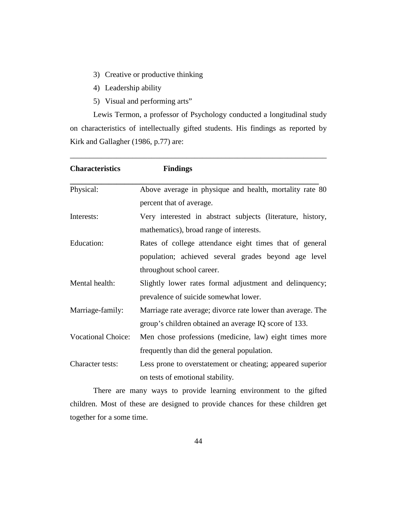- 3) Creative or productive thinking
- 4) Leadership ability
- 5) Visual and performing arts"

Lewis Termon, a professor of Psychology conducted a longitudinal study on characteristics of intellectually gifted students. His findings as reported by Kirk and Gallagher (1986, p.77) are:

\_\_\_\_\_\_\_\_\_\_\_\_\_\_\_\_\_\_\_\_\_\_\_\_\_\_\_\_\_\_\_\_\_\_\_\_\_\_\_\_\_\_\_\_\_\_\_\_\_\_\_\_\_\_\_\_\_\_\_\_\_\_\_\_\_\_

| <b>Characteristics</b>    | <b>Findings</b>                                             |
|---------------------------|-------------------------------------------------------------|
| Physical:                 | Above average in physique and health, mortality rate 80     |
|                           | percent that of average.                                    |
| Interests:                | Very interested in abstract subjects (literature, history,  |
|                           | mathematics), broad range of interests.                     |
| Education:                | Rates of college attendance eight times that of general     |
|                           | population; achieved several grades beyond age level        |
|                           | throughout school career.                                   |
| Mental health:            | Slightly lower rates formal adjustment and delinquency;     |
|                           | prevalence of suicide somewhat lower.                       |
| Marriage-family:          | Marriage rate average; divorce rate lower than average. The |
|                           | group's children obtained an average IQ score of 133.       |
| <b>Vocational Choice:</b> | Men chose professions (medicine, law) eight times more      |
|                           | frequently than did the general population.                 |
| Character tests:          | Less prone to overstatement or cheating; appeared superior  |
|                           | on tests of emotional stability.                            |

There are many ways to provide learning environment to the gifted children. Most of these are designed to provide chances for these children get together for a some time.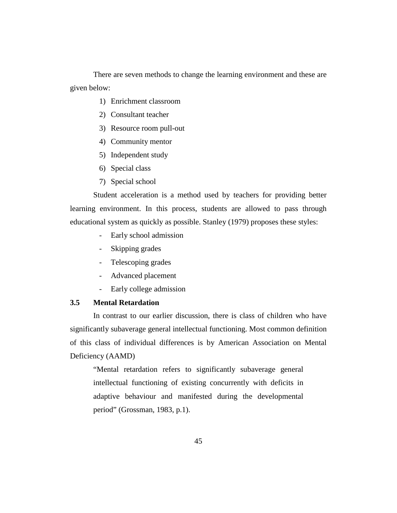There are seven methods to change the learning environment and these are given below:

- 1) Enrichment classroom
- 2) Consultant teacher
- 3) Resource room pull-out
- 4) Community mentor
- 5) Independent study
- 6) Special class
- 7) Special school

Student acceleration is a method used by teachers for providing better learning environment. In this process, students are allowed to pass through educational system as quickly as possible. Stanley (1979) proposes these styles:

- Early school admission
- Skipping grades
- Telescoping grades
- Advanced placement
- Early college admission

## **3.5 Mental Retardation**

In contrast to our earlier discussion, there is class of children who have significantly subaverage general intellectual functioning. Most common definition of this class of individual differences is by American Association on Mental Deficiency (AAMD)

"Mental retardation refers to significantly subaverage general intellectual functioning of existing concurrently with deficits in adaptive behaviour and manifested during the developmental period" (Grossman, 1983, p.1).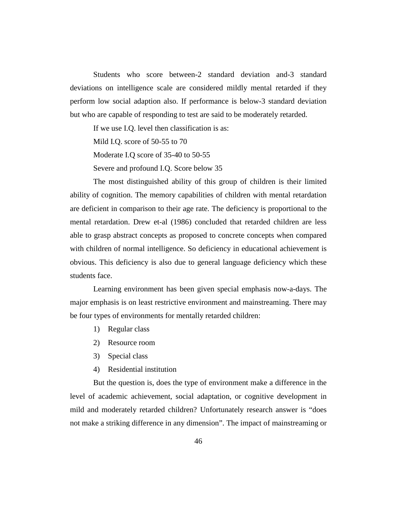Students who score between-2 standard deviation and-3 standard deviations on intelligence scale are considered mildly mental retarded if they perform low social adaption also. If performance is below-3 standard deviation but who are capable of responding to test are said to be moderately retarded.

If we use I.Q. level then classification is as:

Mild I.Q. score of 50-55 to 70

Moderate I.Q score of 35-40 to 50-55

Severe and profound I.Q. Score below 35

The most distinguished ability of this group of children is their limited ability of cognition. The memory capabilities of children with mental retardation are deficient in comparison to their age rate. The deficiency is proportional to the mental retardation. Drew et-al (1986) concluded that retarded children are less able to grasp abstract concepts as proposed to concrete concepts when compared with children of normal intelligence. So deficiency in educational achievement is obvious. This deficiency is also due to general language deficiency which these students face.

Learning environment has been given special emphasis now-a-days. The major emphasis is on least restrictive environment and mainstreaming. There may be four types of environments for mentally retarded children:

- 1) Regular class
- 2) Resource room
- 3) Special class
- 4) Residential institution

But the question is, does the type of environment make a difference in the level of academic achievement, social adaptation, or cognitive development in mild and moderately retarded children? Unfortunately research answer is "does not make a striking difference in any dimension". The impact of mainstreaming or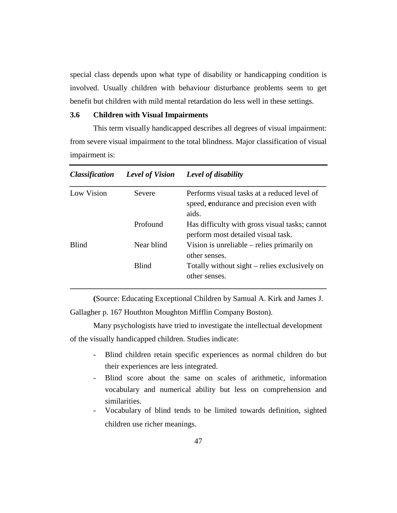special class depends upon what type of disability or handicapping condition is involved. Usually children with behaviour disturbance problems seem to get benefit but children with mild mental retardation do less well in these settings.

#### **3.6 Children with Visual Impairments**

This term visually handicapped describes all degrees of visual impairment: from severe visual impairment to the total blindness. Major classification of visual impairment is:

| <i><b>Classification</b></i> | <b>Level of Vision</b>                                      | Level of disability                                                                              |
|------------------------------|-------------------------------------------------------------|--------------------------------------------------------------------------------------------------|
| Low Vision                   | <b>Severe</b>                                               | Performs visual tasks at a reduced level of<br>speed, endurance and precision even with<br>aids. |
|                              | Profound                                                    | Has difficulty with gross visual tasks; cannot<br>perform most detailed visual task.             |
| <b>Blind</b><br>Near blind   | Vision is unreliable – relies primarily on<br>other senses. |                                                                                                  |
|                              | <b>Blind</b>                                                | Totally without sight – relies exclusively on<br>other senses.                                   |

**(**Source: Educating Exceptional Children by Samual A. Kirk and James J.

Gallagher p. 167 Houthton Moughton Mifflin Company Boston).

Many psychologists have tried to investigate the intellectual development of the visually handicapped children. Studies indicate:

- Blind children retain specific experiences as normal children do but their experiences are less integrated.
- Blind score about the same on scales of arithmetic, information vocabulary and numerical ability but less on comprehension and similarities.
- Vocabulary of blind tends to be limited towards definition, sighted children use richer meanings.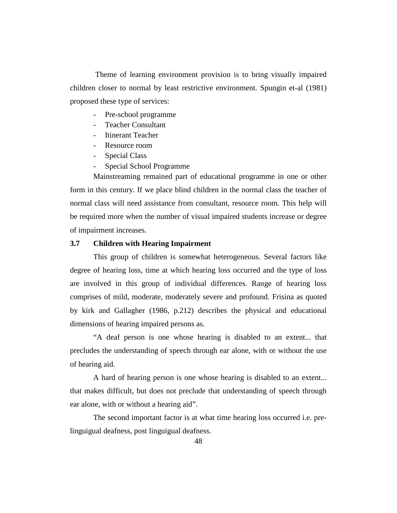Theme of learning environment provision is to bring visually impaired children closer to normal by least restrictive environment. Spungin et-al (1981) proposed these type of services:

- Pre-school programme
- Teacher Consultant
- Itinerant Teacher
- Resource room
- Special Class
- Special School Programme

Mainstreaming remained part of educational programme in one or other form in this century. If we place blind children in the normal class the teacher of normal class will need assistance from consultant, resource room. This help will be required more when the number of visual impaired students increase or degree of impairment increases.

## **3.7 Children with Hearing Impairment**

This group of children is somewhat heterogeneous. Several factors like degree of hearing loss, time at which hearing loss occurred and the type of loss are involved in this group of individual differences. Range of hearing loss comprises of mild, moderate, moderately severe and profound. Frisina as quoted by kirk and Gallagher (1986, p.212) describes the physical and educational dimensions of hearing impaired persons as.

"A deaf person is one whose hearing is disabled to an extent... that precludes the understanding of speech through ear alone, with or without the use of hearing aid.

A hard of hearing person is one whose hearing is disabled to an extent... that makes difficult, but does not preclude that understanding of speech through ear alone, with or without a hearing aid".

The second important factor is at what time hearing loss occurred i.e. prelinguigual deafness, post linguigual deafness.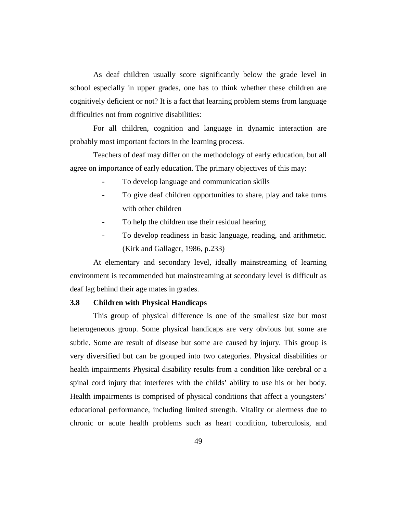As deaf children usually score significantly below the grade level in school especially in upper grades, one has to think whether these children are cognitively deficient or not? It is a fact that learning problem stems from language difficulties not from cognitive disabilities:

For all children, cognition and language in dynamic interaction are probably most important factors in the learning process.

Teachers of deaf may differ on the methodology of early education, but all agree on importance of early education. The primary objectives of this may:

- To develop language and communication skills
- To give deaf children opportunities to share, play and take turns with other children
- To help the children use their residual hearing
- To develop readiness in basic language, reading, and arithmetic. (Kirk and Gallager, 1986, p.233)

At elementary and secondary level, ideally mainstreaming of learning environment is recommended but mainstreaming at secondary level is difficult as deaf lag behind their age mates in grades.

#### **3.8 Children with Physical Handicaps**

This group of physical difference is one of the smallest size but most heterogeneous group. Some physical handicaps are very obvious but some are subtle. Some are result of disease but some are caused by injury. This group is very diversified but can be grouped into two categories. Physical disabilities or health impairments Physical disability results from a condition like cerebral or a spinal cord injury that interferes with the childs' ability to use his or her body. Health impairments is comprised of physical conditions that affect a youngsters' educational performance, including limited strength. Vitality or alertness due to chronic or acute health problems such as heart condition, tuberculosis, and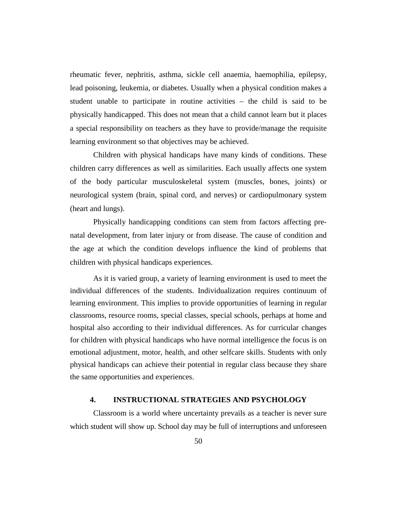rheumatic fever, nephritis, asthma, sickle cell anaemia, haemophilia, epilepsy, lead poisoning, leukemia, or diabetes. Usually when a physical condition makes a student unable to participate in routine activities – the child is said to be physically handicapped. This does not mean that a child cannot learn but it places a special responsibility on teachers as they have to provide/manage the requisite learning environment so that objectives may be achieved.

Children with physical handicaps have many kinds of conditions. These children carry differences as well as similarities. Each usually affects one system of the body particular musculoskeletal system (muscles, bones, joints) or neurological system (brain, spinal cord, and nerves) or cardiopulmonary system (heart and lungs).

Physically handicapping conditions can stem from factors affecting prenatal development, from later injury or from disease. The cause of condition and the age at which the condition develops influence the kind of problems that children with physical handicaps experiences.

As it is varied group, a variety of learning environment is used to meet the individual differences of the students. Individualization requires continuum of learning environment. This implies to provide opportunities of learning in regular classrooms, resource rooms, special classes, special schools, perhaps at home and hospital also according to their individual differences. As for curricular changes for children with physical handicaps who have normal intelligence the focus is on emotional adjustment, motor, health, and other selfcare skills. Students with only physical handicaps can achieve their potential in regular class because they share the same opportunities and experiences.

# **4. INSTRUCTIONAL STRATEGIES AND PSYCHOLOGY**

Classroom is a world where uncertainty prevails as a teacher is never sure which student will show up. School day may be full of interruptions and unforeseen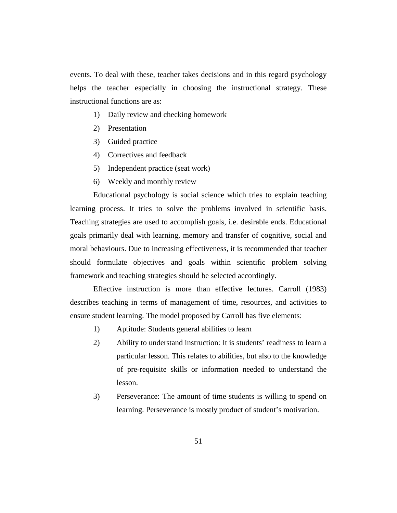events. To deal with these, teacher takes decisions and in this regard psychology helps the teacher especially in choosing the instructional strategy. These instructional functions are as:

- 1) Daily review and checking homework
- 2) Presentation
- 3) Guided practice
- 4) Correctives and feedback
- 5) Independent practice (seat work)
- 6) Weekly and monthly review

Educational psychology is social science which tries to explain teaching learning process. It tries to solve the problems involved in scientific basis. Teaching strategies are used to accomplish goals, i.e. desirable ends. Educational goals primarily deal with learning, memory and transfer of cognitive, social and moral behaviours. Due to increasing effectiveness, it is recommended that teacher should formulate objectives and goals within scientific problem solving framework and teaching strategies should be selected accordingly.

Effective instruction is more than effective lectures. Carroll (1983) describes teaching in terms of management of time, resources, and activities to ensure student learning. The model proposed by Carroll has five elements:

- 1) Aptitude: Students general abilities to learn
- 2) Ability to understand instruction: It is students' readiness to learn a particular lesson. This relates to abilities, but also to the knowledge of pre-requisite skills or information needed to understand the lesson.
- 3) Perseverance: The amount of time students is willing to spend on learning. Perseverance is mostly product of student's motivation.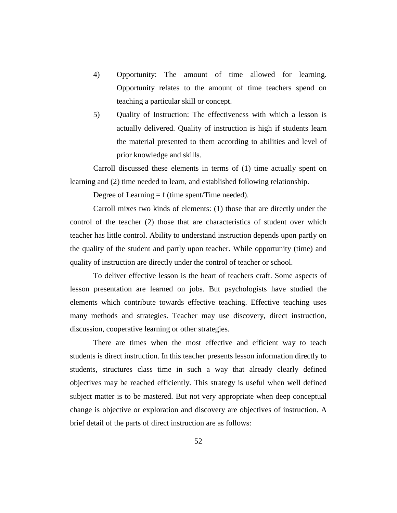- 4) Opportunity: The amount of time allowed for learning. Opportunity relates to the amount of time teachers spend on teaching a particular skill or concept.
- 5) Quality of Instruction: The effectiveness with which a lesson is actually delivered. Quality of instruction is high if students learn the material presented to them according to abilities and level of prior knowledge and skills.

Carroll discussed these elements in terms of (1) time actually spent on learning and (2) time needed to learn, and established following relationship.

Degree of Learning  $= f$  (time spent/Time needed).

Carroll mixes two kinds of elements: (1) those that are directly under the control of the teacher (2) those that are characteristics of student over which teacher has little control. Ability to understand instruction depends upon partly on the quality of the student and partly upon teacher. While opportunity (time) and quality of instruction are directly under the control of teacher or school.

To deliver effective lesson is the heart of teachers craft. Some aspects of lesson presentation are learned on jobs. But psychologists have studied the elements which contribute towards effective teaching. Effective teaching uses many methods and strategies. Teacher may use discovery, direct instruction, discussion, cooperative learning or other strategies.

There are times when the most effective and efficient way to teach students is direct instruction. In this teacher presents lesson information directly to students, structures class time in such a way that already clearly defined objectives may be reached efficiently. This strategy is useful when well defined subject matter is to be mastered. But not very appropriate when deep conceptual change is objective or exploration and discovery are objectives of instruction. A brief detail of the parts of direct instruction are as follows: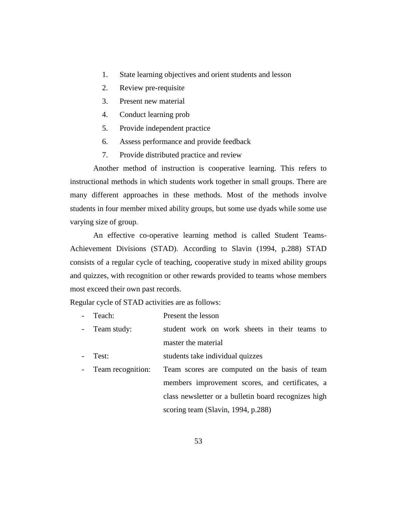- 1. State learning objectives and orient students and lesson
- 2. Review pre-requisite
- 3. Present new material
- 4. Conduct learning prob
- 5. Provide independent practice
- 6. Assess performance and provide feedback
- 7. Provide distributed practice and review

Another method of instruction is cooperative learning. This refers to instructional methods in which students work together in small groups. There are many different approaches in these methods. Most of the methods involve students in four member mixed ability groups, but some use dyads while some use varying size of group.

An effective co-operative learning method is called Student Teams-Achievement Divisions (STAD). According to Slavin (1994, p.288) STAD consists of a regular cycle of teaching, cooperative study in mixed ability groups and quizzes, with recognition or other rewards provided to teams whose members most exceed their own past records.

Regular cycle of STAD activities are as follows:

- Teach: Present the lesson
- Team study: student work on work sheets in their teams to master the material
- Test: students take individual quizzes
- Team recognition: Team scores are computed on the basis of team members improvement scores, and certificates, a class newsletter or a bulletin board recognizes high scoring team (Slavin, 1994, p.288)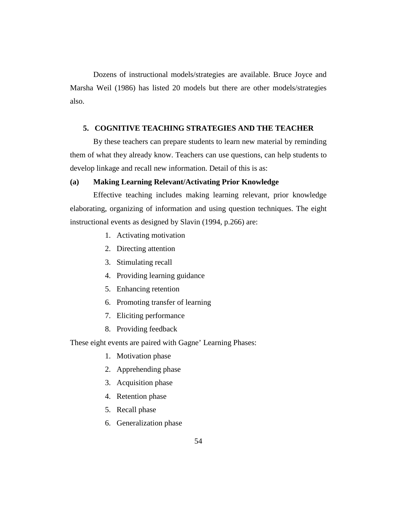Dozens of instructional models/strategies are available. Bruce Joyce and Marsha Weil (1986) has listed 20 models but there are other models/strategies also.

# **5. COGNITIVE TEACHING STRATEGIES AND THE TEACHER**

By these teachers can prepare students to learn new material by reminding them of what they already know. Teachers can use questions, can help students to develop linkage and recall new information. Detail of this is as:

# **(a) Making Learning Relevant/Activating Prior Knowledge**

Effective teaching includes making learning relevant, prior knowledge elaborating, organizing of information and using question techniques. The eight instructional events as designed by Slavin (1994, p.266) are:

- 1. Activating motivation
- 2. Directing attention
- 3. Stimulating recall
- 4. Providing learning guidance
- 5. Enhancing retention
- 6. Promoting transfer of learning
- 7. Eliciting performance
- 8. Providing feedback

These eight events are paired with Gagne' Learning Phases:

- 1. Motivation phase
- 2. Apprehending phase
- 3. Acquisition phase
- 4. Retention phase
- 5. Recall phase
- 6. Generalization phase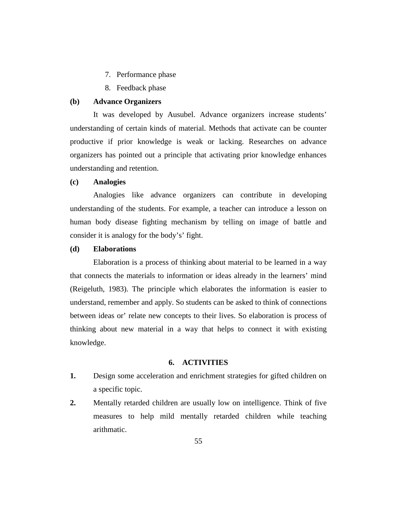- 7. Performance phase
- 8. Feedback phase

#### **(b) Advance Organizers**

It was developed by Ausubel. Advance organizers increase students' understanding of certain kinds of material. Methods that activate can be counter productive if prior knowledge is weak or lacking. Researches on advance organizers has pointed out a principle that activating prior knowledge enhances understanding and retention.

## **(c) Analogies**

Analogies like advance organizers can contribute in developing understanding of the students. For example, a teacher can introduce a lesson on human body disease fighting mechanism by telling on image of battle and consider it is analogy for the body's' fight.

#### **(d) Elaborations**

Elaboration is a process of thinking about material to be learned in a way that connects the materials to information or ideas already in the learners' mind (Reigeluth, 1983). The principle which elaborates the information is easier to understand, remember and apply. So students can be asked to think of connections between ideas or' relate new concepts to their lives. So elaboration is process of thinking about new material in a way that helps to connect it with existing knowledge.

#### **6. ACTIVITIES**

- **1.** Design some acceleration and enrichment strategies for gifted children on a specific topic.
- **2.** Mentally retarded children are usually low on intelligence. Think of five measures to help mild mentally retarded children while teaching arithmatic.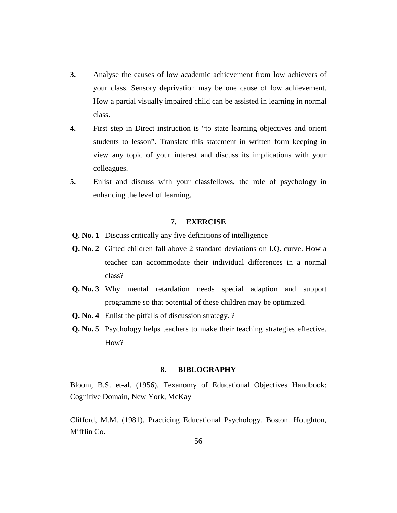- **3.** Analyse the causes of low academic achievement from low achievers of your class. Sensory deprivation may be one cause of low achievement. How a partial visually impaired child can be assisted in learning in normal class.
- **4.** First step in Direct instruction is "to state learning objectives and orient students to lesson". Translate this statement in written form keeping in view any topic of your interest and discuss its implications with your colleagues.
- **5.** Enlist and discuss with your classfellows, the role of psychology in enhancing the level of learning.

## **7. EXERCISE**

- **Q. No. 1** Discuss critically any five definitions of intelligence
- **Q. No. 2** Gifted children fall above 2 standard deviations on I.Q. curve. How a teacher can accommodate their individual differences in a normal class?
- **Q. No. 3** Why mental retardation needs special adaption and support programme so that potential of these children may be optimized.
- **Q. No. 4** Enlist the pitfalls of discussion strategy. ?
- **Q. No. 5** Psychology helps teachers to make their teaching strategies effective. How?

#### **8. BIBLOGRAPHY**

Bloom, B.S. et-al. (1956). Texanomy of Educational Objectives Handbook: Cognitive Domain, New York, McKay

Clifford, M.M. (1981). Practicing Educational Psychology. Boston. Houghton, Mifflin Co.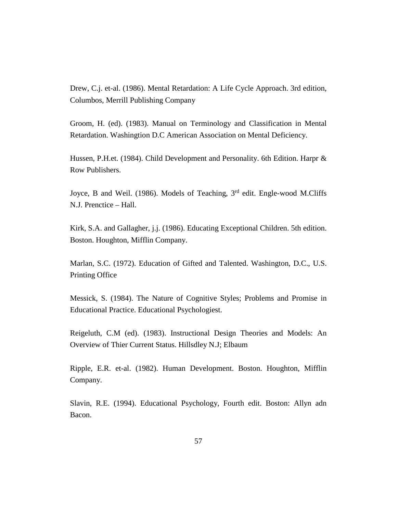Drew, C.j. et-al. (1986). Mental Retardation: A Life Cycle Approach. 3rd edition, Columbos, Merrill Publishing Company

Groom, H. (ed). (1983). Manual on Terminology and Classification in Mental Retardation. Washingtion D.C American Association on Mental Deficiency.

Hussen, P.H.et. (1984). Child Development and Personality. 6th Edition. Harpr & Row Publishers.

Joyce, B and Weil. (1986). Models of Teaching, 3<sup>rd</sup> edit. Engle-wood M.Cliffs N.J. Prenctice – Hall.

Kirk, S.A. and Gallagher, j.j. (1986). Educating Exceptional Children. 5th edition. Boston. Houghton, Mifflin Company.

Marlan, S.C. (1972). Education of Gifted and Talented. Washington, D.C., U.S. Printing Office

Messick, S. (1984). The Nature of Cognitive Styles; Problems and Promise in Educational Practice. Educational Psychologiest.

Reigeluth, C.M (ed). (1983). Instructional Design Theories and Models: An Overview of Thier Current Status. Hillsdley N.J; Elbaum

Ripple, E.R. et-al. (1982). Human Development. Boston. Houghton, Mifflin Company.

Slavin, R.E. (1994). Educational Psychology, Fourth edit. Boston: Allyn adn Bacon.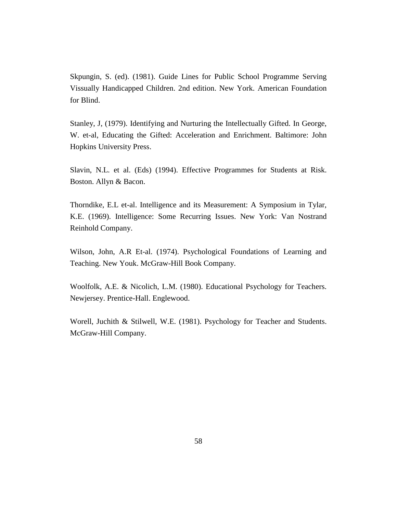Skpungin, S. (ed). (1981). Guide Lines for Public School Programme Serving Vissually Handicapped Children. 2nd edition. New York. American Foundation for Blind.

Stanley, J, (1979). Identifying and Nurturing the Intellectually Gifted. In George, W. et-al, Educating the Gifted: Acceleration and Enrichment. Baltimore: John Hopkins University Press.

Slavin, N.L. et al. (Eds) (1994). Effective Programmes for Students at Risk. Boston. Allyn & Bacon.

Thorndike, E.L et-al. Intelligence and its Measurement: A Symposium in Tylar, K.E. (1969). Intelligence: Some Recurring Issues. New York: Van Nostrand Reinhold Company.

Wilson, John, A.R Et-al. (1974). Psychological Foundations of Learning and Teaching. New Youk. McGraw-Hill Book Company.

Woolfolk, A.E. & Nicolich, L.M. (1980). Educational Psychology for Teachers. Newjersey. Prentice-Hall. Englewood.

Worell, Juchith & Stilwell, W.E. (1981). Psychology for Teacher and Students. McGraw-Hill Company.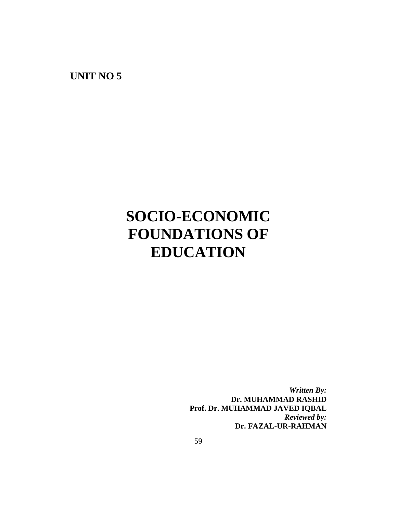**UNIT NO 5**

# **SOCIO-ECONOMIC FOUNDATIONS OF EDUCATION**

*Written By:* **Dr. MUHAMMAD RASHID Prof. Dr. MUHAMMAD JAVED IQBAL** *Reviewed by:* **Dr. FAZAL-UR-RAHMAN**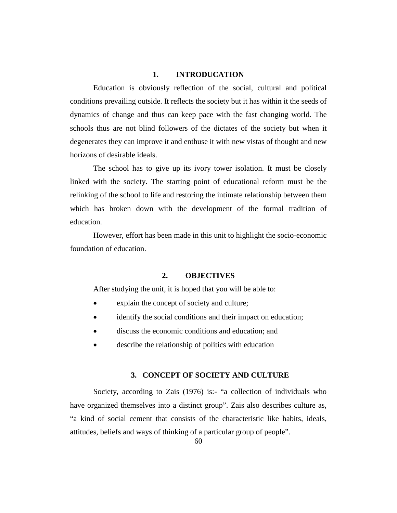# **1. INTRODUCATION**

Education is obviously reflection of the social, cultural and political conditions prevailing outside. It reflects the society but it has within it the seeds of dynamics of change and thus can keep pace with the fast changing world. The schools thus are not blind followers of the dictates of the society but when it degenerates they can improve it and enthuse it with new vistas of thought and new horizons of desirable ideals.

The school has to give up its ivory tower isolation. It must be closely linked with the society. The starting point of educational reform must be the relinking of the school to life and restoring the intimate relationship between them which has broken down with the development of the formal tradition of education.

However, effort has been made in this unit to highlight the socio-economic foundation of education.

## **2. OBJECTIVES**

After studying the unit, it is hoped that you will be able to:

- explain the concept of society and culture;
- identify the social conditions and their impact on education;
- discuss the economic conditions and education; and
- describe the relationship of politics with education

#### **3. CONCEPT OF SOCIETY AND CULTURE**

Society, according to Zais (1976) is:- "a collection of individuals who have organized themselves into a distinct group". Zais also describes culture as, "a kind of social cement that consists of the characteristic like habits, ideals, attitudes, beliefs and ways of thinking of a particular group of people".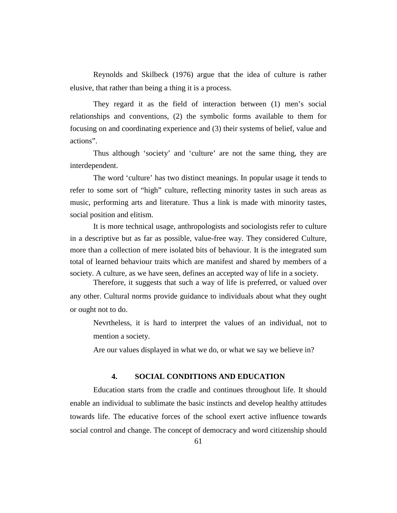Reynolds and Skilbeck (1976) argue that the idea of culture is rather elusive, that rather than being a thing it is a process.

They regard it as the field of interaction between (1) men's social relationships and conventions, (2) the symbolic forms available to them for focusing on and coordinating experience and (3) their systems of belief, value and actions".

Thus although 'society' and 'culture' are not the same thing, they are interdependent.

The word 'culture' has two distinct meanings. In popular usage it tends to refer to some sort of "high" culture, reflecting minority tastes in such areas as music, performing arts and literature. Thus a link is made with minority tastes, social position and elitism.

It is more technical usage, anthropologists and sociologists refer to culture in a descriptive but as far as possible, value-free way. They considered Culture, more than a collection of mere isolated bits of behaviour. It is the integrated sum total of learned behaviour traits which are manifest and shared by members of a society. A culture, as we have seen, defines an accepted way of life in a society.

Therefore, it suggests that such a way of life is preferred, or valued over any other. Cultural norms provide guidance to individuals about what they ought or ought not to do.

Nevrtheless, it is hard to interpret the values of an individual, not to mention a society.

Are our values displayed in what we do, or what we say we believe in?

# **4. SOCIAL CONDITIONS AND EDUCATION**

Education starts from the cradle and continues throughout life. It should enable an individual to sublimate the basic instincts and develop healthy attitudes towards life. The educative forces of the school exert active influence towards social control and change. The concept of democracy and word citizenship should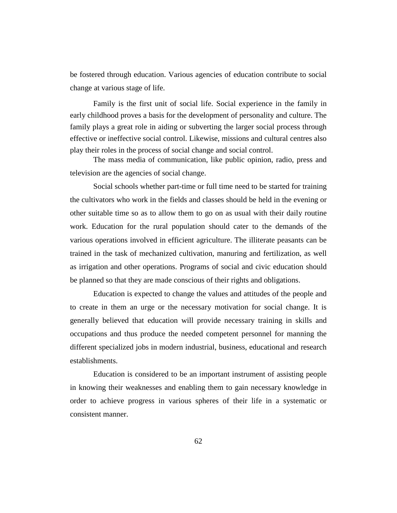be fostered through education. Various agencies of education contribute to social change at various stage of life.

Family is the first unit of social life. Social experience in the family in early childhood proves a basis for the development of personality and culture. The family plays a great role in aiding or subverting the larger social process through effective or ineffective social control. Likewise, missions and cultural centres also play their roles in the process of social change and social control.

The mass media of communication, like public opinion, radio, press and television are the agencies of social change.

Social schools whether part-time or full time need to be started for training the cultivators who work in the fields and classes should be held in the evening or other suitable time so as to allow them to go on as usual with their daily routine work. Education for the rural population should cater to the demands of the various operations involved in efficient agriculture. The illiterate peasants can be trained in the task of mechanized cultivation, manuring and fertilization, as well as irrigation and other operations. Programs of social and civic education should be planned so that they are made conscious of their rights and obligations.

Education is expected to change the values and attitudes of the people and to create in them an urge or the necessary motivation for social change. It is generally believed that education will provide necessary training in skills and occupations and thus produce the needed competent personnel for manning the different specialized jobs in modern industrial, business, educational and research establishments.

Education is considered to be an important instrument of assisting people in knowing their weaknesses and enabling them to gain necessary knowledge in order to achieve progress in various spheres of their life in a systematic or consistent manner.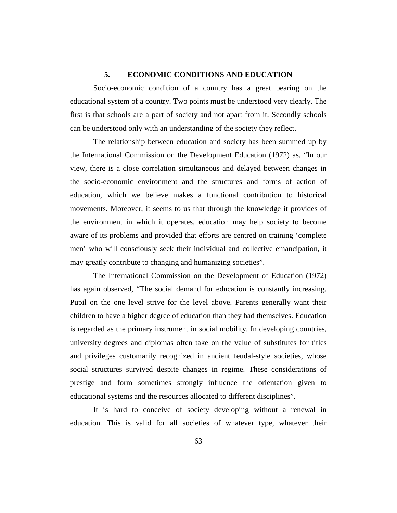# **5. ECONOMIC CONDITIONS AND EDUCATION**

Socio-economic condition of a country has a great bearing on the educational system of a country. Two points must be understood very clearly. The first is that schools are a part of society and not apart from it. Secondly schools can be understood only with an understanding of the society they reflect.

The relationship between education and society has been summed up by the International Commission on the Development Education (1972) as, "In our view, there is a close correlation simultaneous and delayed between changes in the socio-economic environment and the structures and forms of action of education, which we believe makes a functional contribution to historical movements. Moreover, it seems to us that through the knowledge it provides of the environment in which it operates, education may help society to become aware of its problems and provided that efforts are centred on training 'complete men' who will consciously seek their individual and collective emancipation, it may greatly contribute to changing and humanizing societies".

The International Commission on the Development of Education (1972) has again observed, "The social demand for education is constantly increasing. Pupil on the one level strive for the level above. Parents generally want their children to have a higher degree of education than they had themselves. Education is regarded as the primary instrument in social mobility. In developing countries, university degrees and diplomas often take on the value of substitutes for titles and privileges customarily recognized in ancient feudal-style societies, whose social structures survived despite changes in regime. These considerations of prestige and form sometimes strongly influence the orientation given to educational systems and the resources allocated to different disciplines".

It is hard to conceive of society developing without a renewal in education. This is valid for all societies of whatever type, whatever their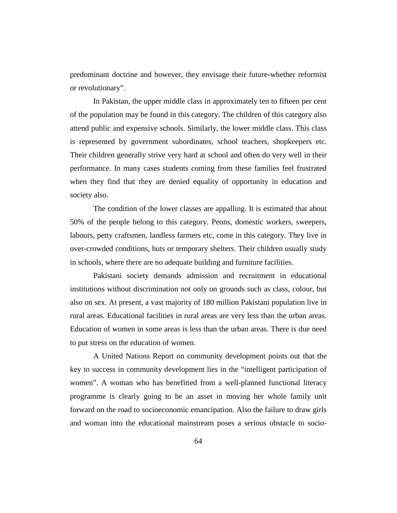predominant doctrine and however, they envisage their future-whether reformist or revolutionary".

In Pakistan, the upper middle class in approximately ten to fifteen per cent of the population may be found in this category. The children of this category also attend public and expensive schools. Similarly, the lower middle class. This class is represented by government subordinates, school teachers, shopkeepers etc. Their children generally strive very hard at school and often do very well in their performance. In many cases students coming from these families feel frustrated when they find that they are denied equality of opportunity in education and society also.

The condition of the lower classes are appalling. It is estimated that about 50% of the people belong to this category. Peons, domestic workers, sweepers, labours, petty craftsmen, landless farmers etc, come in this category. They live in over-crowded conditions, huts or temporary shelters. Their children usually study in schools, where there are no adequate building and furniture facilities.

Pakistani society demands admission and recruitment in educational institutions without discrimination not only on grounds such as class, colour, but also on sex. At present, a vast majority of 180 million Pakistani population live in rural areas. Educational facilities in rural areas are very less than the urban areas. Education of women in some areas is less than the urban areas. There is due need to put stress on the education of women.

A United Nations Report on community development points out that the key to success in community development lies in the "intelligent participation of women". A woman who has benefitted from a well-planned functional literacy programme is clearly going to be an asset in moving her whole family unit forward on the road to socioeconomic emancipation. Also the failure to draw girls and woman into the educational mainstream poses a serious obstacle to socio-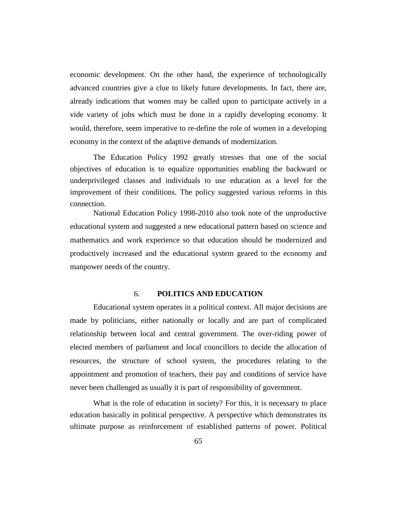economic development. On the other hand, the experience of technologically advanced countries give a clue to likely future developments. In fact, there are, already indications that women may be called upon to participate actively in a vide variety of jobs which must be done in a rapidly developing economy. It would, therefore, seem imperative to re-define the role of women in a developing economy in the context of the adaptive demands of modernization.

The Education Policy 1992 greatly stresses that one of the social objectives of education is to equalize opportunities enabling the backward or underprivileged classes and individuals to use education as a level for the improvement of their conditions. The policy suggested various reforms in this connection.

National Education Policy 1998-2010 also took note of the unproductive educational system and suggested a new educational pattern based on science and mathematics and work experience so that education should be modernized and productively increased and the educational system geared to the economy and manpower needs of the country.

#### 6. **POLITICS AND EDUCATION**

Educational system operates in a political context. All major decisions are made by politicians, either nationally or locally and are part of complicated relationship between local and central government. The over-riding power of elected members of parliament and local councillors to decide the allocation of resources, the structure of school system, the procedures relating to the appointment and promotion of teachers, their pay and conditions of service have never been challenged as usually it is part of responsibility of government.

What is the role of education in society? For this, it is necessary to place education basically in political perspective. A perspective which demonstrates its ultimate purpose as reinforcement of established patterns of power. Political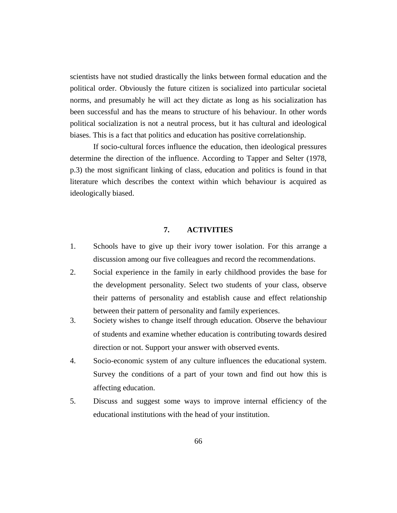scientists have not studied drastically the links between formal education and the political order. Obviously the future citizen is socialized into particular societal norms, and presumably he will act they dictate as long as his socialization has been successful and has the means to structure of his behaviour. In other words political socialization is not a neutral process, but it has cultural and ideological biases. This is a fact that politics and education has positive correlationship.

If socio-cultural forces influence the education, then ideological pressures determine the direction of the influence. According to Tapper and Selter (1978, p.3) the most significant linking of class, education and politics is found in that literature which describes the context within which behaviour is acquired as ideologically biased.

#### **7. ACTIVITIES**

- 1. Schools have to give up their ivory tower isolation. For this arrange a discussion among our five colleagues and record the recommendations.
- 2. Social experience in the family in early childhood provides the base for the development personality. Select two students of your class, observe their patterns of personality and establish cause and effect relationship between their pattern of personality and family experiences.
- 3. Society wishes to change itself through education. Observe the behaviour of students and examine whether education is contributing towards desired direction or not. Support your answer with observed events.
- 4. Socio-economic system of any culture influences the educational system. Survey the conditions of a part of your town and find out how this is affecting education.
- 5. Discuss and suggest some ways to improve internal efficiency of the educational institutions with the head of your institution.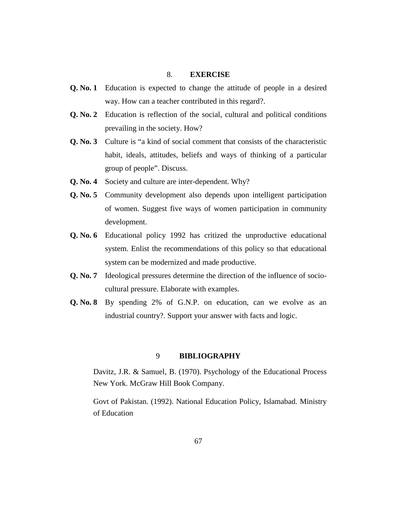#### 8. **EXERCISE**

- **Q. No. 1** Education is expected to change the attitude of people in a desired way. How can a teacher contributed in this regard?.
- **Q. No. 2** Education is reflection of the social, cultural and political conditions prevailing in the society. How?
- **Q. No. 3** Culture is "a kind of social comment that consists of the characteristic habit, ideals, attitudes, beliefs and ways of thinking of a particular group of people". Discuss.
- **Q. No. 4** Society and culture are inter-dependent. Why?
- **Q. No. 5** Community development also depends upon intelligent participation of women. Suggest five ways of women participation in community development.
- **Q. No. 6** Educational policy 1992 has critized the unproductive educational system. Enlist the recommendations of this policy so that educational system can be modernized and made productive.
- **Q. No. 7** Ideological pressures determine the direction of the influence of sociocultural pressure. Elaborate with examples.
- **Q. No. 8** By spending 2% of G.N.P. on education, can we evolve as an industrial country?. Support your answer with facts and logic.

#### 9 **BIBLIOGRAPHY**

Davitz, J.R. & Samuel, B. (1970). Psychology of the Educational Process New York. McGraw Hill Book Company.

Govt of Pakistan. (1992). National Education Policy, Islamabad. Ministry of Education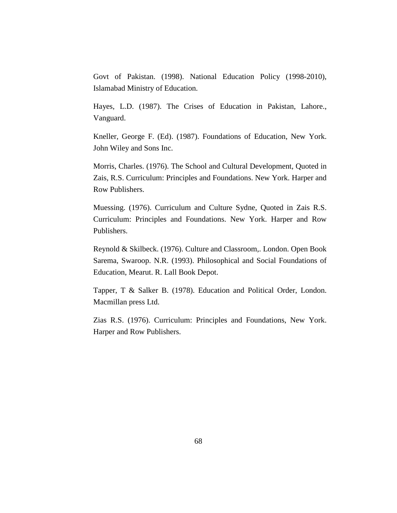Govt of Pakistan. (1998). National Education Policy (1998-2010), Islamabad Ministry of Education.

Hayes, L.D. (1987). The Crises of Education in Pakistan, Lahore., Vanguard.

Kneller, George F. (Ed). (1987). Foundations of Education, New York. John Wiley and Sons Inc.

Morris, Charles. (1976). The School and Cultural Development, Quoted in Zais, R.S. Curriculum: Principles and Foundations. New York. Harper and Row Publishers.

Muessing. (1976). Curriculum and Culture Sydne, Quoted in Zais R.S. Curriculum: Principles and Foundations. New York. Harper and Row Publishers.

Reynold & Skilbeck. (1976). Culture and Classroom,. London. Open Book Sarema, Swaroop. N.R. (1993). Philosophical and Social Foundations of Education, Mearut. R. Lall Book Depot.

Tapper, T & Salker B. (1978). Education and Political Order, London. Macmillan press Ltd.

Zias R.S. (1976). Curriculum: Principles and Foundations, New York. Harper and Row Publishers.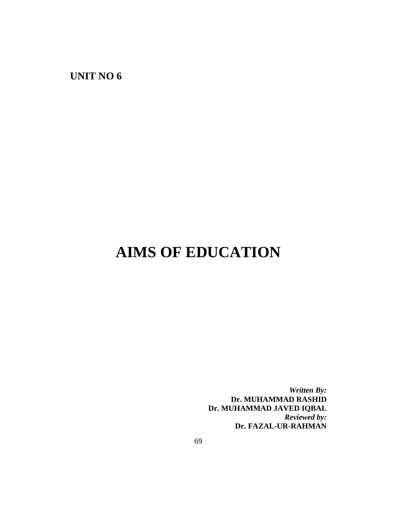**UNIT NO 6**

# **AIMS OF EDUCATION**

*Written By:* **Dr. MUHAMMAD RASHID Dr. MUHAMMAD JAVED IQBAL** *Reviewed by:* **Dr. FAZAL-UR-RAHMAN**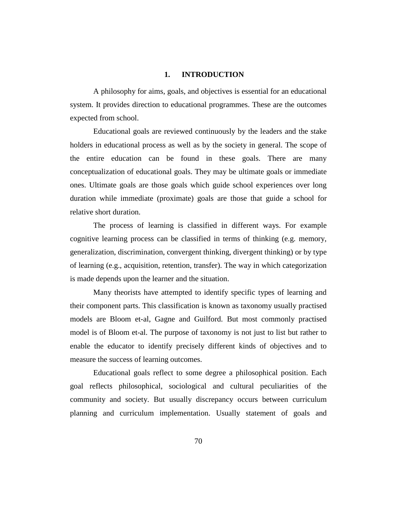#### **1. INTRODUCTION**

A philosophy for aims, goals, and objectives is essential for an educational system. It provides direction to educational programmes. These are the outcomes expected from school.

Educational goals are reviewed continuously by the leaders and the stake holders in educational process as well as by the society in general. The scope of the entire education can be found in these goals. There are many conceptualization of educational goals. They may be ultimate goals or immediate ones. Ultimate goals are those goals which guide school experiences over long duration while immediate (proximate) goals are those that guide a school for relative short duration.

The process of learning is classified in different ways. For example cognitive learning process can be classified in terms of thinking (e.g. memory, generalization, discrimination, convergent thinking, divergent thinking) or by type of learning (e.g., acquisition, retention, transfer). The way in which categorization is made depends upon the learner and the situation.

Many theorists have attempted to identify specific types of learning and their component parts. This classification is known as taxonomy usually practised models are Bloom et-al, Gagne and Guilford. But most commonly practised model is of Bloom et-al. The purpose of taxonomy is not just to list but rather to enable the educator to identify precisely different kinds of objectives and to measure the success of learning outcomes.

Educational goals reflect to some degree a philosophical position. Each goal reflects philosophical, sociological and cultural peculiarities of the community and society. But usually discrepancy occurs between curriculum planning and curriculum implementation. Usually statement of goals and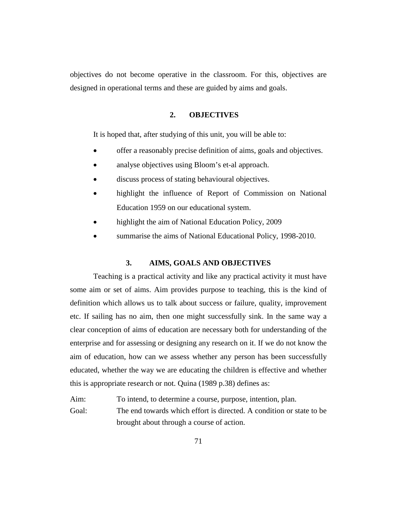objectives do not become operative in the classroom. For this, objectives are designed in operational terms and these are guided by aims and goals.

#### **2. OBJECTIVES**

It is hoped that, after studying of this unit, you will be able to:

- offer a reasonably precise definition of aims, goals and objectives.
- analyse objectives using Bloom's et-al approach.
- discuss process of stating behavioural objectives.
- highlight the influence of Report of Commission on National Education 1959 on our educational system.
- highlight the aim of National Education Policy, 2009
- summarise the aims of National Educational Policy, 1998-2010.

#### **3. AIMS, GOALS AND OBJECTIVES**

Teaching is a practical activity and like any practical activity it must have some aim or set of aims. Aim provides purpose to teaching, this is the kind of definition which allows us to talk about success or failure, quality, improvement etc. If sailing has no aim, then one might successfully sink. In the same way a clear conception of aims of education are necessary both for understanding of the enterprise and for assessing or designing any research on it. If we do not know the aim of education, how can we assess whether any person has been successfully educated, whether the way we are educating the children is effective and whether this is appropriate research or not. Quina (1989 p.38) defines as:

Aim: To intend, to determine a course, purpose, intention, plan. Goal: The end towards which effort is directed. A condition or state to be brought about through a course of action.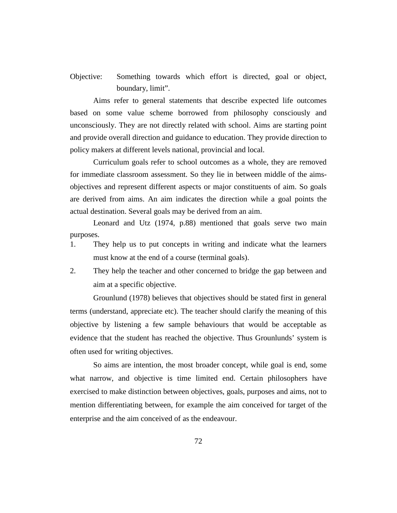Objective: Something towards which effort is directed, goal or object, boundary, limit".

Aims refer to general statements that describe expected life outcomes based on some value scheme borrowed from philosophy consciously and unconsciously. They are not directly related with school. Aims are starting point and provide overall direction and guidance to education. They provide direction to policy makers at different levels national, provincial and local.

Curriculum goals refer to school outcomes as a whole, they are removed for immediate classroom assessment. So they lie in between middle of the aimsobjectives and represent different aspects or major constituents of aim. So goals are derived from aims. An aim indicates the direction while a goal points the actual destination. Several goals may be derived from an aim.

Leonard and Utz (1974, p.88) mentioned that goals serve two main purposes.

- 1. They help us to put concepts in writing and indicate what the learners must know at the end of a course (terminal goals).
- 2. They help the teacher and other concerned to bridge the gap between and aim at a specific objective.

Grounlund (1978) believes that objectives should be stated first in general terms (understand, appreciate etc). The teacher should clarify the meaning of this objective by listening a few sample behaviours that would be acceptable as evidence that the student has reached the objective. Thus Grounlunds' system is often used for writing objectives.

So aims are intention, the most broader concept, while goal is end, some what narrow, and objective is time limited end. Certain philosophers have exercised to make distinction between objectives, goals, purposes and aims, not to mention differentiating between, for example the aim conceived for target of the enterprise and the aim conceived of as the endeavour.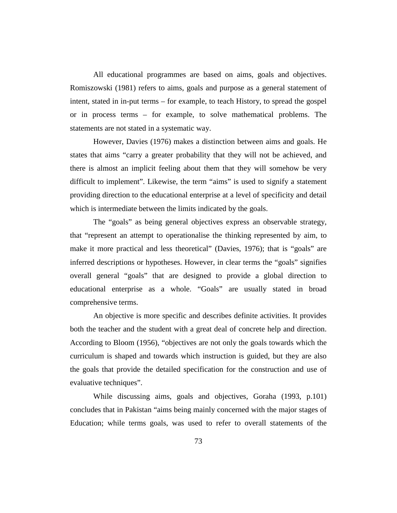All educational programmes are based on aims, goals and objectives. Romiszowski (1981) refers to aims, goals and purpose as a general statement of intent, stated in in-put terms – for example, to teach History, to spread the gospel or in process terms – for example, to solve mathematical problems. The statements are not stated in a systematic way.

However, Davies (1976) makes a distinction between aims and goals. He states that aims "carry a greater probability that they will not be achieved, and there is almost an implicit feeling about them that they will somehow be very difficult to implement". Likewise, the term "aims" is used to signify a statement providing direction to the educational enterprise at a level of specificity and detail which is intermediate between the limits indicated by the goals.

The "goals" as being general objectives express an observable strategy, that "represent an attempt to operationalise the thinking represented by aim, to make it more practical and less theoretical" (Davies, 1976); that is "goals" are inferred descriptions or hypotheses. However, in clear terms the "goals" signifies overall general "goals" that are designed to provide a global direction to educational enterprise as a whole. "Goals" are usually stated in broad comprehensive terms.

An objective is more specific and describes definite activities. It provides both the teacher and the student with a great deal of concrete help and direction. According to Bloom (1956), "objectives are not only the goals towards which the curriculum is shaped and towards which instruction is guided, but they are also the goals that provide the detailed specification for the construction and use of evaluative techniques".

While discussing aims, goals and objectives, Goraha (1993, p.101) concludes that in Pakistan "aims being mainly concerned with the major stages of Education; while terms goals, was used to refer to overall statements of the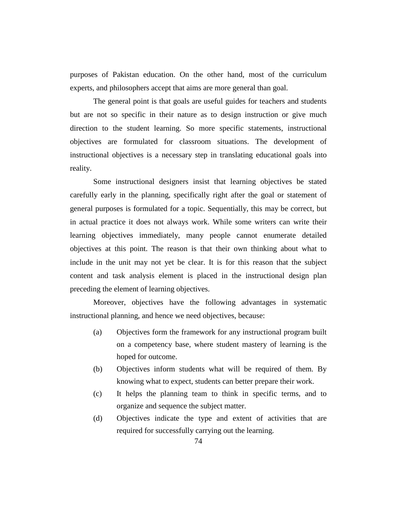purposes of Pakistan education. On the other hand, most of the curriculum experts, and philosophers accept that aims are more general than goal.

The general point is that goals are useful guides for teachers and students but are not so specific in their nature as to design instruction or give much direction to the student learning. So more specific statements, instructional objectives are formulated for classroom situations. The development of instructional objectives is a necessary step in translating educational goals into reality.

Some instructional designers insist that learning objectives be stated carefully early in the planning, specifically right after the goal or statement of general purposes is formulated for a topic. Sequentially, this may be correct, but in actual practice it does not always work. While some writers can write their learning objectives immediately, many people cannot enumerate detailed objectives at this point. The reason is that their own thinking about what to include in the unit may not yet be clear. It is for this reason that the subject content and task analysis element is placed in the instructional design plan preceding the element of learning objectives.

Moreover, objectives have the following advantages in systematic instructional planning, and hence we need objectives, because:

- (a) Objectives form the framework for any instructional program built on a competency base, where student mastery of learning is the hoped for outcome.
- (b) Objectives inform students what will be required of them. By knowing what to expect, students can better prepare their work.
- (c) It helps the planning team to think in specific terms, and to organize and sequence the subject matter.
- (d) Objectives indicate the type and extent of activities that are required for successfully carrying out the learning.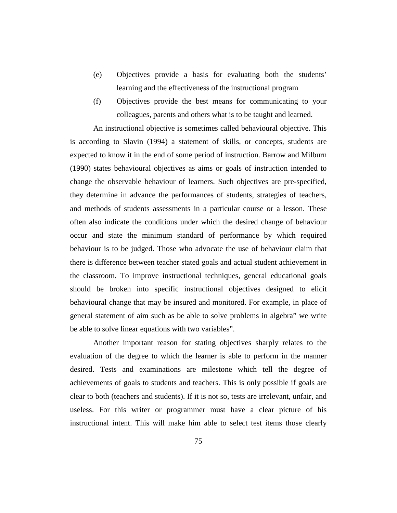- (e) Objectives provide a basis for evaluating both the students' learning and the effectiveness of the instructional program
- (f) Objectives provide the best means for communicating to your colleagues, parents and others what is to be taught and learned.

An instructional objective is sometimes called behavioural objective. This is according to Slavin (1994) a statement of skills, or concepts, students are expected to know it in the end of some period of instruction. Barrow and Milburn (1990) states behavioural objectives as aims or goals of instruction intended to change the observable behaviour of learners. Such objectives are pre-specified, they determine in advance the performances of students, strategies of teachers, and methods of students assessments in a particular course or a lesson. These often also indicate the conditions under which the desired change of behaviour occur and state the minimum standard of performance by which required behaviour is to be judged. Those who advocate the use of behaviour claim that there is difference between teacher stated goals and actual student achievement in the classroom. To improve instructional techniques, general educational goals should be broken into specific instructional objectives designed to elicit behavioural change that may be insured and monitored. For example, in place of general statement of aim such as be able to solve problems in algebra" we write be able to solve linear equations with two variables".

Another important reason for stating objectives sharply relates to the evaluation of the degree to which the learner is able to perform in the manner desired. Tests and examinations are milestone which tell the degree of achievements of goals to students and teachers. This is only possible if goals are clear to both (teachers and students). If it is not so, tests are irrelevant, unfair, and useless. For this writer or programmer must have a clear picture of his instructional intent. This will make him able to select test items those clearly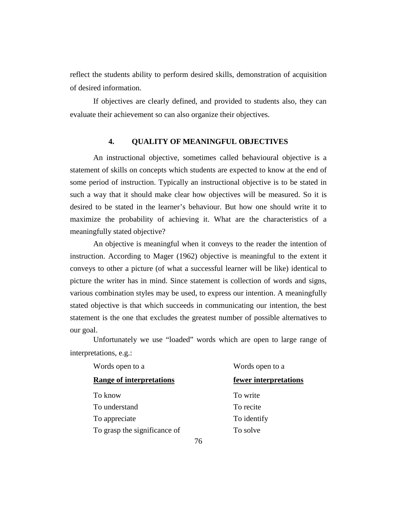reflect the students ability to perform desired skills, demonstration of acquisition of desired information.

If objectives are clearly defined, and provided to students also, they can evaluate their achievement so can also organize their objectives.

#### **4. QUALITY OF MEANINGFUL OBJECTIVES**

An instructional objective, sometimes called behavioural objective is a statement of skills on concepts which students are expected to know at the end of some period of instruction. Typically an instructional objective is to be stated in such a way that it should make clear how objectives will be measured. So it is desired to be stated in the learner's behaviour. But how one should write it to maximize the probability of achieving it. What are the characteristics of a meaningfully stated objective?

An objective is meaningful when it conveys to the reader the intention of instruction. According to Mager (1962) objective is meaningful to the extent it conveys to other a picture (of what a successful learner will be like) identical to picture the writer has in mind. Since statement is collection of words and signs, various combination styles may be used, to express our intention. A meaningfully stated objective is that which succeeds in communicating our intention, the best statement is the one that excludes the greatest number of possible alternatives to our goal.

Unfortunately we use "loaded" words which are open to large range of interpretations, e.g.:

| Words open to a<br><b>Range of interpretations</b> | Words open to a       |  |
|----------------------------------------------------|-----------------------|--|
|                                                    | fewer interpretations |  |
| To know                                            | To write              |  |
| To understand                                      | To recite             |  |
| To appreciate                                      | To identify           |  |
| To grasp the significance of                       | To solve              |  |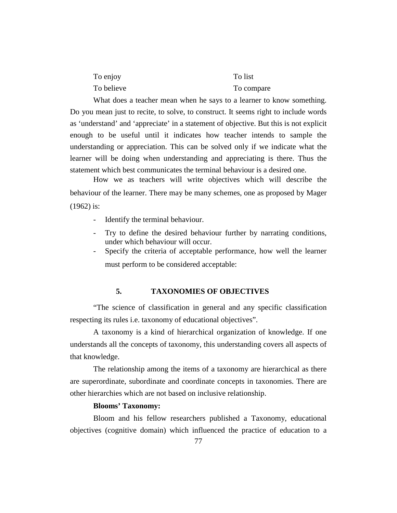| To enjoy   | To list    |
|------------|------------|
| To believe | To compare |

What does a teacher mean when he says to a learner to know something. Do you mean just to recite, to solve, to construct. It seems right to include words as 'understand' and 'appreciate' in a statement of objective. But this is not explicit enough to be useful until it indicates how teacher intends to sample the understanding or appreciation. This can be solved only if we indicate what the learner will be doing when understanding and appreciating is there. Thus the statement which best communicates the terminal behaviour is a desired one.

How we as teachers will write objectives which will describe the behaviour of the learner. There may be many schemes, one as proposed by Mager (1962) is:

- Identify the terminal behaviour.
- Try to define the desired behaviour further by narrating conditions, under which behaviour will occur.
- Specify the criteria of acceptable performance, how well the learner must perform to be considered acceptable:

#### **5. TAXONOMIES OF OBJECTIVES**

"The science of classification in general and any specific classification respecting its rules i.e. taxonomy of educational objectives".

A taxonomy is a kind of hierarchical organization of knowledge. If one understands all the concepts of taxonomy, this understanding covers all aspects of that knowledge.

The relationship among the items of a taxonomy are hierarchical as there are superordinate, subordinate and coordinate concepts in taxonomies. There are other hierarchies which are not based on inclusive relationship.

#### **Blooms' Taxonomy:**

Bloom and his fellow researchers published a Taxonomy, educational objectives (cognitive domain) which influenced the practice of education to a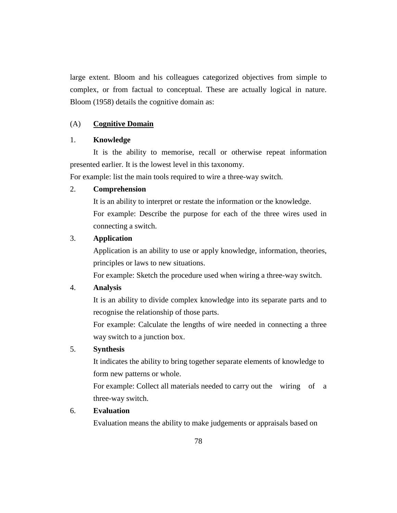large extent. Bloom and his colleagues categorized objectives from simple to complex, or from factual to conceptual. These are actually logical in nature. Bloom (1958) details the cognitive domain as:

#### (A) **Cognitive Domain**

#### 1. **Knowledge**

It is the ability to memorise, recall or otherwise repeat information presented earlier. It is the lowest level in this taxonomy.

For example: list the main tools required to wire a three-way switch.

#### 2. **Comprehension**

It is an ability to interpret or restate the information or the knowledge. For example: Describe the purpose for each of the three wires used in connecting a switch.

#### 3. **Application**

Application is an ability to use or apply knowledge, information, theories, principles or laws to new situations.

For example: Sketch the procedure used when wiring a three-way switch.

#### 4. **Analysis**

It is an ability to divide complex knowledge into its separate parts and to recognise the relationship of those parts.

For example: Calculate the lengths of wire needed in connecting a three way switch to a junction box.

#### 5. **Synthesis**

It indicates the ability to bring together separate elements of knowledge to form new patterns or whole.

For example: Collect all materials needed to carry out the wiring of a three-way switch.

## 6. **Evaluation**

Evaluation means the ability to make judgements or appraisals based on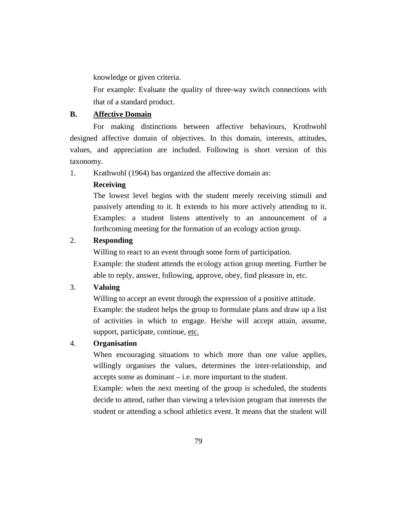knowledge or given criteria.

For example: Evaluate the quality of three-way switch connections with that of a standard product.

## **B. Affective Domain**

For making distinctions between affective behaviours, Krothwohl designed affective domain of objectives. In this domain, interests, attitudes, values, and appreciation are included. Following is short version of this taxonomy.

1. Krathwohl (1964) has organized the affective domain as:

## **Receiving**

The lowest level begins with the student merely receiving stimuli and passively attending to it. It extends to his more actively attending to it. Examples: a student listens attentively to an announcement of a forthcoming meeting for the formation of an ecology action group.

## 2. **Responding**

Willing to react to an event through some form of participation. Example: the student attends the ecology action group meeting. Further be able to reply, answer, following, approve, obey, find pleasure in, etc.

## 3. **Valuing**

Willing to accept an event through the expression of a positive attitude. Example: the student helps the group to formulate plans and draw up a list of activities in which to engage. He/she will accept attain, assume, support, participate, continue, etc.

## 4. **Organisation**

When encouraging situations to which more than one value applies, willingly organises the values, determines the inter-relationship, and accepts some as dominant – i.e. more important to the student.

Example: when the next meeting of the group is scheduled, the students decide to attend, rather than viewing a television program that interests the student or attending a school athletics event. It means that the student will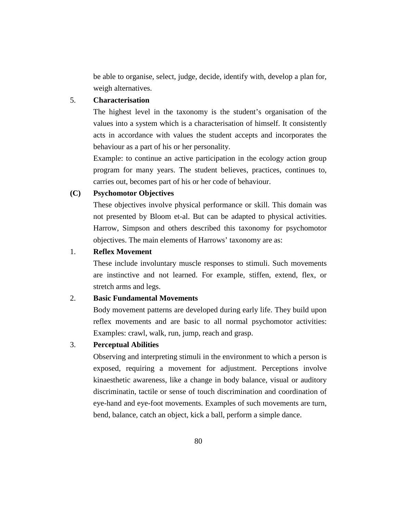be able to organise, select, judge, decide, identify with, develop a plan for, weigh alternatives.

## 5. **Characterisation**

The highest level in the taxonomy is the student's organisation of the values into a system which is a characterisation of himself. It consistently acts in accordance with values the student accepts and incorporates the behaviour as a part of his or her personality.

Example: to continue an active participation in the ecology action group program for many years. The student believes, practices, continues to, carries out, becomes part of his or her code of behaviour.

#### **(C) Psychomotor Objectives**

These objectives involve physical performance or skill. This domain was not presented by Bloom et-al. But can be adapted to physical activities. Harrow, Simpson and others described this taxonomy for psychomotor objectives. The main elements of Harrows' taxonomy are as:

#### 1. **Reflex Movement**

These include involuntary muscle responses to stimuli. Such movements are instinctive and not learned. For example, stiffen, extend, flex, or stretch arms and legs.

#### 2. **Basic Fundamental Movements**

Body movement patterns are developed during early life. They build upon reflex movements and are basic to all normal psychomotor activities: Examples: crawl, walk, run, jump, reach and grasp.

#### 3. **Perceptual Abilities**

Observing and interpreting stimuli in the environment to which a person is exposed, requiring a movement for adjustment. Perceptions involve kinaesthetic awareness, like a change in body balance, visual or auditory discriminatin, tactile or sense of touch discrimination and coordination of eye-hand and eye-foot movements. Examples of such movements are turn, bend, balance, catch an object, kick a ball, perform a simple dance.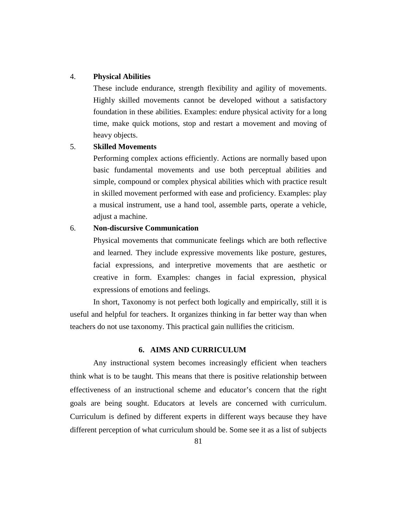#### 4. **Physical Abilities**

These include endurance, strength flexibility and agility of movements. Highly skilled movements cannot be developed without a satisfactory foundation in these abilities. Examples: endure physical activity for a long time, make quick motions, stop and restart a movement and moving of heavy objects.

#### 5. **Skilled Movements**

Performing complex actions efficiently. Actions are normally based upon basic fundamental movements and use both perceptual abilities and simple, compound or complex physical abilities which with practice result in skilled movement performed with ease and proficiency. Examples: play a musical instrument, use a hand tool, assemble parts, operate a vehicle, adjust a machine.

#### 6. **Non-discursive Communication**

Physical movements that communicate feelings which are both reflective and learned. They include expressive movements like posture, gestures, facial expressions, and interpretive movements that are aesthetic or creative in form. Examples: changes in facial expression, physical expressions of emotions and feelings.

In short, Taxonomy is not perfect both logically and empirically, still it is useful and helpful for teachers. It organizes thinking in far better way than when teachers do not use taxonomy. This practical gain nullifies the criticism.

#### **6. AIMS AND CURRICULUM**

Any instructional system becomes increasingly efficient when teachers think what is to be taught. This means that there is positive relationship between effectiveness of an instructional scheme and educator's concern that the right goals are being sought. Educators at levels are concerned with curriculum. Curriculum is defined by different experts in different ways because they have different perception of what curriculum should be. Some see it as a list of subjects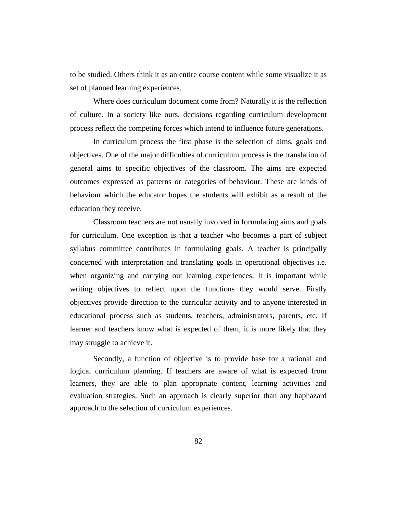to be studied. Others think it as an entire course content while some visualize it as set of planned learning experiences.

Where does curriculum document come from? Naturally it is the reflection of culture. In a society like ours, decisions regarding curriculum development process reflect the competing forces which intend to influence future generations.

In curriculum process the first phase is the selection of aims, goals and objectives. One of the major difficulties of curriculum process is the translation of general aims to specific objectives of the classroom. The aims are expected outcomes expressed as patterns or categories of behaviour. These are kinds of behaviour which the educator hopes the students will exhibit as a result of the education they receive.

Classroom teachers are not usually involved in formulating aims and goals for curriculum. One exception is that a teacher who becomes a part of subject syllabus committee contributes in formulating goals. A teacher is principally concerned with interpretation and translating goals in operational objectives i.e. when organizing and carrying out learning experiences. It is important while writing objectives to reflect upon the functions they would serve. Firstly objectives provide direction to the curricular activity and to anyone interested in educational process such as students, teachers, administrators, parents, etc. If learner and teachers know what is expected of them, it is more likely that they may struggle to achieve it.

Secondly, a function of objective is to provide base for a rational and logical curriculum planning. If teachers are aware of what is expected from learners, they are able to plan appropriate content, learning activities and evaluation strategies. Such an approach is clearly superior than any haphazard approach to the selection of curriculum experiences.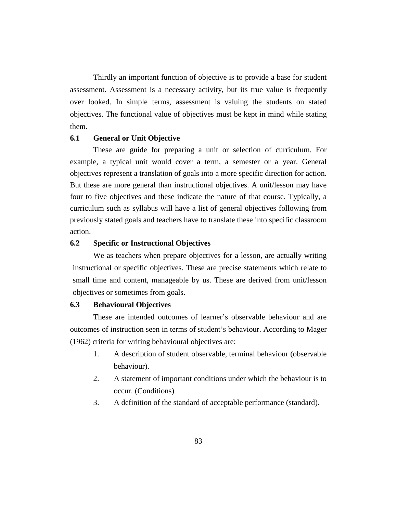Thirdly an important function of objective is to provide a base for student assessment. Assessment is a necessary activity, but its true value is frequently over looked. In simple terms, assessment is valuing the students on stated objectives. The functional value of objectives must be kept in mind while stating them.

#### **6.1 General or Unit Objective**

These are guide for preparing a unit or selection of curriculum. For example, a typical unit would cover a term, a semester or a year. General objectives represent a translation of goals into a more specific direction for action. But these are more general than instructional objectives. A unit/lesson may have four to five objectives and these indicate the nature of that course. Typically, a curriculum such as syllabus will have a list of general objectives following from previously stated goals and teachers have to translate these into specific classroom action.

#### **6.2 Specific or Instructional Objectives**

We as teachers when prepare objectives for a lesson, are actually writing instructional or specific objectives. These are precise statements which relate to small time and content, manageable by us. These are derived from unit/lesson objectives or sometimes from goals.

#### **6.3 Behavioural Objectives**

These are intended outcomes of learner's observable behaviour and are outcomes of instruction seen in terms of student's behaviour. According to Mager (1962) criteria for writing behavioural objectives are:

- 1. A description of student observable, terminal behaviour (observable behaviour).
- 2. A statement of important conditions under which the behaviour is to occur. (Conditions)
- 3. A definition of the standard of acceptable performance (standard).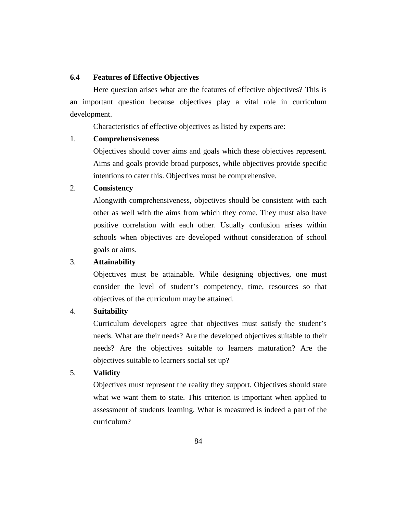#### **6.4 Features of Effective Objectives**

Here question arises what are the features of effective objectives? This is an important question because objectives play a vital role in curriculum development.

Characteristics of effective objectives as listed by experts are:

#### 1. **Comprehensiveness**

Objectives should cover aims and goals which these objectives represent. Aims and goals provide broad purposes, while objectives provide specific intentions to cater this. Objectives must be comprehensive.

## 2. **Consistency**

Alongwith comprehensiveness, objectives should be consistent with each other as well with the aims from which they come. They must also have positive correlation with each other. Usually confusion arises within schools when objectives are developed without consideration of school goals or aims.

## 3. **Attainability**

Objectives must be attainable. While designing objectives, one must consider the level of student's competency, time, resources so that objectives of the curriculum may be attained.

#### 4. **Suitability**

Curriculum developers agree that objectives must satisfy the student's needs. What are their needs? Are the developed objectives suitable to their needs? Are the objectives suitable to learners maturation? Are the objectives suitable to learners social set up?

## 5. **Validity**

Objectives must represent the reality they support. Objectives should state what we want them to state. This criterion is important when applied to assessment of students learning. What is measured is indeed a part of the curriculum?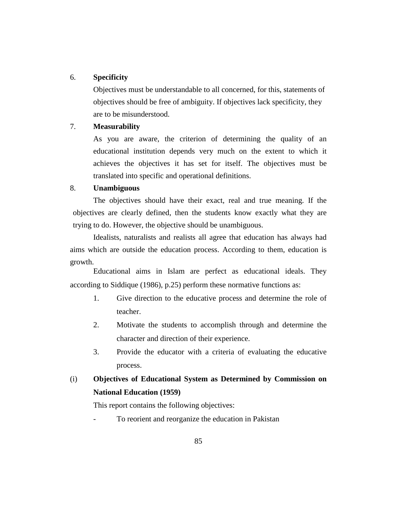#### 6. **Specificity**

Objectives must be understandable to all concerned, for this, statements of objectives should be free of ambiguity. If objectives lack specificity, they are to be misunderstood.

#### 7. **Measurability**

As you are aware, the criterion of determining the quality of an educational institution depends very much on the extent to which it achieves the objectives it has set for itself. The objectives must be translated into specific and operational definitions.

#### 8. **Unambiguous**

The objectives should have their exact, real and true meaning. If the objectives are clearly defined, then the students know exactly what they are trying to do. However, the objective should be unambiguous.

Idealists, naturalists and realists all agree that education has always had aims which are outside the education process. According to them, education is growth.

Educational aims in Islam are perfect as educational ideals. They according to Siddique (1986), p.25) perform these normative functions as:

- 1. Give direction to the educative process and determine the role of teacher.
- 2. Motivate the students to accomplish through and determine the character and direction of their experience.
- 3. Provide the educator with a criteria of evaluating the educative process.

## (i) **Objectives of Educational System as Determined by Commission on National Education (1959)**

This report contains the following objectives:

To reorient and reorganize the education in Pakistan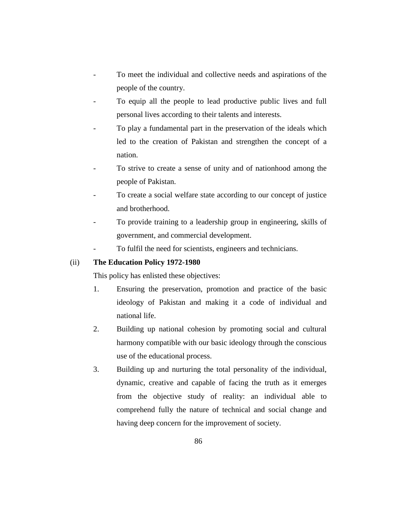- To meet the individual and collective needs and aspirations of the people of the country.
- To equip all the people to lead productive public lives and full personal lives according to their talents and interests.
- To play a fundamental part in the preservation of the ideals which led to the creation of Pakistan and strengthen the concept of a nation.
- To strive to create a sense of unity and of nationhood among the people of Pakistan.
- To create a social welfare state according to our concept of justice and brotherhood.
- To provide training to a leadership group in engineering, skills of government, and commercial development.
- To fulfil the need for scientists, engineers and technicians.

#### (ii) **The Education Policy 1972-1980**

This policy has enlisted these objectives:

- 1. Ensuring the preservation, promotion and practice of the basic ideology of Pakistan and making it a code of individual and national life.
- 2. Building up national cohesion by promoting social and cultural harmony compatible with our basic ideology through the conscious use of the educational process.
- 3. Building up and nurturing the total personality of the individual, dynamic, creative and capable of facing the truth as it emerges from the objective study of reality: an individual able to comprehend fully the nature of technical and social change and having deep concern for the improvement of society.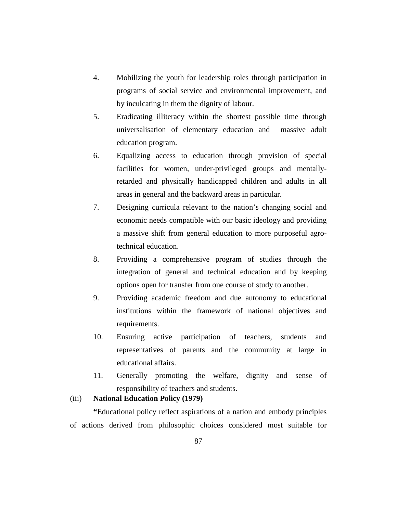- 4. Mobilizing the youth for leadership roles through participation in programs of social service and environmental improvement, and by inculcating in them the dignity of labour.
- 5. Eradicating illiteracy within the shortest possible time through universalisation of elementary education and massive adult education program.
- 6. Equalizing access to education through provision of special facilities for women, under-privileged groups and mentallyretarded and physically handicapped children and adults in all areas in general and the backward areas in particular.
- 7. Designing curricula relevant to the nation's changing social and economic needs compatible with our basic ideology and providing a massive shift from general education to more purposeful agrotechnical education.
- 8. Providing a comprehensive program of studies through the integration of general and technical education and by keeping options open for transfer from one course of study to another.
- 9. Providing academic freedom and due autonomy to educational institutions within the framework of national objectives and requirements.
- 10. Ensuring active participation of teachers, students and representatives of parents and the community at large in educational affairs.
- 11. Generally promoting the welfare, dignity and sense of responsibility of teachers and students.

#### (iii) **National Education Policy (1979)**

**"**Educational policy reflect aspirations of a nation and embody principles of actions derived from philosophic choices considered most suitable for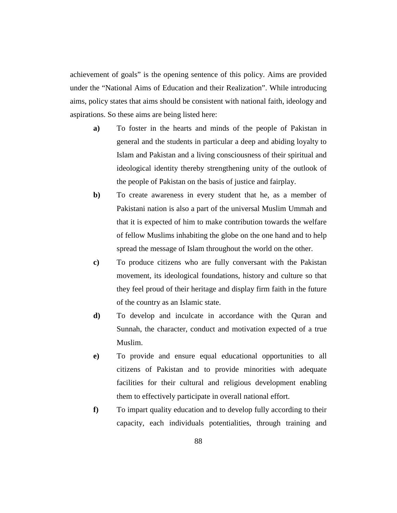achievement of goals" is the opening sentence of this policy. Aims are provided under the "National Aims of Education and their Realization". While introducing aims, policy states that aims should be consistent with national faith, ideology and aspirations. So these aims are being listed here:

- **a)** To foster in the hearts and minds of the people of Pakistan in general and the students in particular a deep and abiding loyalty to Islam and Pakistan and a living consciousness of their spiritual and ideological identity thereby strengthening unity of the outlook of the people of Pakistan on the basis of justice and fairplay.
- **b)** To create awareness in every student that he, as a member of Pakistani nation is also a part of the universal Muslim Ummah and that it is expected of him to make contribution towards the welfare of fellow Muslims inhabiting the globe on the one hand and to help spread the message of Islam throughout the world on the other.
- **c)** To produce citizens who are fully conversant with the Pakistan movement, its ideological foundations, history and culture so that they feel proud of their heritage and display firm faith in the future of the country as an Islamic state.
- **d)** To develop and inculcate in accordance with the Quran and Sunnah, the character, conduct and motivation expected of a true Muslim.
- **e)** To provide and ensure equal educational opportunities to all citizens of Pakistan and to provide minorities with adequate facilities for their cultural and religious development enabling them to effectively participate in overall national effort.
- **f)** To impart quality education and to develop fully according to their capacity, each individuals potentialities, through training and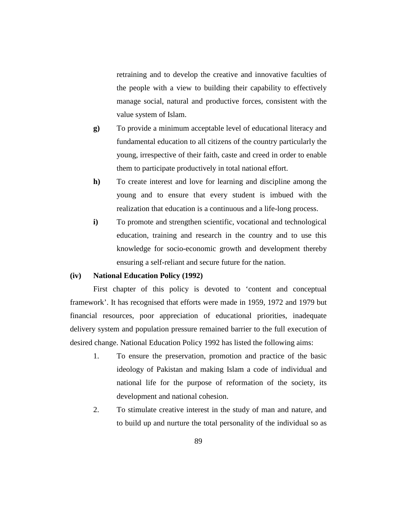retraining and to develop the creative and innovative faculties of the people with a view to building their capability to effectively manage social, natural and productive forces, consistent with the value system of Islam.

- **g)** To provide a minimum acceptable level of educational literacy and fundamental education to all citizens of the country particularly the young, irrespective of their faith, caste and creed in order to enable them to participate productively in total national effort.
- **h)** To create interest and love for learning and discipline among the young and to ensure that every student is imbued with the realization that education is a continuous and a life-long process.
- **i**) To promote and strengthen scientific, vocational and technological education, training and research in the country and to use this knowledge for socio-economic growth and development thereby ensuring a self-reliant and secure future for the nation.

#### **(iv) National Education Policy (1992)**

First chapter of this policy is devoted to 'content and conceptual framework'. It has recognised that efforts were made in 1959, 1972 and 1979 but financial resources, poor appreciation of educational priorities, inadequate delivery system and population pressure remained barrier to the full execution of desired change. National Education Policy 1992 has listed the following aims:

- 1. To ensure the preservation, promotion and practice of the basic ideology of Pakistan and making Islam a code of individual and national life for the purpose of reformation of the society, its development and national cohesion.
- 2. To stimulate creative interest in the study of man and nature, and to build up and nurture the total personality of the individual so as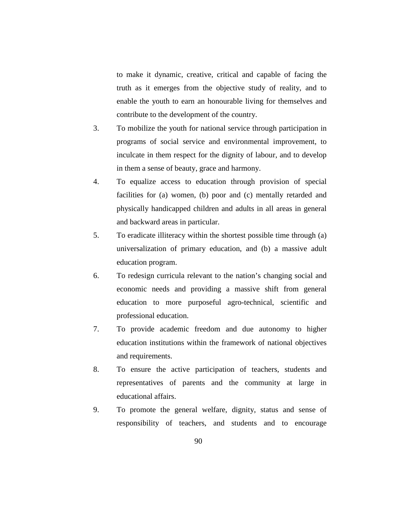to make it dynamic, creative, critical and capable of facing the truth as it emerges from the objective study of reality, and to enable the youth to earn an honourable living for themselves and contribute to the development of the country.

- 3. To mobilize the youth for national service through participation in programs of social service and environmental improvement, to inculcate in them respect for the dignity of labour, and to develop in them a sense of beauty, grace and harmony.
- 4. To equalize access to education through provision of special facilities for (a) women, (b) poor and (c) mentally retarded and physically handicapped children and adults in all areas in general and backward areas in particular.
- 5. To eradicate illiteracy within the shortest possible time through (a) universalization of primary education, and (b) a massive adult education program.
- 6. To redesign curricula relevant to the nation's changing social and economic needs and providing a massive shift from general education to more purposeful agro-technical, scientific and professional education.
- 7. To provide academic freedom and due autonomy to higher education institutions within the framework of national objectives and requirements.
- 8. To ensure the active participation of teachers, students and representatives of parents and the community at large in educational affairs.
- 9. To promote the general welfare, dignity, status and sense of responsibility of teachers, and students and to encourage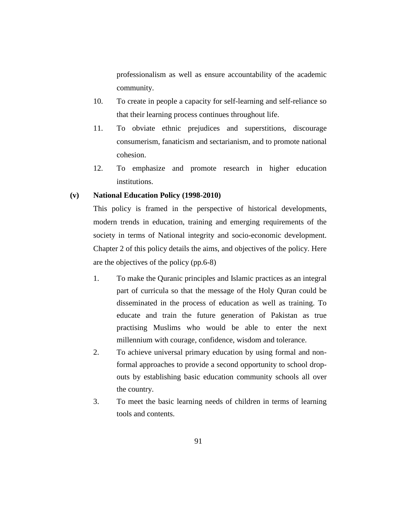professionalism as well as ensure accountability of the academic community.

- 10. To create in people a capacity for self-learning and self-reliance so that their learning process continues throughout life.
- 11. To obviate ethnic prejudices and superstitions, discourage consumerism, fanaticism and sectarianism, and to promote national cohesion.
- 12. To emphasize and promote research in higher education institutions.

#### **(v) National Education Policy (1998-2010)**

This policy is framed in the perspective of historical developments, modern trends in education, training and emerging requirements of the society in terms of National integrity and socio-economic development. Chapter 2 of this policy details the aims, and objectives of the policy. Here are the objectives of the policy (pp.6-8)

- 1. To make the Quranic principles and Islamic practices as an integral part of curricula so that the message of the Holy Quran could be disseminated in the process of education as well as training. To educate and train the future generation of Pakistan as true practising Muslims who would be able to enter the next millennium with courage, confidence, wisdom and tolerance.
- 2. To achieve universal primary education by using formal and nonformal approaches to provide a second opportunity to school dropouts by establishing basic education community schools all over the country.
- 3. To meet the basic learning needs of children in terms of learning tools and contents.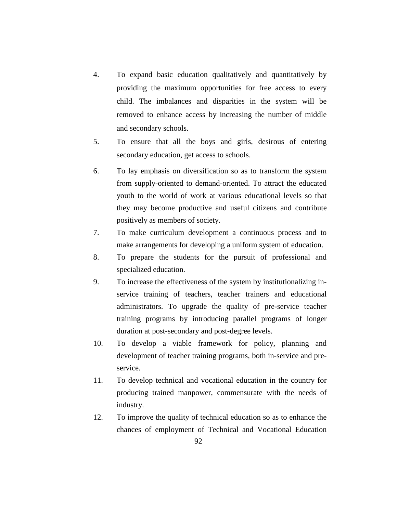- 4. To expand basic education qualitatively and quantitatively by providing the maximum opportunities for free access to every child. The imbalances and disparities in the system will be removed to enhance access by increasing the number of middle and secondary schools.
- 5. To ensure that all the boys and girls, desirous of entering secondary education, get access to schools.
- 6. To lay emphasis on diversification so as to transform the system from supply-oriented to demand-oriented. To attract the educated youth to the world of work at various educational levels so that they may become productive and useful citizens and contribute positively as members of society.
- 7. To make curriculum development a continuous process and to make arrangements for developing a uniform system of education.
- 8. To prepare the students for the pursuit of professional and specialized education.
- 9. To increase the effectiveness of the system by institutionalizing inservice training of teachers, teacher trainers and educational administrators. To upgrade the quality of pre-service teacher training programs by introducing parallel programs of longer duration at post-secondary and post-degree levels.
- 10. To develop a viable framework for policy, planning and development of teacher training programs, both in-service and preservice.
- 11. To develop technical and vocational education in the country for producing trained manpower, commensurate with the needs of industry.
- 12. To improve the quality of technical education so as to enhance the chances of employment of Technical and Vocational Education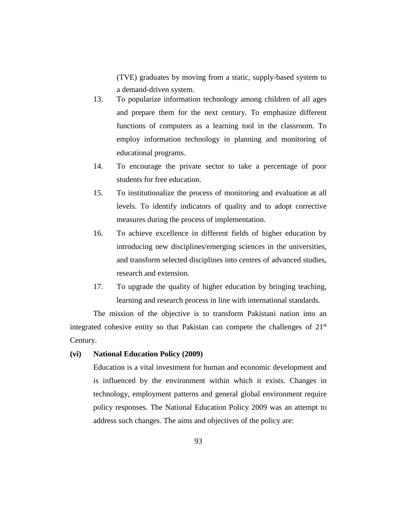(TVE) graduates by moving from a static, supply-based system to a demand-driven system.

- 13. To popularize information technology among children of all ages and prepare them for the next century. To emphasize different functions of computers as a learning tool in the classroom. To employ information technology in planning and monitoring of educational programs.
- 14. To encourage the private sector to take a percentage of poor students for free education.
- 15. To institutionalize the process of monitoring and evaluation at all levels. To identify indicators of quality and to adopt corrective measures during the process of implementation.
- 16. To achieve excellence in different fields of higher education by introducing new disciplines/emerging sciences in the universities, and transform selected disciplines into centres of advanced studies, research and extension.
- 17. To upgrade the quality of higher education by bringing teaching, learning and research process in line with international standards.

The mission of the objective is to transform Pakistani nation into an integrated cohesive entity so that Pakistan can compete the challenges of  $21<sup>st</sup>$ Century.

#### **(vi) National Education Policy (2009)**

Education is a vital investment for human and economic development and is influenced by the environment within which it exists. Changes in technology, employment patterns and general global environment require policy responses. The National Education Policy 2009 was an attempt to address such changes. The aims and objectives of the policy are: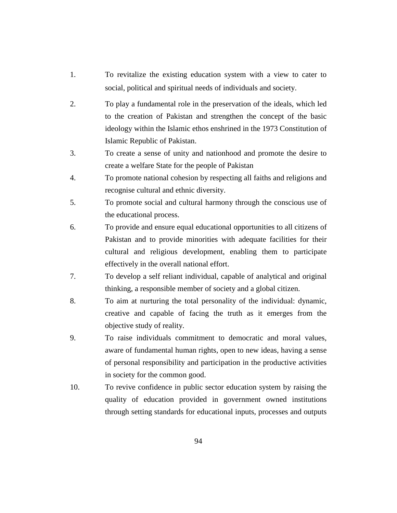- 1. To revitalize the existing education system with a view to cater to social, political and spiritual needs of individuals and society.
- 2. To play a fundamental role in the preservation of the ideals, which led to the creation of Pakistan and strengthen the concept of the basic ideology within the Islamic ethos enshrined in the 1973 Constitution of Islamic Republic of Pakistan.
- 3. To create a sense of unity and nationhood and promote the desire to create a welfare State for the people of Pakistan
- 4. To promote national cohesion by respecting all faiths and religions and recognise cultural and ethnic diversity.
- 5. To promote social and cultural harmony through the conscious use of the educational process.
- 6. To provide and ensure equal educational opportunities to all citizens of Pakistan and to provide minorities with adequate facilities for their cultural and religious development, enabling them to participate effectively in the overall national effort.
- 7. To develop a self reliant individual, capable of analytical and original thinking, a responsible member of society and a global citizen.
- 8. To aim at nurturing the total personality of the individual: dynamic, creative and capable of facing the truth as it emerges from the objective study of reality.
- 9. To raise individuals commitment to democratic and moral values, aware of fundamental human rights, open to new ideas, having a sense of personal responsibility and participation in the productive activities in society for the common good.
- 10. To revive confidence in public sector education system by raising the quality of education provided in government owned institutions through setting standards for educational inputs, processes and outputs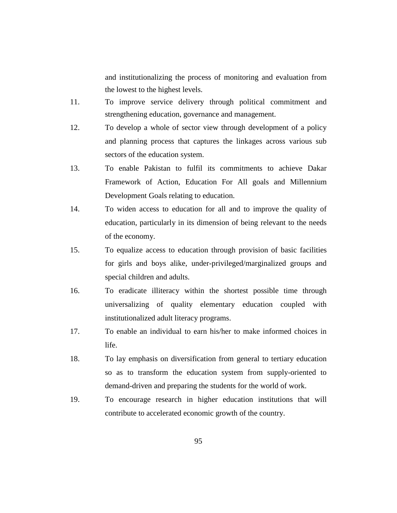and institutionalizing the process of monitoring and evaluation from the lowest to the highest levels.

- 11. To improve service delivery through political commitment and strengthening education, governance and management.
- 12. To develop a whole of sector view through development of a policy and planning process that captures the linkages across various sub sectors of the education system.
- 13. To enable Pakistan to fulfil its commitments to achieve Dakar Framework of Action, Education For All goals and Millennium Development Goals relating to education.
- 14. To widen access to education for all and to improve the quality of education, particularly in its dimension of being relevant to the needs of the economy.
- 15. To equalize access to education through provision of basic facilities for girls and boys alike, under-privileged/marginalized groups and special children and adults.
- 16. To eradicate illiteracy within the shortest possible time through universalizing of quality elementary education coupled with institutionalized adult literacy programs.
- 17. To enable an individual to earn his/her to make informed choices in life.
- 18. To lay emphasis on diversification from general to tertiary education so as to transform the education system from supply-oriented to demand-driven and preparing the students for the world of work.
- 19. To encourage research in higher education institutions that will contribute to accelerated economic growth of the country.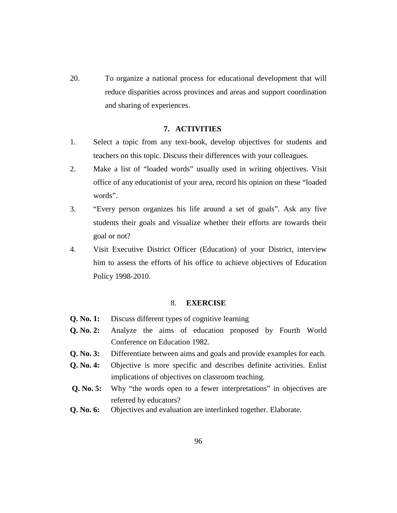20. To organize a national process for educational development that will reduce disparities across provinces and areas and support coordination and sharing of experiences.

#### **7. ACTIVITIES**

- 1. Select a topic from any text-book, develop objectives for students and teachers on this topic. Discuss their differences with your colleagues.
- 2. Make a list of "loaded words" usually used in writing objectives. Visit office of any educationist of your area, record his opinion on these "loaded words".
- 3. "Every person organizes his life around a set of goals". Ask any five students their goals and visualize whether their efforts are towards their goal or not?
- 4. Visit Executive District Officer (Education) of your District, interview him to assess the efforts of his office to achieve objectives of Education Policy 1998-2010.

#### 8. **EXERCISE**

- **Q. No. 1:** Discuss different types of cognitive learning
- **Q. No. 2:** Analyze the aims of education proposed by Fourth World Conference on Education 1982.
- **Q. No. 3:** Differentiate between aims and goals and provide examples for each.
- **Q. No. 4:** Objective is more specific and describes definite activities. Enlist implications of objectives on classroom teaching.
- **Q. No. 5:** Why "the words open to a fewer interpretations" in objectives are referred by educators?
- **Q. No. 6:** Objectives and evaluation are interlinked together. Elaborate.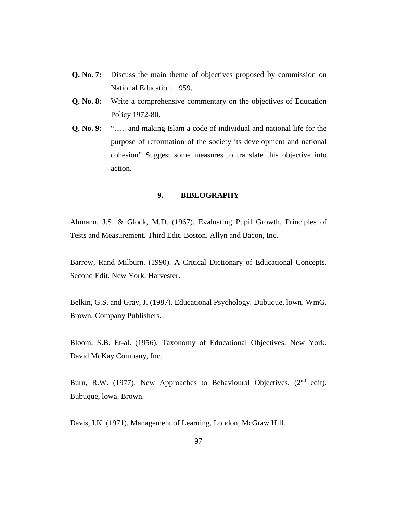- **Q. No. 7:** Discuss the main theme of objectives proposed by commission on National Education, 1959.
- **Q. No. 8:** Write a comprehensive commentary on the objectives of Education Policy 1972-80.
- **Q. No. 9:** "...... and making Islam a code of individual and national life for the purpose of reformation of the society its development and national cohesion" Suggest some measures to translate this objective into action.

#### **9. BIBLOGRAPHY**

Ahmann, J.S. & Glock, M.D. (1967). Evaluating Pupil Growth, Principles of Tests and Measurement. Third Edit. Boston. Allyn and Bacon, Inc.

Barrow, Rand Milburn. (1990). A Critical Dictionary of Educational Concepts. Second Edit. New York. Harvester.

Belkin, G.S. and Gray, J. (1987). Educational Psychology. Dubuque, lown. WmG. Brown. Company Publishers.

Bloom, S.B. Et-al. (1956). Taxonomy of Educational Objectives. New York. David McKay Company, Inc.

Burn, R.W. (1977). New Approaches to Behavioural Objectives.  $(2<sup>nd</sup>$  edit). Bubuque, lowa. Brown.

Davis, I.K. (1971). Management of Learning. London, McGraw Hill.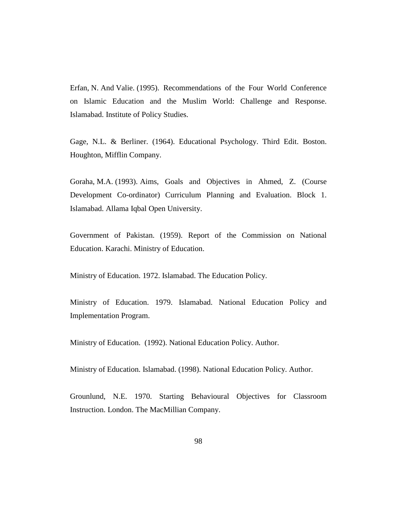Erfan, N. And Valie. (1995). Recommendations of the Four World Conference on Islamic Education and the Muslim World: Challenge and Response. Islamabad. Institute of Policy Studies.

Gage, N.L. & Berliner. (1964). Educational Psychology. Third Edit. Boston. Houghton, Mifflin Company.

Goraha, M.A. (1993). Aims, Goals and Objectives in Ahmed, Z. (Course Development Co-ordinator) Curriculum Planning and Evaluation. Block 1. Islamabad. Allama Iqbal Open University.

Government of Pakistan. (1959). Report of the Commission on National Education. Karachi. Ministry of Education.

Ministry of Education. 1972. Islamabad. The Education Policy.

Ministry of Education. 1979. Islamabad. National Education Policy and Implementation Program.

Ministry of Education. (1992). National Education Policy. Author.

Ministry of Education. Islamabad. (1998). National Education Policy. Author.

Grounlund, N.E. 1970. Starting Behavioural Objectives for Classroom Instruction. London. The MacMillian Company.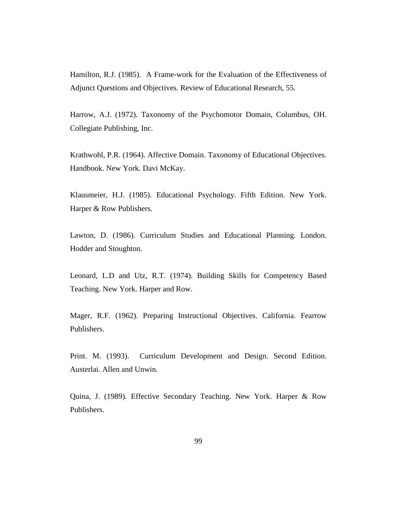Hamilton, R.J. (1985). A Frame-work for the Evaluation of the Effectiveness of Adjunct Questions and Objectives. Review of Educational Research, 55.

Harrow, A.J. (1972). Taxonomy of the Psychomotor Domain, Columbus, OH. Collegiate Publishing, Inc.

Krathwohl, P.R. (1964). Affective Domain. Taxonomy of Educational Objectives. Handbook. New York. Davi McKay.

Klausmeier, H.J. (1985). Educational Psychology. Fifth Edition. New York. Harper & Row Publishers.

Lawton, D. (1986). Curriculum Studies and Educational Planning. London. Hodder and Stoughton.

Leonard, L.D and Utz, R.T. (1974). Building Skills for Competency Based Teaching. New York. Harper and Row.

Mager, R.F. (1962). Preparing Instructional Objectives. California. Fearrow Publishers.

Print. M. (1993). Curriculum Development and Design. Second Edition. Austerlai. Allen and Unwin.

Quina, J. (1989). Effective Secondary Teaching. New York. Harper & Row Publishers.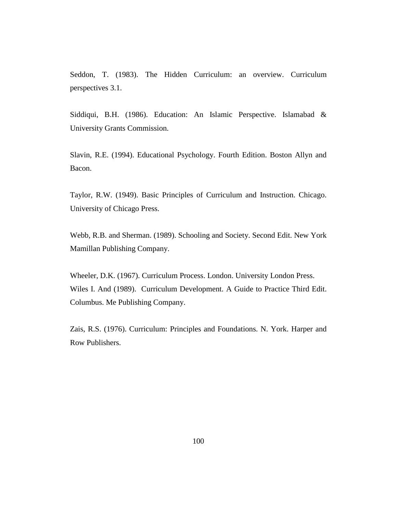Seddon, T. (1983). The Hidden Curriculum: an overview. Curriculum perspectives 3.1.

Siddiqui, B.H. (1986). Education: An Islamic Perspective. Islamabad & University Grants Commission.

Slavin, R.E. (1994). Educational Psychology. Fourth Edition. Boston Allyn and Bacon.

Taylor, R.W. (1949). Basic Principles of Curriculum and Instruction. Chicago. University of Chicago Press.

Webb, R.B. and Sherman. (1989). Schooling and Society. Second Edit. New York Mamillan Publishing Company.

Wheeler, D.K. (1967). Curriculum Process. London. University London Press. Wiles I. And (1989). Curriculum Development. A Guide to Practice Third Edit. Columbus. Me Publishing Company.

Zais, R.S. (1976). Curriculum: Principles and Foundations. N. York. Harper and Row Publishers.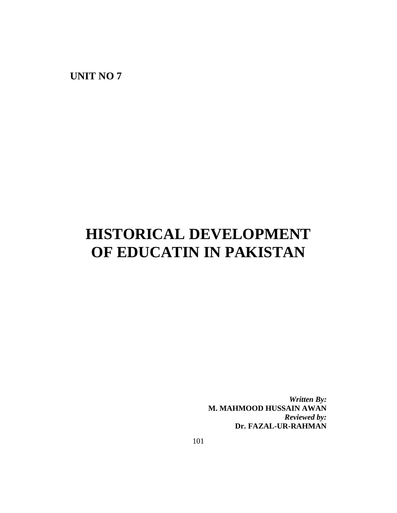**UNIT NO 7**

## **HISTORICAL DEVELOPMENT OF EDUCATIN IN PAKISTAN**

*Written By:* **M. MAHMOOD HUSSAIN AWAN** *Reviewed by:* **Dr. FAZAL-UR-RAHMAN**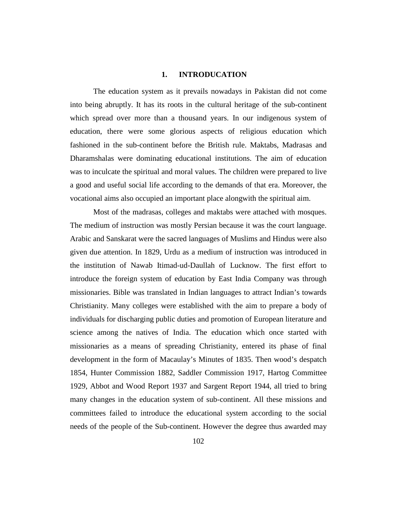#### **1. INTRODUCATION**

The education system as it prevails nowadays in Pakistan did not come into being abruptly. It has its roots in the cultural heritage of the sub-continent which spread over more than a thousand years. In our indigenous system of education, there were some glorious aspects of religious education which fashioned in the sub-continent before the British rule. Maktabs, Madrasas and Dharamshalas were dominating educational institutions. The aim of education was to inculcate the spiritual and moral values. The children were prepared to live a good and useful social life according to the demands of that era. Moreover, the vocational aims also occupied an important place alongwith the spiritual aim.

Most of the madrasas, colleges and maktabs were attached with mosques. The medium of instruction was mostly Persian because it was the court language. Arabic and Sanskarat were the sacred languages of Muslims and Hindus were also given due attention. In 1829, Urdu as a medium of instruction was introduced in the institution of Nawab Itimad-ud-Daullah of Lucknow. The first effort to introduce the foreign system of education by East India Company was through missionaries. Bible was translated in Indian languages to attract Indian's towards Christianity. Many colleges were established with the aim to prepare a body of individuals for discharging public duties and promotion of European literature and science among the natives of India. The education which once started with missionaries as a means of spreading Christianity, entered its phase of final development in the form of Macaulay's Minutes of 1835. Then wood's despatch 1854, Hunter Commission 1882, Saddler Commission 1917, Hartog Committee 1929, Abbot and Wood Report 1937 and Sargent Report 1944, all tried to bring many changes in the education system of sub-continent. All these missions and committees failed to introduce the educational system according to the social needs of the people of the Sub-continent. However the degree thus awarded may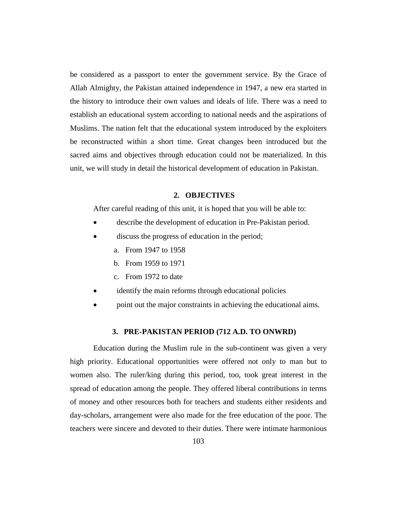be considered as a passport to enter the government service. By the Grace of Allah Almighty, the Pakistan attained independence in 1947, a new era started in the history to introduce their own values and ideals of life. There was a need to establish an educational system according to national needs and the aspirations of Muslims. The nation felt that the educational system introduced by the exploiters be reconstructed within a short time. Great changes been introduced but the sacred aims and objectives through education could not be materialized. In this unit, we will study in detail the historical development of education in Pakistan.

#### **2. OBJECTIVES**

After careful reading of this unit, it is hoped that you will be able to:

- describe the development of education in Pre-Pakistan period.
- discuss the progress of education in the period;
	- a. From 1947 to 1958
	- b. From 1959 to 1971
	- c. From 1972 to date
- identify the main reforms through educational policies
- point out the major constraints in achieving the educational aims.

#### **3. PRE-PAKISTAN PERIOD (712 A.D. TO ONWRD)**

Education during the Muslim rule in the sub-continent was given a very high priority. Educational opportunities were offered not only to man but to women also. The ruler/king during this period, too, took great interest in the spread of education among the people. They offered liberal contributions in terms of money and other resources both for teachers and students either residents and day-scholars, arrangement were also made for the free education of the poor. The teachers were sincere and devoted to their duties. There were intimate harmonious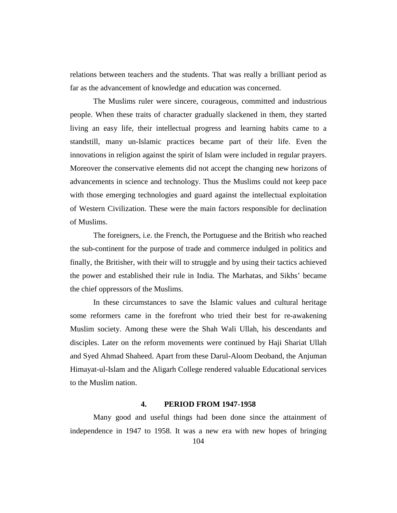relations between teachers and the students. That was really a brilliant period as far as the advancement of knowledge and education was concerned.

The Muslims ruler were sincere, courageous, committed and industrious people. When these traits of character gradually slackened in them, they started living an easy life, their intellectual progress and learning habits came to a standstill, many un-Islamic practices became part of their life. Even the innovations in religion against the spirit of Islam were included in regular prayers. Moreover the conservative elements did not accept the changing new horizons of advancements in science and technology. Thus the Muslims could not keep pace with those emerging technologies and guard against the intellectual exploitation of Western Civilization. These were the main factors responsible for declination of Muslims.

The foreigners, i.e. the French, the Portuguese and the British who reached the sub-continent for the purpose of trade and commerce indulged in politics and finally, the Britisher, with their will to struggle and by using their tactics achieved the power and established their rule in India. The Marhatas, and Sikhs' became the chief oppressors of the Muslims.

In these circumstances to save the Islamic values and cultural heritage some reformers came in the forefront who tried their best for re-awakening Muslim society. Among these were the Shah Wali Ullah, his descendants and disciples. Later on the reform movements were continued by Haji Shariat Ullah and Syed Ahmad Shaheed. Apart from these Darul-Aloom Deoband, the Anjuman Himayat-ul-Islam and the Aligarh College rendered valuable Educational services to the Muslim nation.

#### **4. PERIOD FROM 1947-1958**

Many good and useful things had been done since the attainment of independence in 1947 to 1958. It was a new era with new hopes of bringing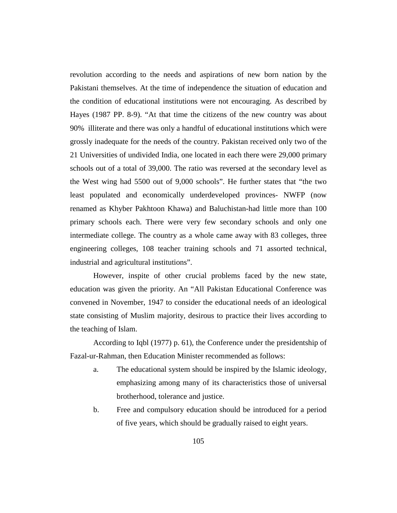revolution according to the needs and aspirations of new born nation by the Pakistani themselves. At the time of independence the situation of education and the condition of educational institutions were not encouraging. As described by Hayes (1987 PP. 8-9). "At that time the citizens of the new country was about 90% illiterate and there was only a handful of educational institutions which were grossly inadequate for the needs of the country. Pakistan received only two of the 21 Universities of undivided India, one located in each there were 29,000 primary schools out of a total of 39,000. The ratio was reversed at the secondary level as the West wing had 5500 out of 9,000 schools". He further states that "the two least populated and economically underdeveloped provinces- NWFP (now renamed as Khyber Pakhtoon Khawa) and Baluchistan-had little more than 100 primary schools each. There were very few secondary schools and only one intermediate college. The country as a whole came away with 83 colleges, three engineering colleges, 108 teacher training schools and 71 assorted technical, industrial and agricultural institutions".

However, inspite of other crucial problems faced by the new state, education was given the priority. An "All Pakistan Educational Conference was convened in November, 1947 to consider the educational needs of an ideological state consisting of Muslim majority, desirous to practice their lives according to the teaching of Islam.

According to Iqbl (1977) p. 61), the Conference under the presidentship of Fazal-ur-Rahman, then Education Minister recommended as follows:

- a. The educational system should be inspired by the Islamic ideology, emphasizing among many of its characteristics those of universal brotherhood, tolerance and justice.
- b. Free and compulsory education should be introduced for a period of five years, which should be gradually raised to eight years.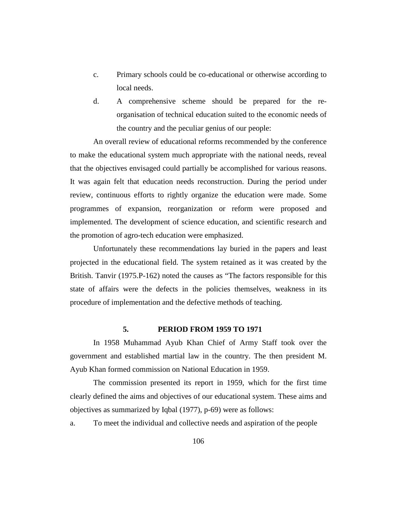- c. Primary schools could be co-educational or otherwise according to local needs.
- d. A comprehensive scheme should be prepared for the reorganisation of technical education suited to the economic needs of the country and the peculiar genius of our people:

An overall review of educational reforms recommended by the conference to make the educational system much appropriate with the national needs, reveal that the objectives envisaged could partially be accomplished for various reasons. It was again felt that education needs reconstruction. During the period under review, continuous efforts to rightly organize the education were made. Some programmes of expansion, reorganization or reform were proposed and implemented. The development of science education, and scientific research and the promotion of agro-tech education were emphasized.

Unfortunately these recommendations lay buried in the papers and least projected in the educational field. The system retained as it was created by the British. Tanvir (1975.P-162) noted the causes as "The factors responsible for this state of affairs were the defects in the policies themselves, weakness in its procedure of implementation and the defective methods of teaching.

### **5. PERIOD FROM 1959 TO 1971**

In 1958 Muhammad Ayub Khan Chief of Army Staff took over the government and established martial law in the country. The then president M. Ayub Khan formed commission on National Education in 1959.

The commission presented its report in 1959, which for the first time clearly defined the aims and objectives of our educational system. These aims and objectives as summarized by Iqbal (1977), p-69) were as follows:

a. To meet the individual and collective needs and aspiration of the people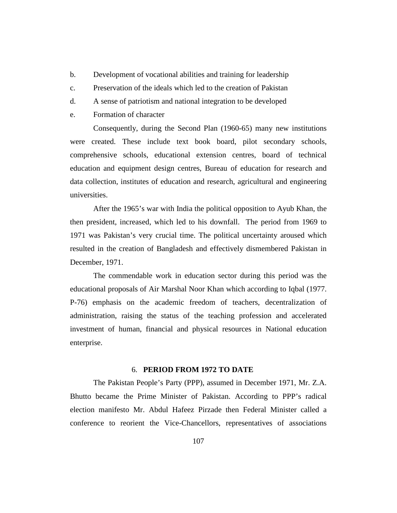- b. Development of vocational abilities and training for leadership
- c. Preservation of the ideals which led to the creation of Pakistan
- d. A sense of patriotism and national integration to be developed
- e. Formation of character

Consequently, during the Second Plan (1960-65) many new institutions were created. These include text book board, pilot secondary schools, comprehensive schools, educational extension centres, board of technical education and equipment design centres, Bureau of education for research and data collection, institutes of education and research, agricultural and engineering universities.

After the 1965's war with India the political opposition to Ayub Khan, the then president, increased, which led to his downfall. The period from 1969 to 1971 was Pakistan's very crucial time. The political uncertainty aroused which resulted in the creation of Bangladesh and effectively dismembered Pakistan in December, 1971.

The commendable work in education sector during this period was the educational proposals of Air Marshal Noor Khan which according to Iqbal (1977. P-76) emphasis on the academic freedom of teachers, decentralization of administration, raising the status of the teaching profession and accelerated investment of human, financial and physical resources in National education enterprise.

#### 6. **PERIOD FROM 1972 TO DATE**

The Pakistan People's Party (PPP), assumed in December 1971, Mr. Z.A. Bhutto became the Prime Minister of Pakistan. According to PPP's radical election manifesto Mr. Abdul Hafeez Pirzade then Federal Minister called a conference to reorient the Vice-Chancellors, representatives of associations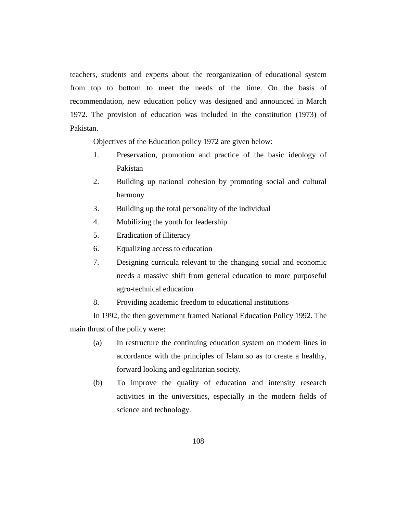teachers, students and experts about the reorganization of educational system from top to bottom to meet the needs of the time. On the basis of recommendation, new education policy was designed and announced in March 1972. The provision of education was included in the constitution (1973) of Pakistan.

Objectives of the Education policy 1972 are given below:

- 1. Preservation, promotion and practice of the basic ideology of Pakistan
- 2. Building up national cohesion by promoting social and cultural harmony
- 3. Building up the total personality of the individual
- 4. Mobilizing the youth for leadership
- 5. Eradication of illiteracy
- 6. Equalizing access to education
- 7. Designing curricula relevant to the changing social and economic needs a massive shift from general education to more purposeful agro-technical education
- 8. Providing academic freedom to educational institutions

In 1992, the then government framed National Education Policy 1992. The main thrust of the policy were:

- (a) In restructure the continuing education system on modern lines in accordance with the principles of Islam so as to create a healthy, forward looking and egalitarian society.
- (b) To improve the quality of education and intensity research activities in the universities, especially in the modern fields of science and technology.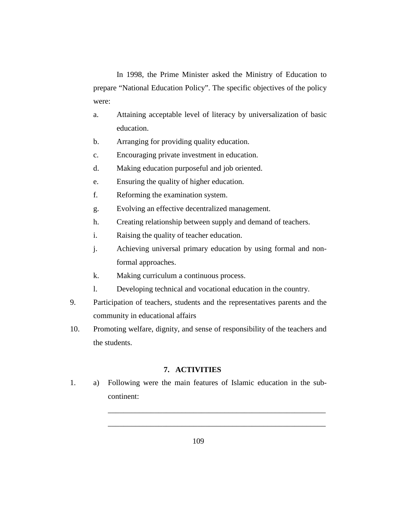In 1998, the Prime Minister asked the Ministry of Education to prepare "National Education Policy". The specific objectives of the policy were:

- a. Attaining acceptable level of literacy by universalization of basic education.
- b. Arranging for providing quality education.
- c. Encouraging private investment in education.
- d. Making education purposeful and job oriented.
- e. Ensuring the quality of higher education.
- f. Reforming the examination system.
- g. Evolving an effective decentralized management.
- h. Creating relationship between supply and demand of teachers.
- i. Raising the quality of teacher education.
- j. Achieving universal primary education by using formal and nonformal approaches.
- k. Making curriculum a continuous process.
- l. Developing technical and vocational education in the country.
- 9. Participation of teachers, students and the representatives parents and the community in educational affairs
- 10. Promoting welfare, dignity, and sense of responsibility of the teachers and the students.

#### **7. ACTIVITIES**

1. a) Following were the main features of Islamic education in the subcontinent:

\_\_\_\_\_\_\_\_\_\_\_\_\_\_\_\_\_\_\_\_\_\_\_\_\_\_\_\_\_\_\_\_\_\_\_\_\_\_\_\_\_\_\_\_\_\_\_\_\_\_\_\_\_\_\_\_

\_\_\_\_\_\_\_\_\_\_\_\_\_\_\_\_\_\_\_\_\_\_\_\_\_\_\_\_\_\_\_\_\_\_\_\_\_\_\_\_\_\_\_\_\_\_\_\_\_\_\_\_\_\_\_\_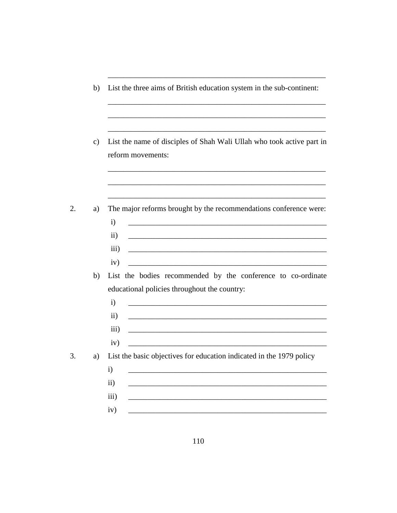- b) List the three aims of British education system in the sub-continent:
- List the name of disciples of Shah Wali Ullah who took active part in  $c)$ reform movements:
- 2. The major reforms brought by the recommendations conference were: a)  $\mathbf{i}$  $\ddot{\textbf{i}}$ <u> 1989 - Johann Barbara, martin amerikan basal dan berasal dan berasal dalam basal dalam basal dalam basal dala</u>  $\overline{iii}$  $iv)$ <u> 2000 - Jan James James Jan James James James James James James James James James James James James James Jam</u> b) List the bodies recommended by the conference to co-ordinate educational policies throughout the country:  $i)$  $\mathbf{ii}$ <u> 1980 - John Stein, marking and de Britain and de Britain and de Britain and de Britain and de Britain and de</u>  $\overline{iii}$  $iv)$  $3.$ List the basic objectives for education indicated in the 1979 policy a)  $\mathbf{i}$  $\mathbf{ii}$  $\overline{iii}$  $iv)$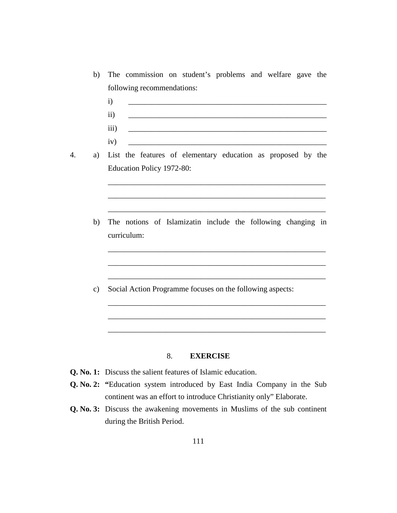- b) The commission on student's problems and welfare gave the following recommendations:
	- i) \_\_\_\_\_\_\_\_\_\_\_\_\_\_\_\_\_\_\_\_\_\_\_\_\_\_\_\_\_\_\_\_\_\_\_\_\_\_\_\_\_\_\_\_\_\_\_\_\_\_\_  $ii)$ iii) \_\_\_\_\_\_\_\_\_\_\_\_\_\_\_\_\_\_\_\_\_\_\_\_\_\_\_\_\_\_\_\_\_\_\_\_\_\_\_\_\_\_\_\_\_\_\_\_\_\_\_ iv) \_\_\_\_\_\_\_\_\_\_\_\_\_\_\_\_\_\_\_\_\_\_\_\_\_\_\_\_\_\_\_\_\_\_\_\_\_\_\_\_\_\_\_\_\_\_\_\_\_\_\_

\_\_\_\_\_\_\_\_\_\_\_\_\_\_\_\_\_\_\_\_\_\_\_\_\_\_\_\_\_\_\_\_\_\_\_\_\_\_\_\_\_\_\_\_\_\_\_\_\_\_\_\_\_\_\_\_

\_\_\_\_\_\_\_\_\_\_\_\_\_\_\_\_\_\_\_\_\_\_\_\_\_\_\_\_\_\_\_\_\_\_\_\_\_\_\_\_\_\_\_\_\_\_\_\_\_\_\_\_\_\_\_\_

\_\_\_\_\_\_\_\_\_\_\_\_\_\_\_\_\_\_\_\_\_\_\_\_\_\_\_\_\_\_\_\_\_\_\_\_\_\_\_\_\_\_\_\_\_\_\_\_\_\_\_\_\_\_\_\_

\_\_\_\_\_\_\_\_\_\_\_\_\_\_\_\_\_\_\_\_\_\_\_\_\_\_\_\_\_\_\_\_\_\_\_\_\_\_\_\_\_\_\_\_\_\_\_\_\_\_\_\_\_\_\_\_

\_\_\_\_\_\_\_\_\_\_\_\_\_\_\_\_\_\_\_\_\_\_\_\_\_\_\_\_\_\_\_\_\_\_\_\_\_\_\_\_\_\_\_\_\_\_\_\_\_\_\_\_\_\_\_\_

\_\_\_\_\_\_\_\_\_\_\_\_\_\_\_\_\_\_\_\_\_\_\_\_\_\_\_\_\_\_\_\_\_\_\_\_\_\_\_\_\_\_\_\_\_\_\_\_\_\_\_\_\_\_\_\_

\_\_\_\_\_\_\_\_\_\_\_\_\_\_\_\_\_\_\_\_\_\_\_\_\_\_\_\_\_\_\_\_\_\_\_\_\_\_\_\_\_\_\_\_\_\_\_\_\_\_\_\_\_\_\_\_

\_\_\_\_\_\_\_\_\_\_\_\_\_\_\_\_\_\_\_\_\_\_\_\_\_\_\_\_\_\_\_\_\_\_\_\_\_\_\_\_\_\_\_\_\_\_\_\_\_\_\_\_\_\_\_\_

\_\_\_\_\_\_\_\_\_\_\_\_\_\_\_\_\_\_\_\_\_\_\_\_\_\_\_\_\_\_\_\_\_\_\_\_\_\_\_\_\_\_\_\_\_\_\_\_\_\_\_\_\_\_\_\_

- 4. a) List the features of elementary education as proposed by the Education Policy 1972-80:
	- b) The notions of Islamizatin include the following changing in curriculum:
	- c) Social Action Programme focuses on the following aspects:

#### 8. **EXERCISE**

- **Q. No. 1:** Discuss the salient features of Islamic education.
- **Q. No. 2: "**Education system introduced by East India Company in the Sub continent was an effort to introduce Christianity only" Elaborate.
- **Q. No. 3:** Discuss the awakening movements in Muslims of the sub continent during the British Period.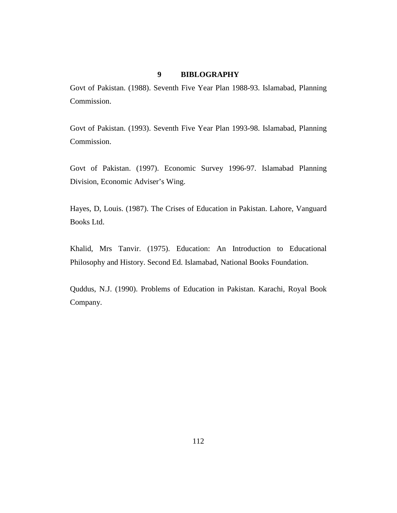#### **9 BIBLOGRAPHY**

Govt of Pakistan. (1988). Seventh Five Year Plan 1988-93. Islamabad, Planning Commission.

Govt of Pakistan. (1993). Seventh Five Year Plan 1993-98. Islamabad, Planning Commission.

Govt of Pakistan. (1997). Economic Survey 1996-97. Islamabad Planning Division, Economic Adviser's Wing.

Hayes, D, Louis. (1987). The Crises of Education in Pakistan. Lahore, Vanguard Books Ltd.

Khalid, Mrs Tanvir. (1975). Education: An Introduction to Educational Philosophy and History. Second Ed. Islamabad, National Books Foundation.

Quddus, N.J. (1990). Problems of Education in Pakistan. Karachi, Royal Book Company.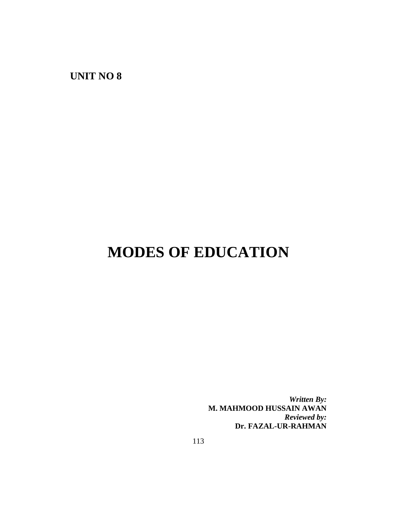**UNIT NO 8**

## **MODES OF EDUCATION**

*Written By:* **M. MAHMOOD HUSSAIN AWAN** *Reviewed by:* **Dr. FAZAL-UR-RAHMAN**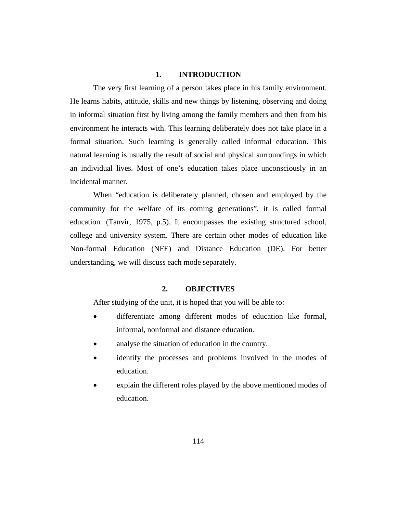## **1. INTRODUCTION**

The very first learning of a person takes place in his family environment. He learns habits, attitude, skills and new things by listening, observing and doing in informal situation first by living among the family members and then from his environment he interacts with. This learning deliberately does not take place in a formal situation. Such learning is generally called informal education. This natural learning is usually the result of social and physical surroundings in which an individual lives. Most of one's education takes place unconsciously in an incidental manner.

When "education is deliberately planned, chosen and employed by the community for the welfare of its coming generations", it is called formal education. (Tanvir, 1975, p.5). It encompasses the existing structured school, college and university system. There are certain other modes of education like Non-formal Education (NFE) and Distance Education (DE). For better understanding, we will discuss each mode separately.

## **2. OBJECTIVES**

After studying of the unit, it is hoped that you will be able to:

- differentiate among different modes of education like formal, informal, nonformal and distance education.
- analyse the situation of education in the country.
- identify the processes and problems involved in the modes of education.
- explain the different roles played by the above mentioned modes of education.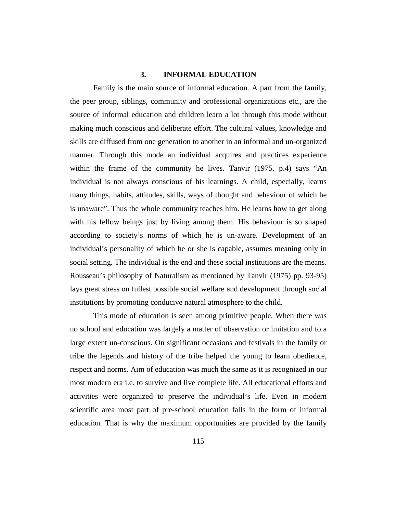## **3. INFORMAL EDUCATION**

Family is the main source of informal education. A part from the family, the peer group, siblings, community and professional organizations etc., are the source of informal education and children learn a lot through this mode without making much conscious and deliberate effort. The cultural values, knowledge and skills are diffused from one generation to another in an informal and un-organized manner. Through this mode an individual acquires and practices experience within the frame of the community he lives. Tanvir (1975, p.4) says "An individual is not always conscious of his learnings. A child, especially, learns many things, habits, attitudes, skills, ways of thought and behaviour of which he is unaware". Thus the whole community teaches him. He learns how to get along with his fellow beings just by living among them. His behaviour is so shaped according to society's norms of which he is un-aware. Development of an individual's personality of which he or she is capable, assumes meaning only in social setting. The individual is the end and these social institutions are the means. Rousseau's philosophy of Naturalism as mentioned by Tanvir (1975) pp. 93-95) lays great stress on fullest possible social welfare and development through social institutions by promoting conducive natural atmosphere to the child.

This mode of education is seen among primitive people. When there was no school and education was largely a matter of observation or imitation and to a large extent un-conscious. On significant occasions and festivals in the family or tribe the legends and history of the tribe helped the young to learn obedience, respect and norms. Aim of education was much the same as it is recognized in our most modern era i.e. to survive and live complete life. All educational efforts and activities were organized to preserve the individual's life. Even in modern scientific area most part of pre-school education falls in the form of informal education. That is why the maximum opportunities are provided by the family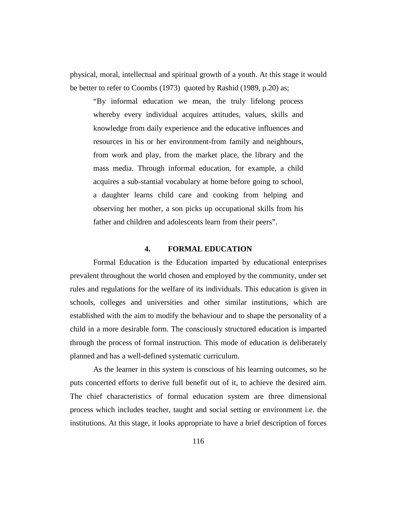physical, moral, intellectual and spiritual growth of a youth. At this stage it would be better to refer to Coombs (1973) quoted by Rashid (1989, p.20) as;

"By informal education we mean, the truly lifelong process whereby every individual acquires attitudes, values, skills and knowledge from daily experience and the educative influences and resources in his or her environment-from family and neighbours, from work and play, from the market place, the library and the mass media. Through informal education, for example, a child acquires a sub-stantial vocabulary at home before going to school, a daughter learns child care and cooking from helping and observing her mother, a son picks up occupational skills from his father and children and adolescents learn from their peers".

#### **4. FORMAL EDUCATION**

Formal Education is the Education imparted by educational enterprises prevalent throughout the world chosen and employed by the community, under set rules and regulations for the welfare of its individuals. This education is given in schools, colleges and universities and other similar institutions, which are established with the aim to modify the behaviour and to shape the personality of a child in a more desirable form. The consciously structured education is imparted through the process of formal instruction. This mode of education is deliberately planned and has a well-defined systematic curriculum.

As the learner in this system is conscious of his learning outcomes, so he puts concerted efforts to derive full benefit out of it, to achieve the desired aim. The chief characteristics of formal education system are three dimensional process which includes teacher, taught and social setting or environment i.e. the institutions. At this stage, it looks appropriate to have a brief description of forces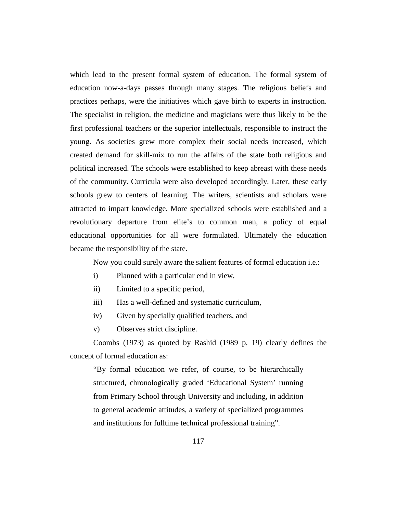which lead to the present formal system of education. The formal system of education now-a-days passes through many stages. The religious beliefs and practices perhaps, were the initiatives which gave birth to experts in instruction. The specialist in religion, the medicine and magicians were thus likely to be the first professional teachers or the superior intellectuals, responsible to instruct the young. As societies grew more complex their social needs increased, which created demand for skill-mix to run the affairs of the state both religious and political increased. The schools were established to keep abreast with these needs of the community. Curricula were also developed accordingly. Later, these early schools grew to centers of learning. The writers, scientists and scholars were attracted to impart knowledge. More specialized schools were established and a revolutionary departure from elite's to common man, a policy of equal educational opportunities for all were formulated. Ultimately the education became the responsibility of the state.

Now you could surely aware the salient features of formal education i.e.:

- i) Planned with a particular end in view,
- ii) Limited to a specific period,
- iii) Has a well-defined and systematic curriculum,
- iv) Given by specially qualified teachers, and
- v) Observes strict discipline.

Coombs (1973) as quoted by Rashid (1989 p, 19) clearly defines the concept of formal education as:

"By formal education we refer, of course, to be hierarchically structured, chronologically graded 'Educational System' running from Primary School through University and including, in addition to general academic attitudes, a variety of specialized programmes and institutions for fulltime technical professional training".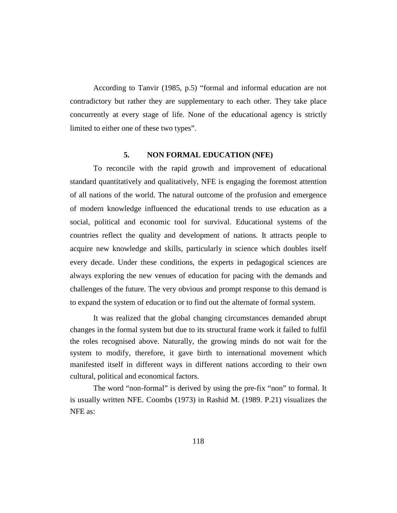According to Tanvir (1985, p.5) "formal and informal education are not contradictory but rather they are supplementary to each other. They take place concurrently at every stage of life. None of the educational agency is strictly limited to either one of these two types".

### **5. NON FORMAL EDUCATION (NFE)**

To reconcile with the rapid growth and improvement of educational standard quantitatively and qualitatively, NFE is engaging the foremost attention of all nations of the world. The natural outcome of the profusion and emergence of modern knowledge influenced the educational trends to use education as a social, political and economic tool for survival. Educational systems of the countries reflect the quality and development of nations. It attracts people to acquire new knowledge and skills, particularly in science which doubles itself every decade. Under these conditions, the experts in pedagogical sciences are always exploring the new venues of education for pacing with the demands and challenges of the future. The very obvious and prompt response to this demand is to expand the system of education or to find out the alternate of formal system.

It was realized that the global changing circumstances demanded abrupt changes in the formal system but due to its structural frame work it failed to fulfil the roles recognised above. Naturally, the growing minds do not wait for the system to modify, therefore, it gave birth to international movement which manifested itself in different ways in different nations according to their own cultural, political and economical factors.

The word "non-formal" is derived by using the pre-fix "non" to formal. It is usually written NFE. Coombs (1973) in Rashid M. (1989. P.21) visualizes the NFE as: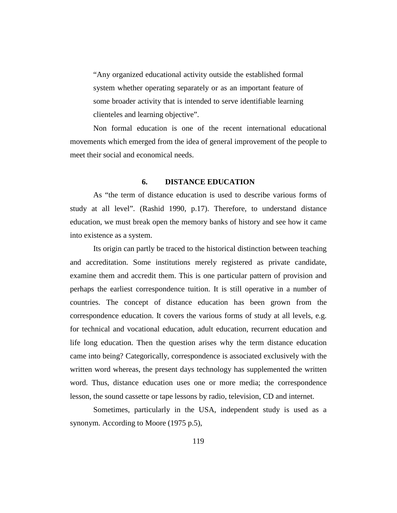"Any organized educational activity outside the established formal system whether operating separately or as an important feature of some broader activity that is intended to serve identifiable learning clienteles and learning objective".

Non formal education is one of the recent international educational movements which emerged from the idea of general improvement of the people to meet their social and economical needs.

### **6. DISTANCE EDUCATION**

As "the term of distance education is used to describe various forms of study at all level". (Rashid 1990, p.17). Therefore, to understand distance education, we must break open the memory banks of history and see how it came into existence as a system.

Its origin can partly be traced to the historical distinction between teaching and accreditation. Some institutions merely registered as private candidate, examine them and accredit them. This is one particular pattern of provision and perhaps the earliest correspondence tuition. It is still operative in a number of countries. The concept of distance education has been grown from the correspondence education. It covers the various forms of study at all levels, e.g. for technical and vocational education, adult education, recurrent education and life long education. Then the question arises why the term distance education came into being? Categorically, correspondence is associated exclusively with the written word whereas, the present days technology has supplemented the written word. Thus, distance education uses one or more media; the correspondence lesson, the sound cassette or tape lessons by radio, television, CD and internet.

Sometimes, particularly in the USA, independent study is used as a synonym. According to Moore (1975 p.5),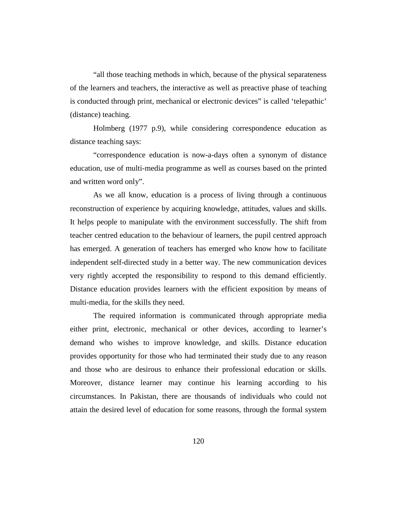"all those teaching methods in which, because of the physical separateness of the learners and teachers, the interactive as well as preactive phase of teaching is conducted through print, mechanical or electronic devices" is called 'telepathic' (distance) teaching.

Holmberg (1977 p.9), while considering correspondence education as distance teaching says:

"correspondence education is now-a-days often a synonym of distance education, use of multi-media programme as well as courses based on the printed and written word only".

As we all know, education is a process of living through a continuous reconstruction of experience by acquiring knowledge, attitudes, values and skills. It helps people to manipulate with the environment successfully. The shift from teacher centred education to the behaviour of learners, the pupil centred approach has emerged. A generation of teachers has emerged who know how to facilitate independent self-directed study in a better way. The new communication devices very rightly accepted the responsibility to respond to this demand efficiently. Distance education provides learners with the efficient exposition by means of multi-media, for the skills they need.

The required information is communicated through appropriate media either print, electronic, mechanical or other devices, according to learner's demand who wishes to improve knowledge, and skills. Distance education provides opportunity for those who had terminated their study due to any reason and those who are desirous to enhance their professional education or skills. Moreover, distance learner may continue his learning according to his circumstances. In Pakistan, there are thousands of individuals who could not attain the desired level of education for some reasons, through the formal system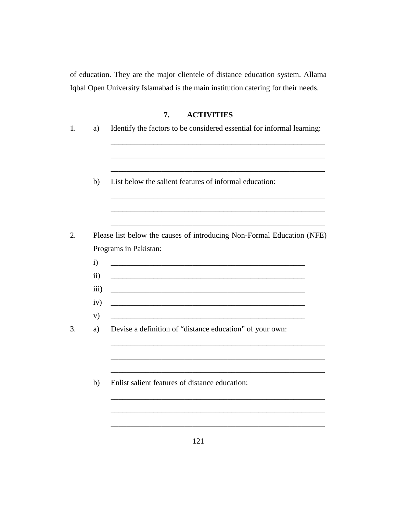of education. They are the major clientele of distance education system. Allama Iqbal Open University Islamabad is the main institution catering for their needs.

## **7. ACTIVITIES**

| a)                                | Identify the factors to be considered essential for informal learning:                                           |
|-----------------------------------|------------------------------------------------------------------------------------------------------------------|
|                                   |                                                                                                                  |
| b)                                | List below the salient features of informal education:                                                           |
|                                   | Please list below the causes of introducing Non-Formal Education (NFE)                                           |
|                                   | Programs in Pakistan:                                                                                            |
| $\mathbf{i}$<br>$\ddot{\text{1}}$ |                                                                                                                  |
| iii)                              | and the control of the control of the control of the control of the control of the control of the control of the |
| iv)<br>V)                         |                                                                                                                  |
| a)                                | Devise a definition of "distance education" of your own:                                                         |
|                                   |                                                                                                                  |
| b)                                | Enlist salient features of distance education:                                                                   |
|                                   |                                                                                                                  |
|                                   |                                                                                                                  |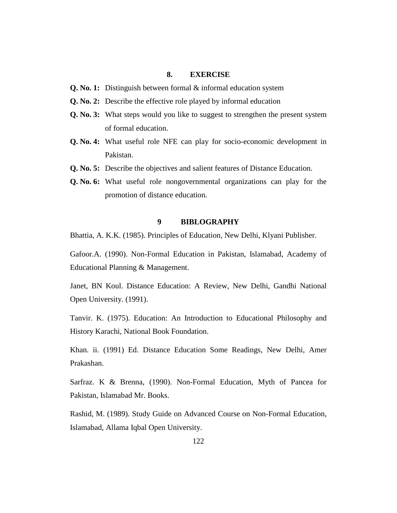## **8. EXERCISE**

- **Q. No. 1:** Distinguish between formal & informal education system
- **Q. No. 2:** Describe the effective role played by informal education
- **Q. No. 3:** What steps would you like to suggest to strengthen the present system of formal education.
- **Q. No. 4:** What useful role NFE can play for socio-economic development in Pakistan.
- **Q. No. 5:** Describe the objectives and salient features of Distance Education.
- **Q. No. 6:** What useful role nongovernmental organizations can play for the promotion of distance education.

#### **9 BIBLOGRAPHY**

Bhattia, A. K.K. (1985). Principles of Education, New Delhi, Klyani Publisher.

Gafoor.A. (1990). Non-Formal Education in Pakistan, Islamabad, Academy of Educational Planning & Management.

Janet, BN Koul. Distance Education: A Review, New Delhi, Gandhi National Open University. (1991).

Tanvir. K. (1975). Education: An Introduction to Educational Philosophy and History Karachi, National Book Foundation.

Khan. ii. (1991) Ed. Distance Education Some Readings, New Delhi, Amer Prakashan.

Sarfraz. K & Brenna, (1990). Non-Formal Education, Myth of Pancea for Pakistan, Islamabad Mr. Books.

Rashid, M. (1989). Study Guide on Advanced Course on Non-Formal Education, Islamabad, Allama Iqbal Open University.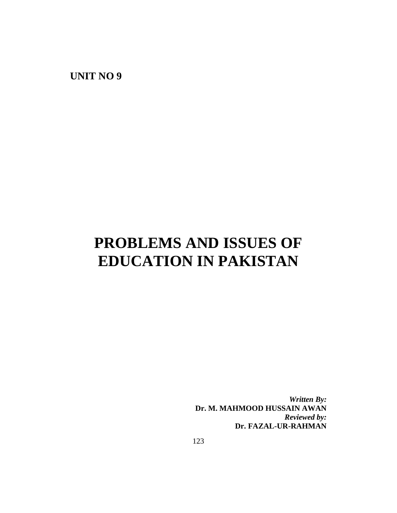**UNIT NO 9**

# **PROBLEMS AND ISSUES OF EDUCATION IN PAKISTAN**

*Written By:* **Dr. M. MAHMOOD HUSSAIN AWAN** *Reviewed by:* **Dr. FAZAL-UR-RAHMAN**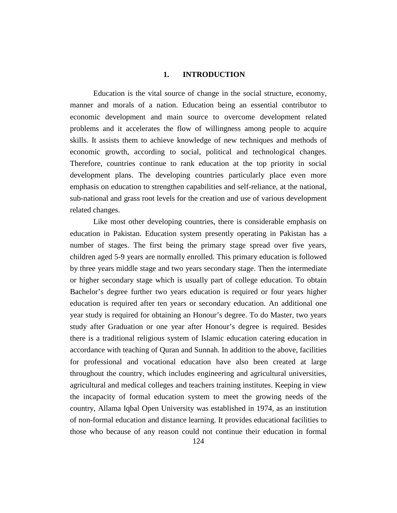### **1. INTRODUCTION**

Education is the vital source of change in the social structure, economy, manner and morals of a nation. Education being an essential contributor to economic development and main source to overcome development related problems and it accelerates the flow of willingness among people to acquire skills. It assists them to achieve knowledge of new techniques and methods of economic growth, according to social, political and technological changes. Therefore, countries continue to rank education at the top priority in social development plans. The developing countries particularly place even more emphasis on education to strengthen capabilities and self-reliance, at the national, sub-national and grass root levels for the creation and use of various development related changes.

Like most other developing countries, there is considerable emphasis on education in Pakistan. Education system presently operating in Pakistan has a number of stages. The first being the primary stage spread over five years, children aged 5-9 years are normally enrolled. This primary education is followed by three years middle stage and two years secondary stage. Then the intermediate or higher secondary stage which is usually part of college education. To obtain Bachelor's degree further two years education is required or four years higher education is required after ten years or secondary education. An additional one year study is required for obtaining an Honour's degree. To do Master, two years study after Graduation or one year after Honour's degree is required. Besides there is a traditional religious system of Islamic education catering education in accordance with teaching of Quran and Sunnah. In addition to the above, facilities for professional and vocational education have also been created at large throughout the country, which includes engineering and agricultural universities, agricultural and medical colleges and teachers training institutes. Keeping in view the incapacity of formal education system to meet the growing needs of the country, Allama Iqbal Open University was established in 1974, as an institution of non-formal education and distance learning. It provides educational facilities to those who because of any reason could not continue their education in formal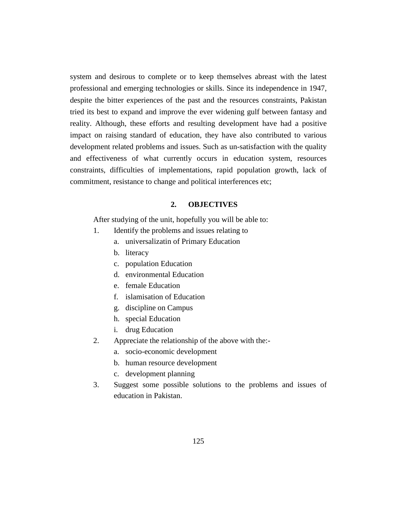system and desirous to complete or to keep themselves abreast with the latest professional and emerging technologies or skills. Since its independence in 1947, despite the bitter experiences of the past and the resources constraints, Pakistan tried its best to expand and improve the ever widening gulf between fantasy and reality. Although, these efforts and resulting development have had a positive impact on raising standard of education, they have also contributed to various development related problems and issues. Such as un-satisfaction with the quality and effectiveness of what currently occurs in education system, resources constraints, difficulties of implementations, rapid population growth, lack of commitment, resistance to change and political interferences etc;

#### **2. OBJECTIVES**

After studying of the unit, hopefully you will be able to:

- 1. Identify the problems and issues relating to
	- a. universalizatin of Primary Education
	- b. literacy
	- c. population Education
	- d. environmental Education
	- e. female Education
	- f. islamisation of Education
	- g. discipline on Campus
	- h. special Education
	- i. drug Education
- 2. Appreciate the relationship of the above with the:
	- a. socio-economic development
	- b. human resource development
	- c. development planning
- 3. Suggest some possible solutions to the problems and issues of education in Pakistan.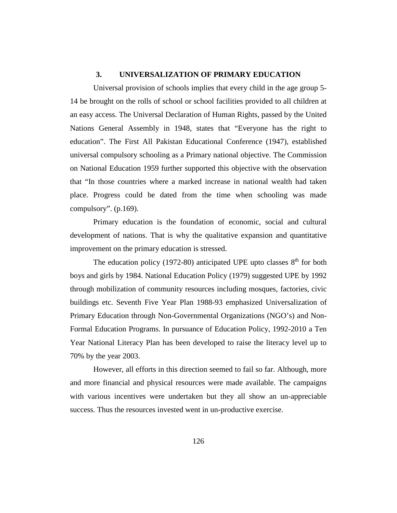## **3. UNIVERSALIZATION OF PRIMARY EDUCATION**

Universal provision of schools implies that every child in the age group 5- 14 be brought on the rolls of school or school facilities provided to all children at an easy access. The Universal Declaration of Human Rights, passed by the United Nations General Assembly in 1948, states that "Everyone has the right to education". The First All Pakistan Educational Conference (1947), established universal compulsory schooling as a Primary national objective. The Commission on National Education 1959 further supported this objective with the observation that "In those countries where a marked increase in national wealth had taken place. Progress could be dated from the time when schooling was made compulsory". (p.169).

Primary education is the foundation of economic, social and cultural development of nations. That is why the qualitative expansion and quantitative improvement on the primary education is stressed.

The education policy (1972-80) anticipated UPE upto classes  $8<sup>th</sup>$  for both boys and girls by 1984. National Education Policy (1979) suggested UPE by 1992 through mobilization of community resources including mosques, factories, civic buildings etc. Seventh Five Year Plan 1988-93 emphasized Universalization of Primary Education through Non-Governmental Organizations (NGO's) and Non-Formal Education Programs. In pursuance of Education Policy, 1992-2010 a Ten Year National Literacy Plan has been developed to raise the literacy level up to 70% by the year 2003.

However, all efforts in this direction seemed to fail so far. Although, more and more financial and physical resources were made available. The campaigns with various incentives were undertaken but they all show an un-appreciable success. Thus the resources invested went in un-productive exercise.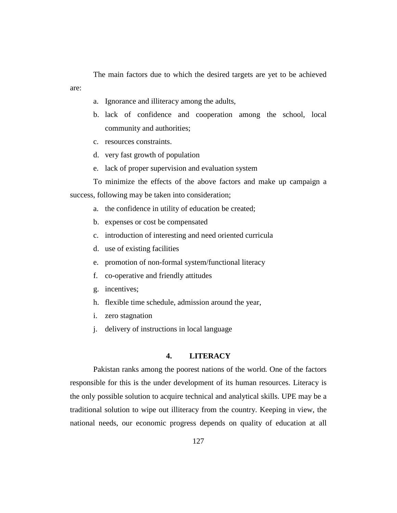The main factors due to which the desired targets are yet to be achieved are:

- a. Ignorance and illiteracy among the adults,
- b. lack of confidence and cooperation among the school, local community and authorities;
- c. resources constraints.
- d. very fast growth of population
- e. lack of proper supervision and evaluation system

To minimize the effects of the above factors and make up campaign a success, following may be taken into consideration;

- a. the confidence in utility of education be created;
- b. expenses or cost be compensated
- c. introduction of interesting and need oriented curricula
- d. use of existing facilities
- e. promotion of non-formal system/functional literacy
- f. co-operative and friendly attitudes
- g. incentives;
- h. flexible time schedule, admission around the year,
- i. zero stagnation
- j. delivery of instructions in local language

#### **4. LITERACY**

Pakistan ranks among the poorest nations of the world. One of the factors responsible for this is the under development of its human resources. Literacy is the only possible solution to acquire technical and analytical skills. UPE may be a traditional solution to wipe out illiteracy from the country. Keeping in view, the national needs, our economic progress depends on quality of education at all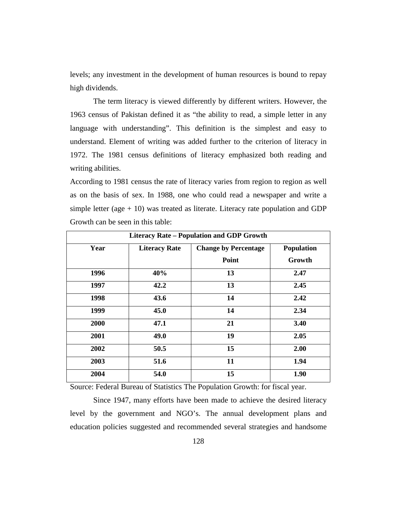levels; any investment in the development of human resources is bound to repay high dividends.

The term literacy is viewed differently by different writers. However, the 1963 census of Pakistan defined it as "the ability to read, a simple letter in any language with understanding". This definition is the simplest and easy to understand. Element of writing was added further to the criterion of literacy in 1972. The 1981 census definitions of literacy emphasized both reading and writing abilities.

According to 1981 census the rate of literacy varies from region to region as well as on the basis of sex. In 1988, one who could read a newspaper and write a simple letter (age  $+10$ ) was treated as literate. Literacy rate population and GDP Growth can be seen in this table:

| <b>Literacy Rate - Population and GDP Growth</b> |                      |                             |                   |  |  |  |  |
|--------------------------------------------------|----------------------|-----------------------------|-------------------|--|--|--|--|
| Year                                             | <b>Literacy Rate</b> | <b>Change by Percentage</b> | <b>Population</b> |  |  |  |  |
|                                                  |                      | Point                       | Growth            |  |  |  |  |
| 1996                                             | 40%                  | 13                          | 2.47              |  |  |  |  |
| 1997                                             | 42.2                 | 13                          | 2.45              |  |  |  |  |
| 1998                                             | 43.6                 | 14                          | 2.42              |  |  |  |  |
| 1999                                             | 45.0                 | 14                          | 2.34              |  |  |  |  |
| 2000                                             | 47.1                 | 21                          | 3.40              |  |  |  |  |
| 2001                                             | 49.0                 | 19                          | 2.05              |  |  |  |  |
| 2002                                             | 50.5                 | 15                          | 2.00              |  |  |  |  |
| 2003                                             | 51.6                 | 11                          | 1.94              |  |  |  |  |
| 2004                                             | 54.0                 | 15                          | 1.90              |  |  |  |  |

Source: Federal Bureau of Statistics The Population Growth: for fiscal year.

Since 1947, many efforts have been made to achieve the desired literacy level by the government and NGO's. The annual development plans and education policies suggested and recommended several strategies and handsome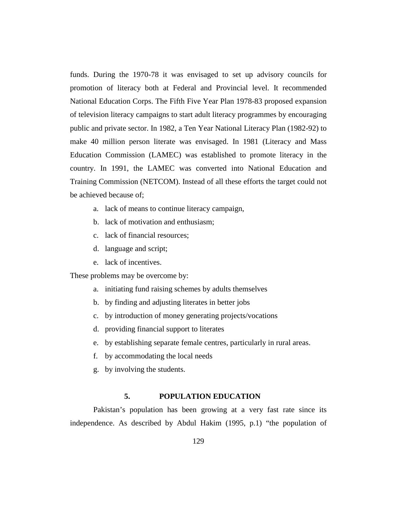funds. During the 1970-78 it was envisaged to set up advisory councils for promotion of literacy both at Federal and Provincial level. It recommended National Education Corps. The Fifth Five Year Plan 1978-83 proposed expansion of television literacy campaigns to start adult literacy programmes by encouraging public and private sector. In 1982, a Ten Year National Literacy Plan (1982-92) to make 40 million person literate was envisaged. In 1981 (Literacy and Mass Education Commission (LAMEC) was established to promote literacy in the country. In 1991, the LAMEC was converted into National Education and Training Commission (NETCOM). Instead of all these efforts the target could not be achieved because of;

- a. lack of means to continue literacy campaign,
- b. lack of motivation and enthusiasm;
- c. lack of financial resources;
- d. language and script;
- e. lack of incentives.

These problems may be overcome by:

- a. initiating fund raising schemes by adults themselves
- b. by finding and adjusting literates in better jobs
- c. by introduction of money generating projects/vocations
- d. providing financial support to literates
- e. by establishing separate female centres, particularly in rural areas.
- f. by accommodating the local needs
- g. by involving the students.

## **5. POPULATION EDUCATION**

Pakistan's population has been growing at a very fast rate since its independence. As described by Abdul Hakim (1995, p.1) "the population of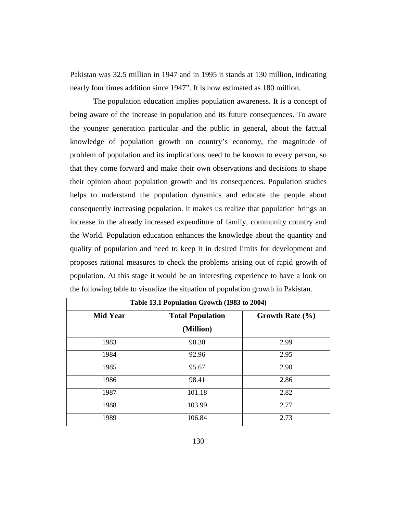Pakistan was 32.5 million in 1947 and in 1995 it stands at 130 million, indicating nearly four times addition since 1947". It is now estimated as 180 million.

The population education implies population awareness. It is a concept of being aware of the increase in population and its future consequences. To aware the younger generation particular and the public in general, about the factual knowledge of population growth on country's economy, the magnitude of problem of population and its implications need to be known to every person, so that they come forward and make their own observations and decisions to shape their opinion about population growth and its consequences. Population studies helps to understand the population dynamics and educate the people about consequently increasing population. It makes us realize that population brings an increase in the already increased expenditure of family, community country and the World. Population education enhances the knowledge about the quantity and quality of population and need to keep it in desired limits for development and proposes rational measures to check the problems arising out of rapid growth of population. At this stage it would be an interesting experience to have a look on the following table to visualize the situation of population growth in Pakistan.

| Table 13.1 Population Growth (1983 to 2004) |                         |                     |  |  |  |  |  |
|---------------------------------------------|-------------------------|---------------------|--|--|--|--|--|
| <b>Mid Year</b>                             | <b>Total Population</b> | Growth Rate $(\% )$ |  |  |  |  |  |
|                                             | (Million)               |                     |  |  |  |  |  |
| 1983                                        | 90.30                   | 2.99                |  |  |  |  |  |
| 1984                                        | 92.96                   | 2.95                |  |  |  |  |  |
| 1985                                        | 95.67                   | 2.90                |  |  |  |  |  |
| 1986                                        | 98.41                   | 2.86                |  |  |  |  |  |
| 1987                                        | 101.18                  | 2.82                |  |  |  |  |  |
| 1988                                        | 103.99                  | 2.77                |  |  |  |  |  |
| 1989                                        | 106.84                  | 2.73                |  |  |  |  |  |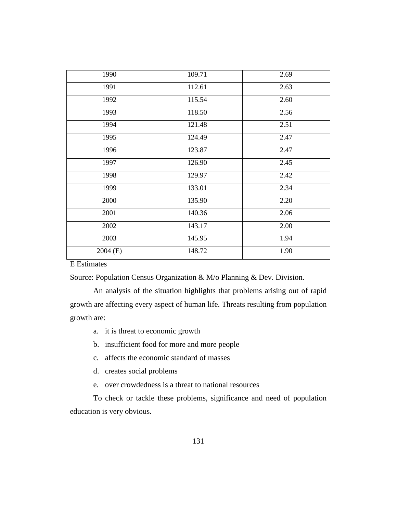| 1990       | 109.71 | 2.69 |
|------------|--------|------|
| 1991       | 112.61 | 2.63 |
| 1992       | 115.54 | 2.60 |
| 1993       | 118.50 | 2.56 |
| 1994       | 121.48 | 2.51 |
| 1995       | 124.49 | 2.47 |
| 1996       | 123.87 | 2.47 |
| 1997       | 126.90 | 2.45 |
| 1998       | 129.97 | 2.42 |
| 1999       | 133.01 | 2.34 |
| 2000       | 135.90 | 2.20 |
| 2001       | 140.36 | 2.06 |
| 2002       | 143.17 | 2.00 |
| 2003       | 145.95 | 1.94 |
| $2004$ (E) | 148.72 | 1.90 |

E Estimates

Source: Population Census Organization & M/o Planning & Dev. Division.

An analysis of the situation highlights that problems arising out of rapid growth are affecting every aspect of human life. Threats resulting from population growth are:

a. it is threat to economic growth

b. insufficient food for more and more people

- c. affects the economic standard of masses
- d. creates social problems
- e. over crowdedness is a threat to national resources

To check or tackle these problems, significance and need of population education is very obvious.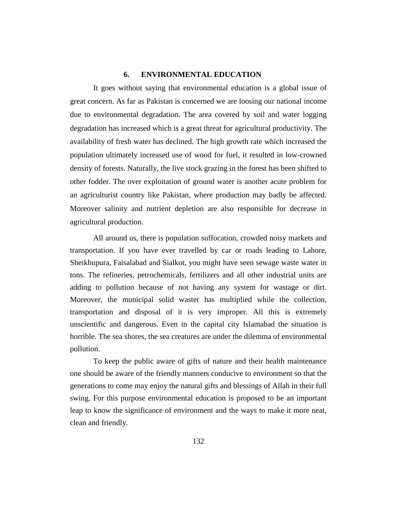## **6. ENVIRONMENTAL EDUCATION**

It goes without saying that environmental education is a global issue of great concern. As far as Pakistan is concerned we are loosing our national income due to environmental degradation. The area covered by soil and water logging degradation has increased which is a great threat for agricultural productivity. The availability of fresh water has declined. The high growth rate which increased the population ultimately increased use of wood for fuel, it resulted in low-crowned density of forests. Naturally, the live stock grazing in the forest has been shifted to other fodder. The over exploitation of ground water is another acute problem for an agriculturist country like Pakistan, where production may badly be affected. Moreover salinity and nutrient depletion are also responsible for decrease in agricultural production.

All around us, there is population suffocation, crowded noisy markets and transportation. If you have ever travelled by car or roads leading to Lahore, Sheikhupura, Faisalabad and Sialkot, you might have seen sewage waste water in tons. The refineries, petrochemicals, fertilizers and all other industrial units are adding to pollution because of not having any system for wastage or dirt. Moreover, the municipal solid waster has multiplied while the collection, transportation and disposal of it is very improper. All this is extremely unscientific and dangerous. Even in the capital city Islamabad the situation is horrible. The sea shores, the sea creatures are under the dilemma of environmental pollution.

To keep the public aware of gifts of nature and their health maintenance one should be aware of the friendly manners conducive to environment so that the generations to come may enjoy the natural gifts and blessings of Allah in their full swing. For this purpose environmental education is proposed to be an important leap to know the significance of environment and the ways to make it more neat, clean and friendly.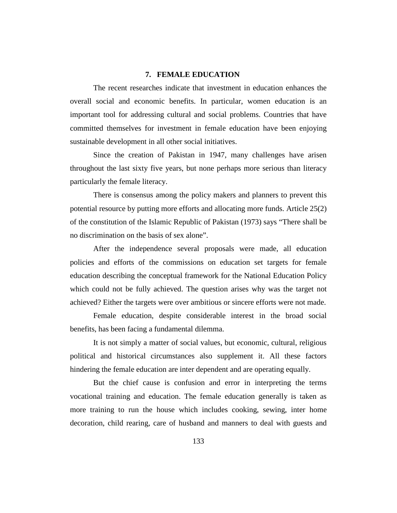#### **7. FEMALE EDUCATION**

The recent researches indicate that investment in education enhances the overall social and economic benefits. In particular, women education is an important tool for addressing cultural and social problems. Countries that have committed themselves for investment in female education have been enjoying sustainable development in all other social initiatives.

Since the creation of Pakistan in 1947, many challenges have arisen throughout the last sixty five years, but none perhaps more serious than literacy particularly the female literacy.

There is consensus among the policy makers and planners to prevent this potential resource by putting more efforts and allocating more funds. Article 25(2) of the constitution of the Islamic Republic of Pakistan (1973) says "There shall be no discrimination on the basis of sex alone".

After the independence several proposals were made, all education policies and efforts of the commissions on education set targets for female education describing the conceptual framework for the National Education Policy which could not be fully achieved. The question arises why was the target not achieved? Either the targets were over ambitious or sincere efforts were not made.

Female education, despite considerable interest in the broad social benefits, has been facing a fundamental dilemma.

It is not simply a matter of social values, but economic, cultural, religious political and historical circumstances also supplement it. All these factors hindering the female education are inter dependent and are operating equally.

But the chief cause is confusion and error in interpreting the terms vocational training and education. The female education generally is taken as more training to run the house which includes cooking, sewing, inter home decoration, child rearing, care of husband and manners to deal with guests and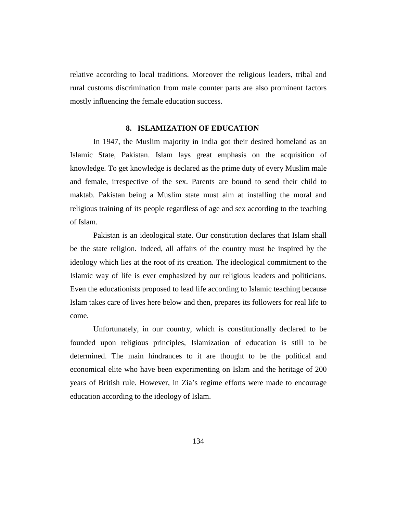relative according to local traditions. Moreover the religious leaders, tribal and rural customs discrimination from male counter parts are also prominent factors mostly influencing the female education success.

#### **8. ISLAMIZATION OF EDUCATION**

In 1947, the Muslim majority in India got their desired homeland as an Islamic State, Pakistan. Islam lays great emphasis on the acquisition of knowledge. To get knowledge is declared as the prime duty of every Muslim male and female, irrespective of the sex. Parents are bound to send their child to maktab. Pakistan being a Muslim state must aim at installing the moral and religious training of its people regardless of age and sex according to the teaching of Islam.

Pakistan is an ideological state. Our constitution declares that Islam shall be the state religion. Indeed, all affairs of the country must be inspired by the ideology which lies at the root of its creation. The ideological commitment to the Islamic way of life is ever emphasized by our religious leaders and politicians. Even the educationists proposed to lead life according to Islamic teaching because Islam takes care of lives here below and then, prepares its followers for real life to come.

Unfortunately, in our country, which is constitutionally declared to be founded upon religious principles, Islamization of education is still to be determined. The main hindrances to it are thought to be the political and economical elite who have been experimenting on Islam and the heritage of 200 years of British rule. However, in Zia's regime efforts were made to encourage education according to the ideology of Islam.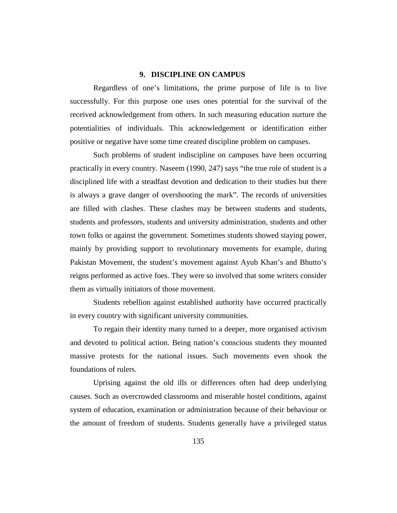## **9. DISCIPLINE ON CAMPUS**

Regardless of one's limitations, the prime purpose of life is to live successfully. For this purpose one uses ones potential for the survival of the received acknowledgement from others. In such measuring education nurture the potentialities of individuals. This acknowledgement or identification either positive or negative have some time created discipline problem on campuses.

Such problems of student indiscipline on campuses have been occurring practically in every country. Naseem (1990, 247) says "the true role of student is a disciplined life with a steadfast devotion and dedication to their studies but there is always a grave danger of overshooting the mark". The records of universities are filled with clashes. These clashes may be between students and students, students and professors, students and university administration, students and other town folks or against the government. Sometimes students showed staying power, mainly by providing support to revolutionary movements for example, during Pakistan Movement, the student's movement against Ayub Khan's and Bhutto's reigns performed as active foes. They were so involved that some writers consider them as virtually initiators of those movement.

Students rebellion against established authority have occurred practically in every country with significant university communities.

To regain their identity many turned to a deeper, more organised activism and devoted to political action. Being nation's conscious students they mounted massive protests for the national issues. Such movements even shook the foundations of rulers.

Uprising against the old ills or differences often had deep underlying causes. Such as overcrowded classrooms and miserable hostel conditions, against system of education, examination or administration because of their behaviour or the amount of freedom of students. Students generally have a privileged status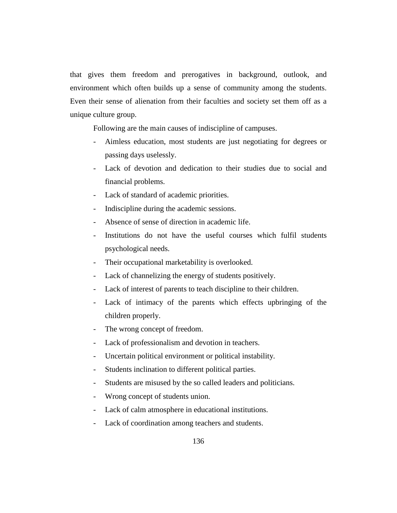that gives them freedom and prerogatives in background, outlook, and environment which often builds up a sense of community among the students. Even their sense of alienation from their faculties and society set them off as a unique culture group.

Following are the main causes of indiscipline of campuses.

- Aimless education, most students are just negotiating for degrees or passing days uselessly.
- Lack of devotion and dedication to their studies due to social and financial problems.
- Lack of standard of academic priorities.
- Indiscipline during the academic sessions.
- Absence of sense of direction in academic life.
- Institutions do not have the useful courses which fulfil students psychological needs.
- Their occupational marketability is overlooked.
- Lack of channelizing the energy of students positively.
- Lack of interest of parents to teach discipline to their children.
- Lack of intimacy of the parents which effects upbringing of the children properly.
- The wrong concept of freedom.
- Lack of professionalism and devotion in teachers.
- Uncertain political environment or political instability.
- Students inclination to different political parties.
- Students are misused by the so called leaders and politicians.
- Wrong concept of students union.
- Lack of calm atmosphere in educational institutions.
- Lack of coordination among teachers and students.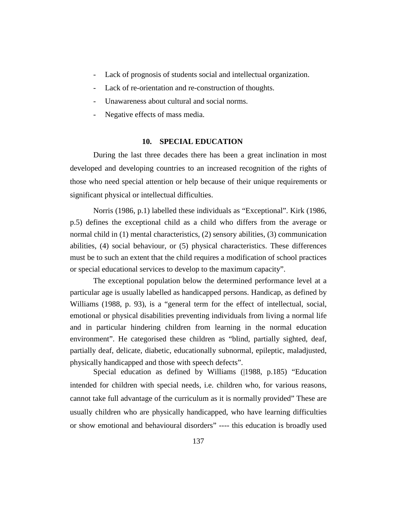- Lack of prognosis of students social and intellectual organization.
- Lack of re-orientation and re-construction of thoughts.
- Unawareness about cultural and social norms.
- Negative effects of mass media.

#### **10. SPECIAL EDUCATION**

During the last three decades there has been a great inclination in most developed and developing countries to an increased recognition of the rights of those who need special attention or help because of their unique requirements or significant physical or intellectual difficulties.

Norris (1986, p.1) labelled these individuals as "Exceptional". Kirk (1986, p.5) defines the exceptional child as a child who differs from the average or normal child in (1) mental characteristics, (2) sensory abilities, (3) communication abilities, (4) social behaviour, or (5) physical characteristics. These differences must be to such an extent that the child requires a modification of school practices or special educational services to develop to the maximum capacity".

The exceptional population below the determined performance level at a particular age is usually labelled as handicapped persons. Handicap, as defined by Williams (1988, p. 93), is a "general term for the effect of intellectual, social, emotional or physical disabilities preventing individuals from living a normal life and in particular hindering children from learning in the normal education environment". He categorised these children as "blind, partially sighted, deaf, partially deaf, delicate, diabetic, educationally subnormal, epileptic, maladjusted, physically handicapped and those with speech defects".

Special education as defined by Williams (|1988, p.185) "Education intended for children with special needs, i.e. children who, for various reasons, cannot take full advantage of the curriculum as it is normally provided" These are usually children who are physically handicapped, who have learning difficulties or show emotional and behavioural disorders" ---- this education is broadly used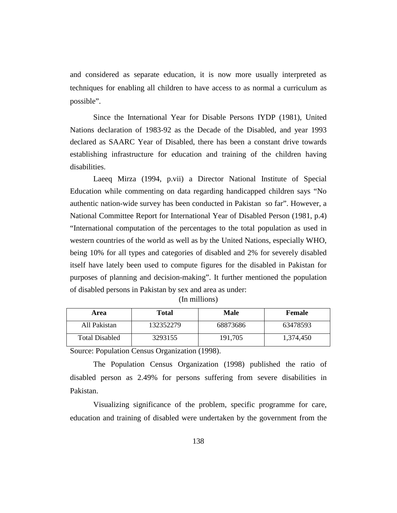and considered as separate education, it is now more usually interpreted as techniques for enabling all children to have access to as normal a curriculum as possible".

Since the International Year for Disable Persons IYDP (1981), United Nations declaration of 1983-92 as the Decade of the Disabled, and year 1993 declared as SAARC Year of Disabled, there has been a constant drive towards establishing infrastructure for education and training of the children having disabilities.

Laeeq Mirza (1994, p.vii) a Director National Institute of Special Education while commenting on data regarding handicapped children says "No authentic nation-wide survey has been conducted in Pakistan so far". However, a National Committee Report for International Year of Disabled Person (1981, p.4) "International computation of the percentages to the total population as used in western countries of the world as well as by the United Nations, especially WHO, being 10% for all types and categories of disabled and 2% for severely disabled itself have lately been used to compute figures for the disabled in Pakistan for purposes of planning and decision-making". It further mentioned the population of disabled persons in Pakistan by sex and area as under:

| Area                  | Total     | Male     | <b>Female</b> |
|-----------------------|-----------|----------|---------------|
| All Pakistan          | 132352279 | 68873686 | 63478593      |
| <b>Total Disabled</b> | 3293155   | 191.705  | 1,374,450     |

|  | (In millions) |
|--|---------------|
|  |               |

Source: Population Census Organization (1998).

The Population Census Organization (1998) published the ratio of disabled person as 2.49% for persons suffering from severe disabilities in Pakistan.

Visualizing significance of the problem, specific programme for care, education and training of disabled were undertaken by the government from the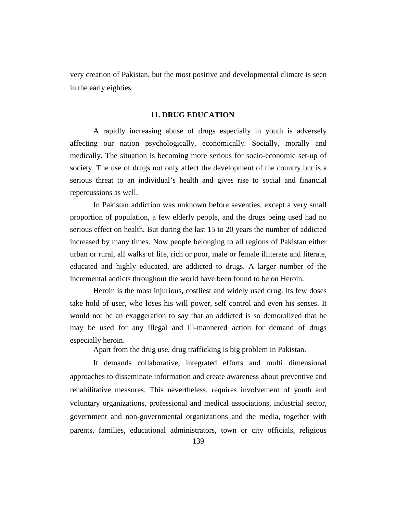very creation of Pakistan, but the most positive and developmental climate is seen in the early eighties.

## **11. DRUG EDUCATION**

A rapidly increasing abuse of drugs especially in youth is adversely affecting our nation psychologically, economically. Socially, morally and medically. The situation is becoming more serious for socio-economic set-up of society. The use of drugs not only affect the development of the country but is a serious threat to an individual's health and gives rise to social and financial repercussions as well.

In Pakistan addiction was unknown before seventies, except a very small proportion of population, a few elderly people, and the drugs being used had no serious effect on health. But during the last 15 to 20 years the number of addicted increased by many times. Now people belonging to all regions of Pakistan either urban or rural, all walks of life, rich or poor, male or female illiterate and literate, educated and highly educated, are addicted to drugs. A larger number of the incremental addicts throughout the world have been found to be on Heroin.

Heroin is the most injurious, costliest and widely used drug. Its few doses take hold of user, who loses his will power, self control and even his senses. It would not be an exaggeration to say that an addicted is so demoralized that he may be used for any illegal and ill-mannered action for demand of drugs especially heroin.

Apart from the drug use, drug trafficking is big problem in Pakistan.

It demands collaborative, integrated efforts and multi dimensional approaches to disseminate information and create awareness about preventive and rehabilitative measures. This nevertheless, requires involvement of youth and voluntary organizations, professional and medical associations, industrial sector, government and non-governmental organizations and the media, together with parents, families, educational administrators, town or city officials, religious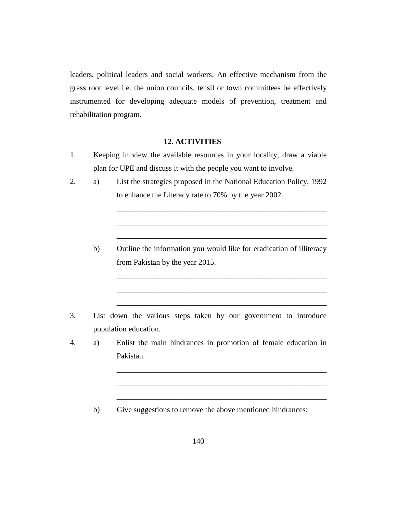leaders, political leaders and social workers. An effective mechanism from the grass root level i.e. the union councils, tehsil or town committees be effectively instrumented for developing adequate models of prevention, treatment and rehabilitation program.

### **12. ACTIVITIES**

- 1. Keeping in view the available resources in your locality, draw a viable plan for UPE and discuss it with the people you want to involve.
- 2. a) List the strategies proposed in the National Education Policy, 1992 to enhance the Literacy rate to 70% by the year 2002.
	- b) Outline the information you would like for eradication of illiteracy from Pakistan by the year 2015.

\_\_\_\_\_\_\_\_\_\_\_\_\_\_\_\_\_\_\_\_\_\_\_\_\_\_\_\_\_\_\_\_\_\_\_\_\_\_\_\_\_\_\_\_\_\_\_\_\_\_\_\_\_\_

\_\_\_\_\_\_\_\_\_\_\_\_\_\_\_\_\_\_\_\_\_\_\_\_\_\_\_\_\_\_\_\_\_\_\_\_\_\_\_\_\_\_\_\_\_\_\_\_\_\_\_\_\_\_

\_\_\_\_\_\_\_\_\_\_\_\_\_\_\_\_\_\_\_\_\_\_\_\_\_\_\_\_\_\_\_\_\_\_\_\_\_\_\_\_\_\_\_\_\_\_\_\_\_\_\_\_\_\_

\_\_\_\_\_\_\_\_\_\_\_\_\_\_\_\_\_\_\_\_\_\_\_\_\_\_\_\_\_\_\_\_\_\_\_\_\_\_\_\_\_\_\_\_\_\_\_\_\_\_\_\_\_\_

\_\_\_\_\_\_\_\_\_\_\_\_\_\_\_\_\_\_\_\_\_\_\_\_\_\_\_\_\_\_\_\_\_\_\_\_\_\_\_\_\_\_\_\_\_\_\_\_\_\_\_\_\_\_

\_\_\_\_\_\_\_\_\_\_\_\_\_\_\_\_\_\_\_\_\_\_\_\_\_\_\_\_\_\_\_\_\_\_\_\_\_\_\_\_\_\_\_\_\_\_\_\_\_\_\_\_\_\_

\_\_\_\_\_\_\_\_\_\_\_\_\_\_\_\_\_\_\_\_\_\_\_\_\_\_\_\_\_\_\_\_\_\_\_\_\_\_\_\_\_\_\_\_\_\_\_\_\_\_\_\_\_\_

\_\_\_\_\_\_\_\_\_\_\_\_\_\_\_\_\_\_\_\_\_\_\_\_\_\_\_\_\_\_\_\_\_\_\_\_\_\_\_\_\_\_\_\_\_\_\_\_\_\_\_\_\_\_

\_\_\_\_\_\_\_\_\_\_\_\_\_\_\_\_\_\_\_\_\_\_\_\_\_\_\_\_\_\_\_\_\_\_\_\_\_\_\_\_\_\_\_\_\_\_\_\_\_\_\_\_\_\_

- 3. List down the various steps taken by our government to introduce population education.
- 4. a) Enlist the main hindrances in promotion of female education in Pakistan.
	- b) Give suggestions to remove the above mentioned hindrances: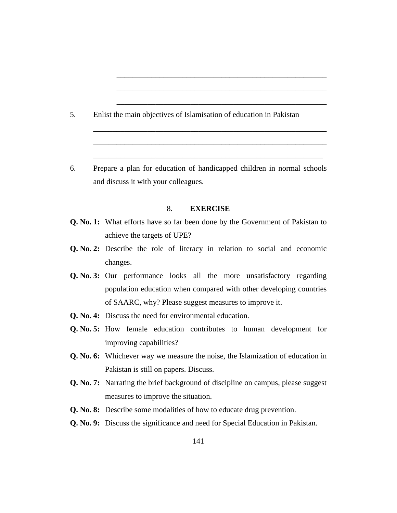- 5. Enlist the main objectives of Islamisation of education in Pakistan
- 6. Prepare a plan for education of handicapped children in normal schools and discuss it with your colleagues.

\_\_\_\_\_\_\_\_\_\_\_\_\_\_\_\_\_\_\_\_\_\_\_\_\_\_\_\_\_\_\_\_\_\_\_\_\_\_\_\_\_\_\_\_\_\_\_\_\_\_\_\_\_\_

\_\_\_\_\_\_\_\_\_\_\_\_\_\_\_\_\_\_\_\_\_\_\_\_\_\_\_\_\_\_\_\_\_\_\_\_\_\_\_\_\_\_\_\_\_\_\_\_\_\_\_\_\_\_

\_\_\_\_\_\_\_\_\_\_\_\_\_\_\_\_\_\_\_\_\_\_\_\_\_\_\_\_\_\_\_\_\_\_\_\_\_\_\_\_\_\_\_\_\_\_\_\_\_\_\_\_\_\_

\_\_\_\_\_\_\_\_\_\_\_\_\_\_\_\_\_\_\_\_\_\_\_\_\_\_\_\_\_\_\_\_\_\_\_\_\_\_\_\_\_\_\_\_\_\_\_\_\_\_\_\_\_\_\_\_\_\_\_\_

\_\_\_\_\_\_\_\_\_\_\_\_\_\_\_\_\_\_\_\_\_\_\_\_\_\_\_\_\_\_\_\_\_\_\_\_\_\_\_\_\_\_\_\_\_\_\_\_\_\_\_\_\_\_\_\_\_\_\_\_

\_\_\_\_\_\_\_\_\_\_\_\_\_\_\_\_\_\_\_\_\_\_\_\_\_\_\_\_\_\_\_\_\_\_\_\_\_\_\_\_\_\_\_\_\_\_\_\_\_\_\_\_\_\_\_\_\_\_\_

# 8. **EXERCISE**

- **Q. No. 1:** What efforts have so far been done by the Government of Pakistan to achieve the targets of UPE?
- **Q. No. 2:** Describe the role of literacy in relation to social and economic changes.
- **Q. No. 3:** Our performance looks all the more unsatisfactory regarding population education when compared with other developing countries of SAARC, why? Please suggest measures to improve it.
- **Q. No. 4:** Discuss the need for environmental education.
- **Q. No. 5:** How female education contributes to human development for improving capabilities?
- **Q. No. 6:** Whichever way we measure the noise, the Islamization of education in Pakistan is still on papers. Discuss.
- **Q. No. 7:** Narrating the brief background of discipline on campus, please suggest measures to improve the situation.
- **Q. No. 8:** Describe some modalities of how to educate drug prevention.
- **Q. No. 9:** Discuss the significance and need for Special Education in Pakistan.